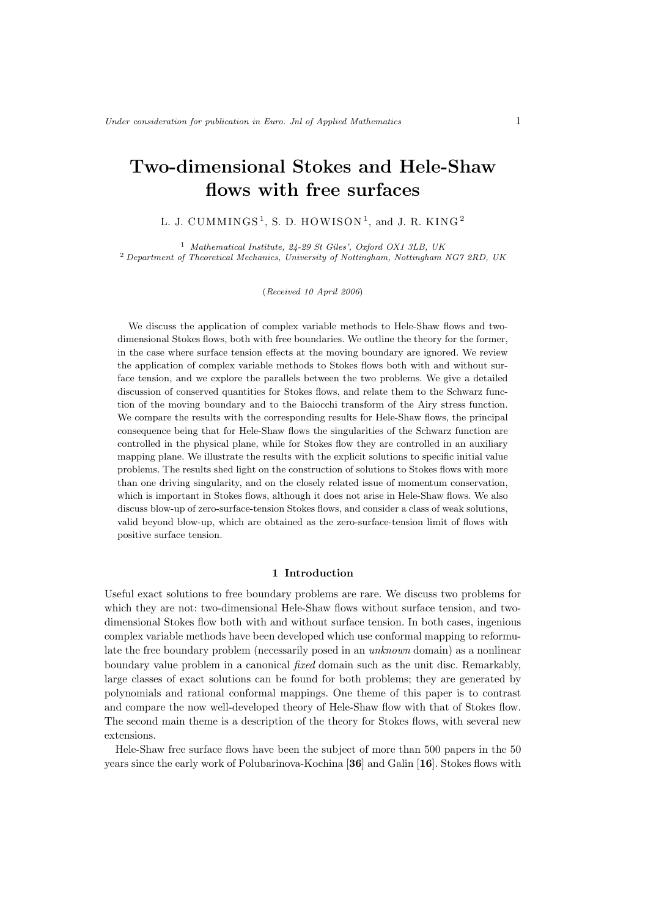# Two-dimensional Stokes and Hele-Shaw flows with free surfaces

# L. J. CUMMINGS<sup>1</sup>, S. D. HOWISON<sup>1</sup>, and J. R. KING<sup>2</sup>

<sup>1</sup> Mathematical Institute, 24-29 St Giles', Oxford OX1 3LB, UK <sup>2</sup> Department of Theoretical Mechanics, University of Nottingham, Nottingham NG7 2RD, UK

(Received 10 April 2006)

We discuss the application of complex variable methods to Hele-Shaw flows and twodimensional Stokes flows, both with free boundaries. We outline the theory for the former, in the case where surface tension effects at the moving boundary are ignored. We review the application of complex variable methods to Stokes flows both with and without surface tension, and we explore the parallels between the two problems. We give a detailed discussion of conserved quantities for Stokes flows, and relate them to the Schwarz function of the moving boundary and to the Baiocchi transform of the Airy stress function. We compare the results with the corresponding results for Hele-Shaw flows, the principal consequence being that for Hele-Shaw flows the singularities of the Schwarz function are controlled in the physical plane, while for Stokes flow they are controlled in an auxiliary mapping plane. We illustrate the results with the explicit solutions to specific initial value problems. The results shed light on the construction of solutions to Stokes flows with more than one driving singularity, and on the closely related issue of momentum conservation, which is important in Stokes flows, although it does not arise in Hele-Shaw flows. We also discuss blow-up of zero-surface-tension Stokes flows, and consider a class of weak solutions, valid beyond blow-up, which are obtained as the zero-surface-tension limit of flows with positive surface tension.

# 1 Introduction

Useful exact solutions to free boundary problems are rare. We discuss two problems for which they are not: two-dimensional Hele-Shaw flows without surface tension, and twodimensional Stokes flow both with and without surface tension. In both cases, ingenious complex variable methods have been developed which use conformal mapping to reformulate the free boundary problem (necessarily posed in an unknown domain) as a nonlinear boundary value problem in a canonical fixed domain such as the unit disc. Remarkably, large classes of exact solutions can be found for both problems; they are generated by polynomials and rational conformal mappings. One theme of this paper is to contrast and compare the now well-developed theory of Hele-Shaw flow with that of Stokes flow. The second main theme is a description of the theory for Stokes flows, with several new extensions.

Hele-Shaw free surface flows have been the subject of more than 500 papers in the 50 years since the early work of Polubarinova-Kochina [36] and Galin [16]. Stokes flows with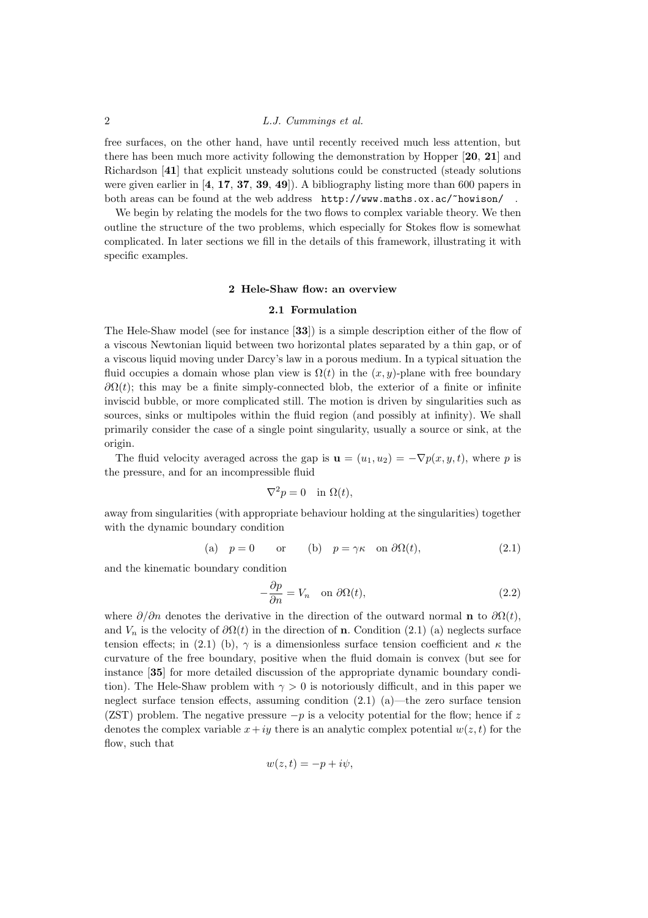free surfaces, on the other hand, have until recently received much less attention, but there has been much more activity following the demonstration by Hopper [20, 21] and Richardson [41] that explicit unsteady solutions could be constructed (steady solutions were given earlier in [4, 17, 37, 39, 49]). A bibliography listing more than 600 papers in both areas can be found at the web address http://www.maths.ox.ac/~howison/.

We begin by relating the models for the two flows to complex variable theory. We then outline the structure of the two problems, which especially for Stokes flow is somewhat complicated. In later sections we fill in the details of this framework, illustrating it with specific examples.

#### 2 Hele-Shaw flow: an overview

## 2.1 Formulation

The Hele-Shaw model (see for instance [33]) is a simple description either of the flow of a viscous Newtonian liquid between two horizontal plates separated by a thin gap, or of a viscous liquid moving under Darcy's law in a porous medium. In a typical situation the fluid occupies a domain whose plan view is  $\Omega(t)$  in the  $(x, y)$ -plane with free boundary  $\partial\Omega(t)$ ; this may be a finite simply-connected blob, the exterior of a finite or infinite inviscid bubble, or more complicated still. The motion is driven by singularities such as sources, sinks or multipoles within the fluid region (and possibly at infinity). We shall primarily consider the case of a single point singularity, usually a source or sink, at the origin.

The fluid velocity averaged across the gap is  $\mathbf{u} = (u_1, u_2) = -\nabla p(x, y, t)$ , where p is the pressure, and for an incompressible fluid

$$
\nabla^2 p = 0 \quad \text{in } \Omega(t),
$$

away from singularities (with appropriate behaviour holding at the singularities) together with the dynamic boundary condition

(a) 
$$
p = 0
$$
 or (b)  $p = \gamma \kappa$  on  $\partial \Omega(t)$ , (2.1)

and the kinematic boundary condition

$$
-\frac{\partial p}{\partial n} = V_n \quad \text{on } \partial\Omega(t),\tag{2.2}
$$

where  $\partial/\partial n$  denotes the derivative in the direction of the outward normal **n** to  $\partial \Omega(t)$ , and  $V_n$  is the velocity of  $\partial \Omega(t)$  in the direction of **n**. Condition (2.1) (a) neglects surface tension effects; in (2.1) (b),  $\gamma$  is a dimensionless surface tension coefficient and  $\kappa$  the curvature of the free boundary, positive when the fluid domain is convex (but see for instance [35] for more detailed discussion of the appropriate dynamic boundary condition). The Hele-Shaw problem with  $\gamma > 0$  is notoriously difficult, and in this paper we neglect surface tension effects, assuming condition  $(2.1)$  (a)—the zero surface tension (ZST) problem. The negative pressure  $-p$  is a velocity potential for the flow; hence if z denotes the complex variable  $x+iy$  there is an analytic complex potential  $w(z, t)$  for the flow, such that

$$
w(z,t) = -p + i\psi,
$$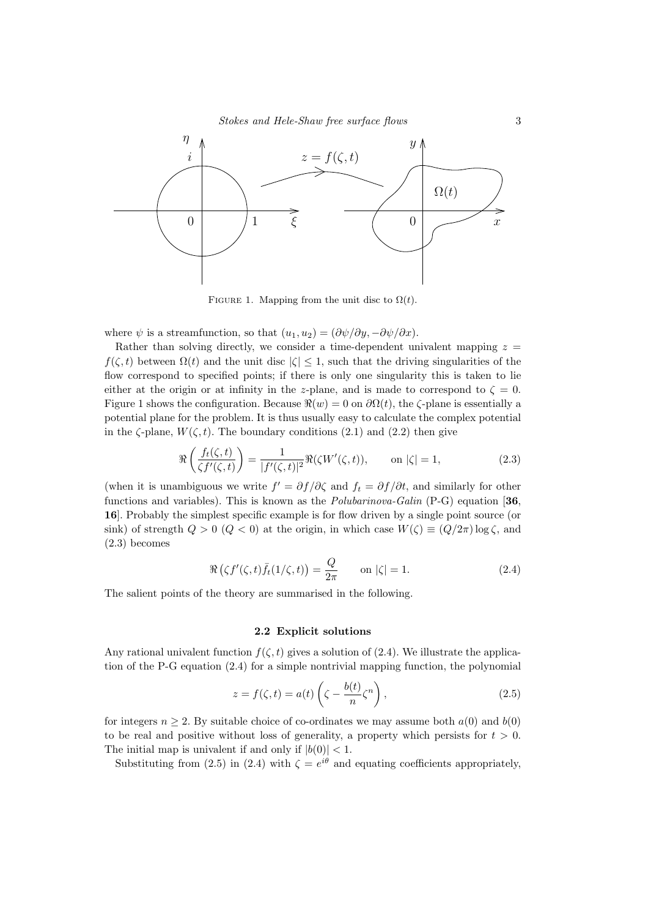

FIGURE 1. Mapping from the unit disc to  $\Omega(t)$ .

where  $\psi$  is a streamfunction, so that  $(u_1, u_2) = (\partial \psi / \partial y, -\partial \psi / \partial x)$ .

Rather than solving directly, we consider a time-dependent univalent mapping  $z =$  $f(\zeta, t)$  between  $\Omega(t)$  and the unit disc  $|\zeta| \leq 1$ , such that the driving singularities of the flow correspond to specified points; if there is only one singularity this is taken to lie either at the origin or at infinity in the z-plane, and is made to correspond to  $\zeta = 0$ . Figure 1 shows the configuration. Because  $\Re(w) = 0$  on  $\partial \Omega(t)$ , the  $\zeta$ -plane is essentially a potential plane for the problem. It is thus usually easy to calculate the complex potential in the  $\zeta$ -plane,  $W(\zeta, t)$ . The boundary conditions (2.1) and (2.2) then give

$$
\Re\left(\frac{f_t(\zeta,t)}{\zeta f'(\zeta,t)}\right) = \frac{1}{|f'(\zeta,t)|^2} \Re(\zeta W'(\zeta,t)), \qquad \text{on } |\zeta| = 1,
$$
\n(2.3)

(when it is unambiguous we write  $f' = \partial f / \partial \zeta$  and  $f_t = \partial f / \partial t$ , and similarly for other functions and variables). This is known as the *Polubarinova-Galin* (P-G) equation [36, 16]. Probably the simplest specific example is for flow driven by a single point source (or sink) of strength  $Q > 0$  ( $Q < 0$ ) at the origin, in which case  $W(\zeta) \equiv (Q/2\pi) \log \zeta$ , and (2.3) becomes

$$
\Re\left(\zeta f'(\zeta,t)\bar{f}_t(1/\zeta,t)\right) = \frac{Q}{2\pi} \qquad \text{on } |\zeta| = 1.
$$
 (2.4)

The salient points of the theory are summarised in the following.

#### 2.2 Explicit solutions

Any rational univalent function  $f(\zeta, t)$  gives a solution of (2.4). We illustrate the application of the P-G equation (2.4) for a simple nontrivial mapping function, the polynomial

$$
z = f(\zeta, t) = a(t) \left( \zeta - \frac{b(t)}{n} \zeta^n \right), \qquad (2.5)
$$

for integers  $n \geq 2$ . By suitable choice of co-ordinates we may assume both  $a(0)$  and  $b(0)$ to be real and positive without loss of generality, a property which persists for  $t > 0$ . The initial map is univalent if and only if  $|b(0)| < 1$ .

Substituting from (2.5) in (2.4) with  $\zeta = e^{i\theta}$  and equating coefficients appropriately,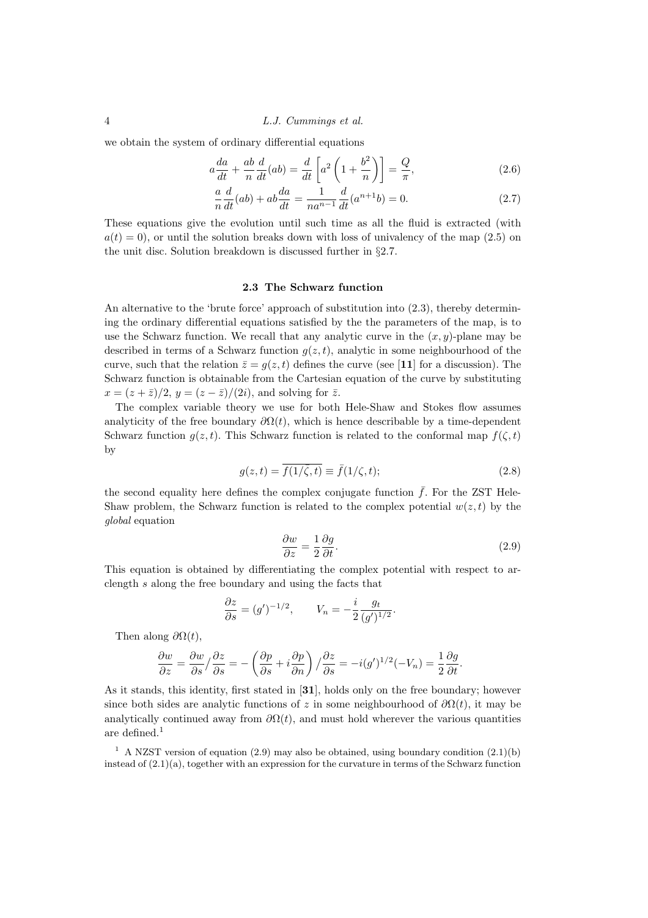we obtain the system of ordinary differential equations

$$
a\frac{da}{dt} + \frac{ab}{n}\frac{d}{dt}(ab) = \frac{d}{dt}\left[a^2\left(1 + \frac{b^2}{n}\right)\right] = \frac{Q}{\pi},\tag{2.6}
$$

$$
\frac{a}{n}\frac{d}{dt}(ab) + ab\frac{da}{dt} = \frac{1}{na^{n-1}}\frac{d}{dt}(a^{n+1}b) = 0.
$$
 (2.7)

These equations give the evolution until such time as all the fluid is extracted (with  $a(t) = 0$ , or until the solution breaks down with loss of univalency of the map (2.5) on the unit disc. Solution breakdown is discussed further in §2.7.

## 2.3 The Schwarz function

An alternative to the 'brute force' approach of substitution into (2.3), thereby determining the ordinary differential equations satisfied by the the parameters of the map, is to use the Schwarz function. We recall that any analytic curve in the  $(x, y)$ -plane may be described in terms of a Schwarz function  $g(z, t)$ , analytic in some neighbourhood of the curve, such that the relation  $\bar{z} = g(z, t)$  defines the curve (see [11] for a discussion). The Schwarz function is obtainable from the Cartesian equation of the curve by substituting  $x = (z + \overline{z})/2$ ,  $y = (z - \overline{z})/(2i)$ , and solving for  $\overline{z}$ .

The complex variable theory we use for both Hele-Shaw and Stokes flow assumes analyticity of the free boundary  $\partial \Omega(t)$ , which is hence describable by a time-dependent Schwarz function  $g(z, t)$ . This Schwarz function is related to the conformal map  $f(\zeta, t)$ by

$$
g(z,t) = \overline{f(1/\overline{\zeta},t)} \equiv \overline{f}(1/\zeta,t);
$$
\n(2.8)

the second equality here defines the complex conjugate function  $\bar{f}$ . For the ZST Hele-Shaw problem, the Schwarz function is related to the complex potential  $w(z, t)$  by the global equation

$$
\frac{\partial w}{\partial z} = \frac{1}{2} \frac{\partial g}{\partial t}.
$$
\n(2.9)

This equation is obtained by differentiating the complex potential with respect to arclength s along the free boundary and using the facts that

$$
\frac{\partial z}{\partial s} = (g')^{-1/2}, \qquad V_n = -\frac{i}{2} \frac{g_t}{(g')^{1/2}}.
$$

Then along  $\partial \Omega(t)$ ,

$$
\frac{\partial w}{\partial z} = \frac{\partial w}{\partial s} / \frac{\partial z}{\partial s} = -\left(\frac{\partial p}{\partial s} + i\frac{\partial p}{\partial n}\right) / \frac{\partial z}{\partial s} = -i(g')^{1/2}(-V_n) = \frac{1}{2}\frac{\partial g}{\partial t}.
$$

As it stands, this identity, first stated in [31], holds only on the free boundary; however since both sides are analytic functions of z in some neighbourhood of  $\partial \Omega(t)$ , it may be analytically continued away from  $\partial \Omega(t)$ , and must hold wherever the various quantities are defined.<sup>1</sup>

<sup>1</sup> A NZST version of equation (2.9) may also be obtained, using boundary condition  $(2.1)(b)$ instead of  $(2.1)(a)$ , together with an expression for the curvature in terms of the Schwarz function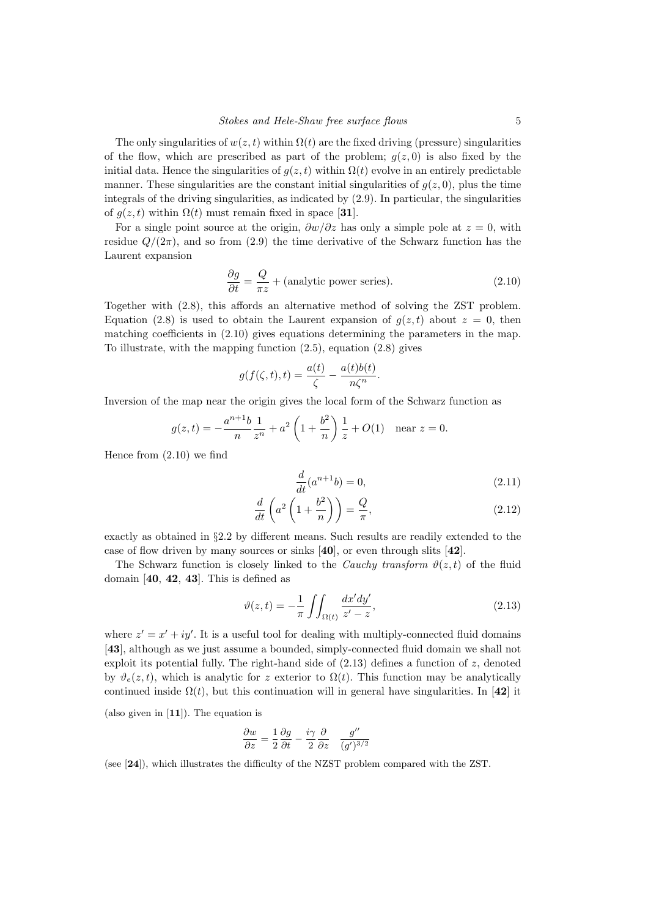The only singularities of  $w(z, t)$  within  $\Omega(t)$  are the fixed driving (pressure) singularities of the flow, which are prescribed as part of the problem;  $g(z, 0)$  is also fixed by the initial data. Hence the singularities of  $g(z, t)$  within  $\Omega(t)$  evolve in an entirely predictable manner. These singularities are the constant initial singularities of  $g(z, 0)$ , plus the time integrals of the driving singularities, as indicated by (2.9). In particular, the singularities of  $g(z, t)$  within  $\Omega(t)$  must remain fixed in space [31].

For a single point source at the origin,  $\frac{\partial w}{\partial z}$  has only a simple pole at  $z = 0$ , with residue  $Q/(2\pi)$ , and so from (2.9) the time derivative of the Schwarz function has the Laurent expansion

$$
\frac{\partial g}{\partial t} = \frac{Q}{\pi z} + \text{(analytic power series)}.
$$
\n(2.10)

Together with (2.8), this affords an alternative method of solving the ZST problem. Equation (2.8) is used to obtain the Laurent expansion of  $q(z, t)$  about  $z = 0$ , then matching coefficients in (2.10) gives equations determining the parameters in the map. To illustrate, with the mapping function (2.5), equation (2.8) gives

$$
g(f(\zeta, t), t) = \frac{a(t)}{\zeta} - \frac{a(t)b(t)}{n\zeta^n}.
$$

Inversion of the map near the origin gives the local form of the Schwarz function as

$$
g(z,t) = -\frac{a^{n+1}b}{n} \frac{1}{z^n} + a^2 \left(1 + \frac{b^2}{n}\right) \frac{1}{z} + O(1) \quad \text{near } z = 0.
$$

Hence from (2.10) we find

$$
\frac{d}{dt}(a^{n+1}b) = 0,\t(2.11)
$$

$$
\frac{d}{dt}\left(a^2\left(1+\frac{b^2}{n}\right)\right) = \frac{Q}{\pi},\tag{2.12}
$$

exactly as obtained in §2.2 by different means. Such results are readily extended to the case of flow driven by many sources or sinks [40], or even through slits [42].

The Schwarz function is closely linked to the *Cauchy transform*  $\vartheta(z,t)$  of the fluid domain  $[40, 42, 43]$ . This is defined as

$$
\vartheta(z,t) = -\frac{1}{\pi} \iint_{\Omega(t)} \frac{dx'dy'}{z'-z},\tag{2.13}
$$

where  $z' = x' + iy'$ . It is a useful tool for dealing with multiply-connected fluid domains [43], although as we just assume a bounded, simply-connected fluid domain we shall not exploit its potential fully. The right-hand side of  $(2.13)$  defines a function of z, denoted by  $\vartheta_e(z, t)$ , which is analytic for z exterior to  $\Omega(t)$ . This function may be analytically continued inside  $\Omega(t)$ , but this continuation will in general have singularities. In [42] it

(also given in [11]). The equation is

$$
\frac{\partial w}{\partial z}=\frac{1}{2}\frac{\partial g}{\partial t}-\frac{i\gamma}{2}\frac{\partial}{\partial z}\quad \frac{g^{\prime\prime}}{(g^\prime)^{3/2}}
$$

(see [24]), which illustrates the difficulty of the NZST problem compared with the ZST.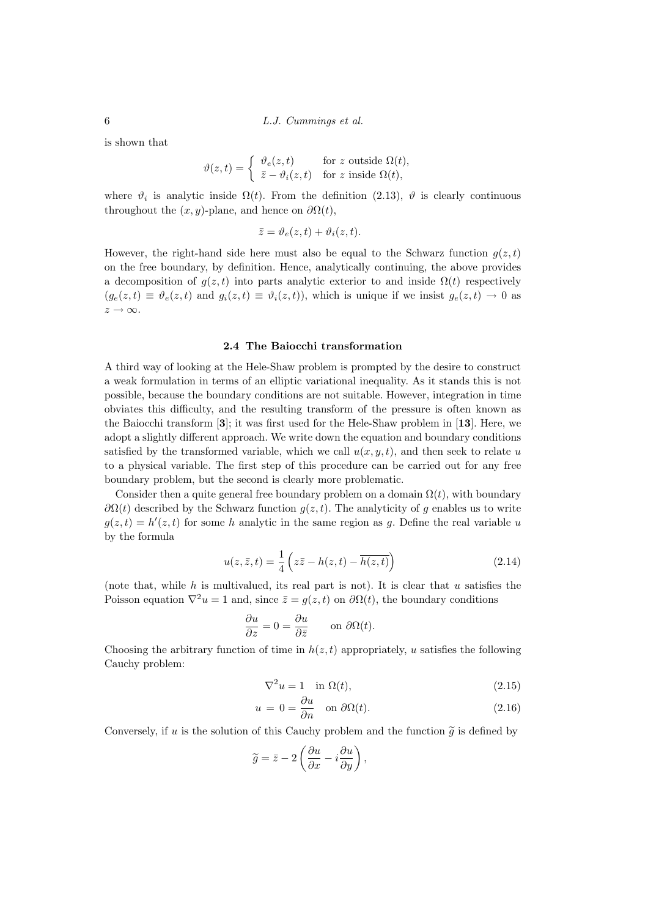is shown that

$$
\vartheta(z,t) = \begin{cases} \n\vartheta_e(z,t) & \text{for } z \text{ outside } \Omega(t), \\ \n\bar{z} - \vartheta_i(z,t) & \text{for } z \text{ inside } \Omega(t), \n\end{cases}
$$

where  $\vartheta_i$  is analytic inside  $\Omega(t)$ . From the definition (2.13),  $\vartheta$  is clearly continuous throughout the  $(x, y)$ -plane, and hence on  $\partial \Omega(t)$ ,

$$
\bar{z} = \vartheta_e(z, t) + \vartheta_i(z, t).
$$

However, the right-hand side here must also be equal to the Schwarz function  $g(z, t)$ on the free boundary, by definition. Hence, analytically continuing, the above provides a decomposition of  $q(z, t)$  into parts analytic exterior to and inside  $\Omega(t)$  respectively  $(g_e(z, t) \equiv \vartheta_e(z, t)$  and  $g_i(z, t) \equiv \vartheta_i(z, t)$ , which is unique if we insist  $g_e(z, t) \to 0$  as  $z \rightarrow \infty$ .

## 2.4 The Baiocchi transformation

A third way of looking at the Hele-Shaw problem is prompted by the desire to construct a weak formulation in terms of an elliptic variational inequality. As it stands this is not possible, because the boundary conditions are not suitable. However, integration in time obviates this difficulty, and the resulting transform of the pressure is often known as the Baiocchi transform [3]; it was first used for the Hele-Shaw problem in [13]. Here, we adopt a slightly different approach. We write down the equation and boundary conditions satisfied by the transformed variable, which we call  $u(x, y, t)$ , and then seek to relate u to a physical variable. The first step of this procedure can be carried out for any free boundary problem, but the second is clearly more problematic.

Consider then a quite general free boundary problem on a domain  $\Omega(t)$ , with boundary  $\partial\Omega(t)$  described by the Schwarz function  $g(z, t)$ . The analyticity of g enables us to write  $g(z,t) = h'(z,t)$  for some h analytic in the same region as g. Define the real variable u by the formula

$$
u(z,\bar{z},t) = \frac{1}{4} \left( z\bar{z} - h(z,t) - \overline{h(z,t)} \right)
$$
\n(2.14)

(note that, while  $h$  is multivalued, its real part is not). It is clear that  $u$  satisfies the Poisson equation  $\nabla^2 u = 1$  and, since  $\overline{z} = g(z, t)$  on  $\partial \Omega(t)$ , the boundary conditions

$$
\frac{\partial u}{\partial z} = 0 = \frac{\partial u}{\partial \bar{z}} \quad \text{on } \partial \Omega(t).
$$

Choosing the arbitrary function of time in  $h(z, t)$  appropriately, u satisfies the following Cauchy problem:

$$
\nabla^2 u = 1 \quad \text{in } \Omega(t), \tag{2.15}
$$

$$
u = 0 = \frac{\partial u}{\partial n} \quad \text{on } \partial \Omega(t). \tag{2.16}
$$

Conversely, if u is the solution of this Cauchy problem and the function  $\tilde{g}$  is defined by

$$
\widetilde{g} = \bar{z} - 2\left(\frac{\partial u}{\partial x} - i\frac{\partial u}{\partial y}\right),\,
$$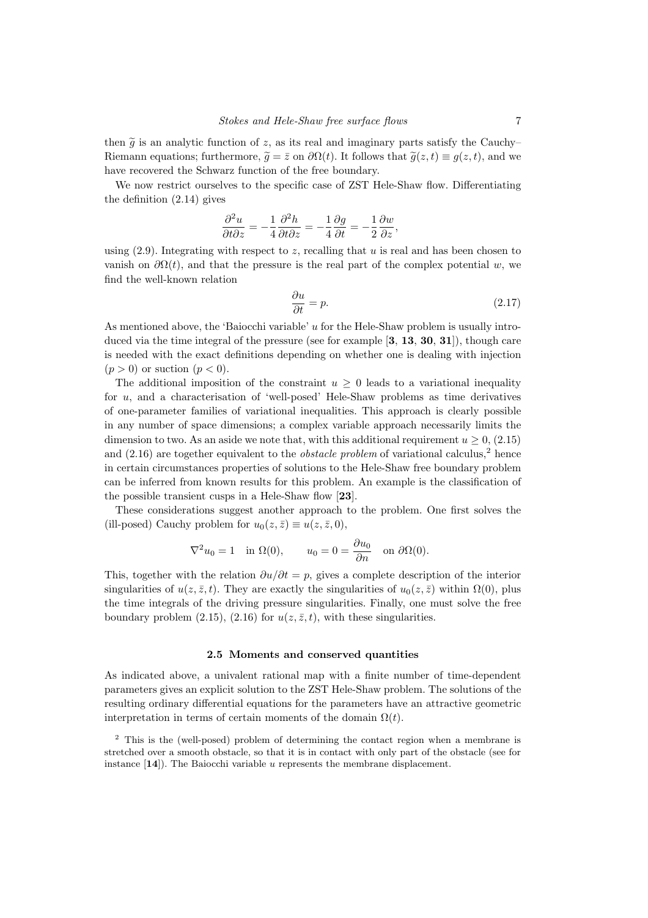then  $\tilde{g}$  is an analytic function of z, as its real and imaginary parts satisfy the Cauchy– Riemann equations; furthermore,  $\tilde{g} = \bar{z}$  on  $\partial \Omega(t)$ . It follows that  $\tilde{g}(z, t) \equiv g(z, t)$ , and we have recovered the Schwarz function of the free boundary.

We now restrict ourselves to the specific case of ZST Hele-Shaw flow. Differentiating the definition (2.14) gives

$$
\frac{\partial^2 u}{\partial t \partial z} = -\frac{1}{4} \frac{\partial^2 h}{\partial t \partial z} = -\frac{1}{4} \frac{\partial g}{\partial t} = -\frac{1}{2} \frac{\partial w}{\partial z},
$$

using  $(2.9)$ . Integrating with respect to z, recalling that u is real and has been chosen to vanish on  $\partial \Omega(t)$ , and that the pressure is the real part of the complex potential w, we find the well-known relation

$$
\frac{\partial u}{\partial t} = p. \tag{2.17}
$$

As mentioned above, the 'Baiocchi variable'  $u$  for the Hele-Shaw problem is usually introduced via the time integral of the pressure (see for example [3, 13, 30, 31]), though care is needed with the exact definitions depending on whether one is dealing with injection  $(p > 0)$  or suction  $(p < 0)$ .

The additional imposition of the constraint  $u \geq 0$  leads to a variational inequality for u, and a characterisation of 'well-posed' Hele-Shaw problems as time derivatives of one-parameter families of variational inequalities. This approach is clearly possible in any number of space dimensions; a complex variable approach necessarily limits the dimension to two. As an aside we note that, with this additional requirement  $u \ge 0$ , (2.15) and  $(2.16)$  are together equivalent to the *obstacle problem* of variational calculus,<sup>2</sup> hence in certain circumstances properties of solutions to the Hele-Shaw free boundary problem can be inferred from known results for this problem. An example is the classification of the possible transient cusps in a Hele-Shaw flow [23].

These considerations suggest another approach to the problem. One first solves the (ill-posed) Cauchy problem for  $u_0(z, \bar{z}) \equiv u(z, \bar{z}, 0)$ ,

$$
\nabla^2 u_0 = 1 \quad \text{in } \Omega(0), \qquad u_0 = 0 = \frac{\partial u_0}{\partial n} \quad \text{on } \partial\Omega(0).
$$

This, together with the relation  $\partial u/\partial t = p$ , gives a complete description of the interior singularities of  $u(z, \bar{z}, t)$ . They are exactly the singularities of  $u_0(z, \bar{z})$  within  $\Omega(0)$ , plus the time integrals of the driving pressure singularities. Finally, one must solve the free boundary problem (2.15), (2.16) for  $u(z, \bar{z}, t)$ , with these singularities.

## 2.5 Moments and conserved quantities

As indicated above, a univalent rational map with a finite number of time-dependent parameters gives an explicit solution to the ZST Hele-Shaw problem. The solutions of the resulting ordinary differential equations for the parameters have an attractive geometric interpretation in terms of certain moments of the domain  $\Omega(t)$ .

<sup>2</sup> This is the (well-posed) problem of determining the contact region when a membrane is stretched over a smooth obstacle, so that it is in contact with only part of the obstacle (see for instance [14]). The Baiocchi variable u represents the membrane displacement.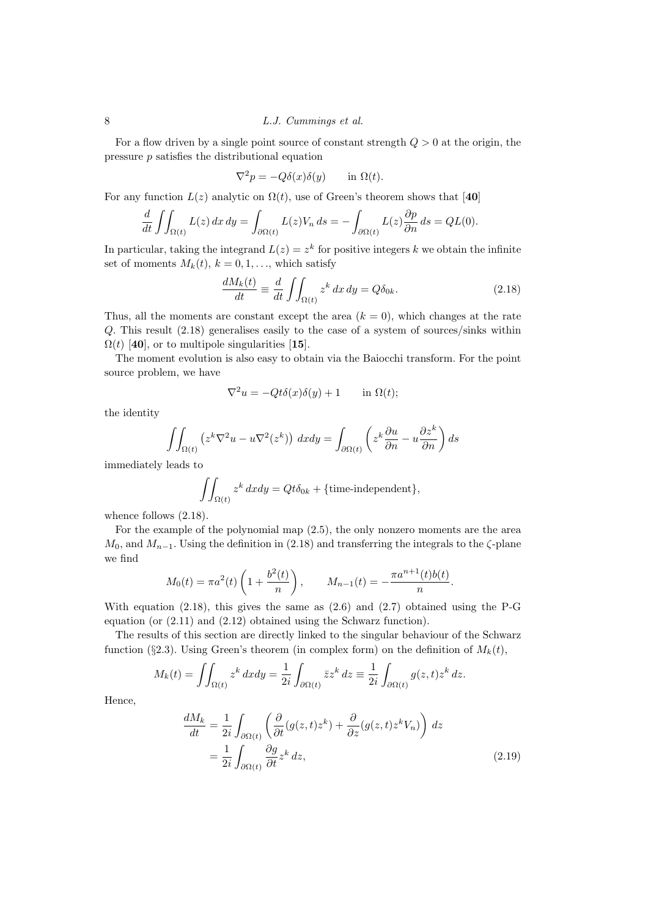For a flow driven by a single point source of constant strength  $Q > 0$  at the origin, the pressure p satisfies the distributional equation

$$
\nabla^2 p = -Q\delta(x)\delta(y) \quad \text{in } \Omega(t).
$$

For any function  $L(z)$  analytic on  $\Omega(t)$ , use of Green's theorem shows that [40]

$$
\frac{d}{dt} \iint_{\Omega(t)} L(z) dx dy = \int_{\partial \Omega(t)} L(z) V_n ds = - \int_{\partial \Omega(t)} L(z) \frac{\partial p}{\partial n} ds = QL(0).
$$

In particular, taking the integrand  $L(z) = z^k$  for positive integers k we obtain the infinite set of moments  $M_k(t)$ ,  $k = 0, 1, \ldots$ , which satisfy

$$
\frac{dM_k(t)}{dt} \equiv \frac{d}{dt} \iint_{\Omega(t)} z^k dx dy = Q\delta_{0k}.
$$
\n(2.18)

Thus, all the moments are constant except the area  $(k = 0)$ , which changes at the rate Q. This result (2.18) generalises easily to the case of a system of sources/sinks within  $\Omega(t)$  [40], or to multipole singularities [15].

The moment evolution is also easy to obtain via the Baiocchi transform. For the point source problem, we have

$$
\nabla^2 u = -Qt\delta(x)\delta(y) + 1 \quad \text{in } \Omega(t);
$$

the identity

$$
\iint_{\Omega(t)} \left( z^k \nabla^2 u - u \nabla^2(z^k) \right) dx dy = \int_{\partial \Omega(t)} \left( z^k \frac{\partial u}{\partial n} - u \frac{\partial z^k}{\partial n} \right) ds
$$

immediately leads to

$$
\iint_{\Omega(t)} z^k dx dy = Qt \delta_{0k} + \{\text{time-independent}\},\
$$

whence follows (2.18).

For the example of the polynomial map (2.5), the only nonzero moments are the area  $M_0$ , and  $M_{n-1}$ . Using the definition in (2.18) and transferring the integrals to the  $\zeta$ -plane we find

$$
M_0(t) = \pi a^2(t) \left( 1 + \frac{b^2(t)}{n} \right), \qquad M_{n-1}(t) = -\frac{\pi a^{n+1}(t)b(t)}{n}.
$$

With equation  $(2.18)$ , this gives the same as  $(2.6)$  and  $(2.7)$  obtained using the P-G equation (or (2.11) and (2.12) obtained using the Schwarz function).

The results of this section are directly linked to the singular behaviour of the Schwarz function (§2.3). Using Green's theorem (in complex form) on the definition of  $M_k(t)$ ,

$$
M_k(t) = \iint_{\Omega(t)} z^k dx dy = \frac{1}{2i} \int_{\partial\Omega(t)} \bar{z} z^k dz = \frac{1}{2i} \int_{\partial\Omega(t)} g(z, t) z^k dz.
$$

Hence,

$$
\frac{dM_k}{dt} = \frac{1}{2i} \int_{\partial \Omega(t)} \left( \frac{\partial}{\partial t} (g(z, t) z^k) + \frac{\partial}{\partial z} (g(z, t) z^k V_n) \right) dz
$$

$$
= \frac{1}{2i} \int_{\partial \Omega(t)} \frac{\partial g}{\partial t} z^k dz,
$$
(2.19)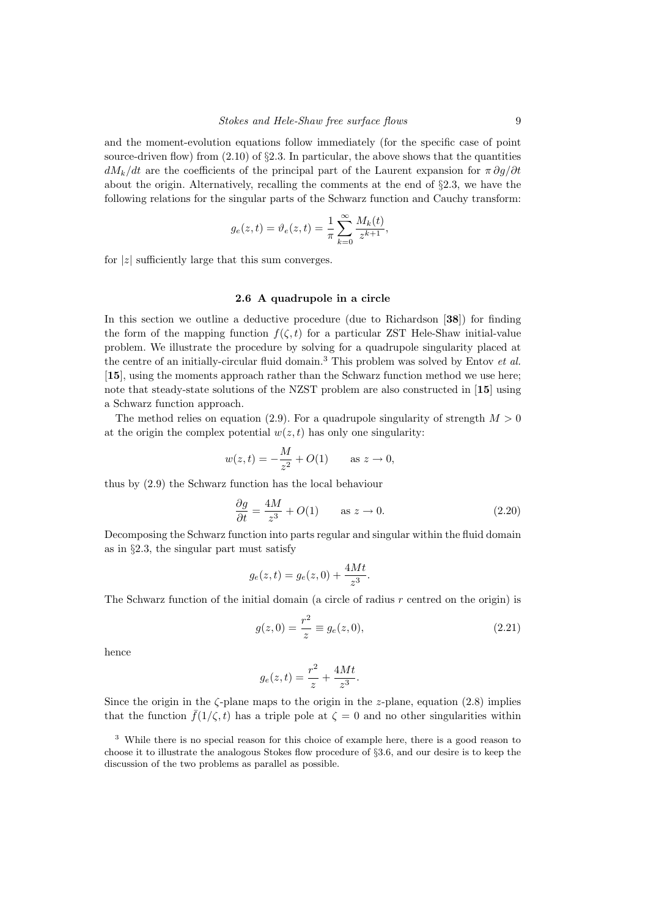and the moment-evolution equations follow immediately (for the specific case of point source-driven flow) from  $(2.10)$  of  $\S2.3$ . In particular, the above shows that the quantities  $dM_k/dt$  are the coefficients of the principal part of the Laurent expansion for  $\pi \partial q/\partial t$ about the origin. Alternatively, recalling the comments at the end of §2.3, we have the following relations for the singular parts of the Schwarz function and Cauchy transform:

$$
g_e(z,t) = \vartheta_e(z,t) = \frac{1}{\pi} \sum_{k=0}^{\infty} \frac{M_k(t)}{z^{k+1}},
$$

for  $|z|$  sufficiently large that this sum converges.

# 2.6 A quadrupole in a circle

In this section we outline a deductive procedure (due to Richardson [38]) for finding the form of the mapping function  $f(\zeta, t)$  for a particular ZST Hele-Shaw initial-value problem. We illustrate the procedure by solving for a quadrupole singularity placed at the centre of an initially-circular fluid domain.<sup>3</sup> This problem was solved by Entov  $et al$ . [15], using the moments approach rather than the Schwarz function method we use here; note that steady-state solutions of the NZST problem are also constructed in [15] using a Schwarz function approach.

The method relies on equation (2.9). For a quadrupole singularity of strength  $M > 0$ at the origin the complex potential  $w(z, t)$  has only one singularity:

$$
w(z,t) = -\frac{M}{z^2} + O(1)
$$
 as  $z \to 0$ ,

thus by (2.9) the Schwarz function has the local behaviour

$$
\frac{\partial g}{\partial t} = \frac{4M}{z^3} + O(1) \qquad \text{as } z \to 0. \tag{2.20}
$$

Decomposing the Schwarz function into parts regular and singular within the fluid domain as in §2.3, the singular part must satisfy

$$
g_e(z,t) = g_e(z,0) + \frac{4Mt}{z^3}.
$$

The Schwarz function of the initial domain (a circle of radius  $r$  centred on the origin) is

$$
g(z,0) = \frac{r^2}{z} \equiv g_e(z,0),
$$
\n(2.21)

hence

$$
g_e(z,t) = \frac{r^2}{z} + \frac{4Mt}{z^3}.
$$

Since the origin in the  $\zeta$ -plane maps to the origin in the z-plane, equation (2.8) implies that the function  $\bar{f}(1/\zeta,t)$  has a triple pole at  $\zeta=0$  and no other singularities within

<sup>3</sup> While there is no special reason for this choice of example here, there is a good reason to choose it to illustrate the analogous Stokes flow procedure of §3.6, and our desire is to keep the discussion of the two problems as parallel as possible.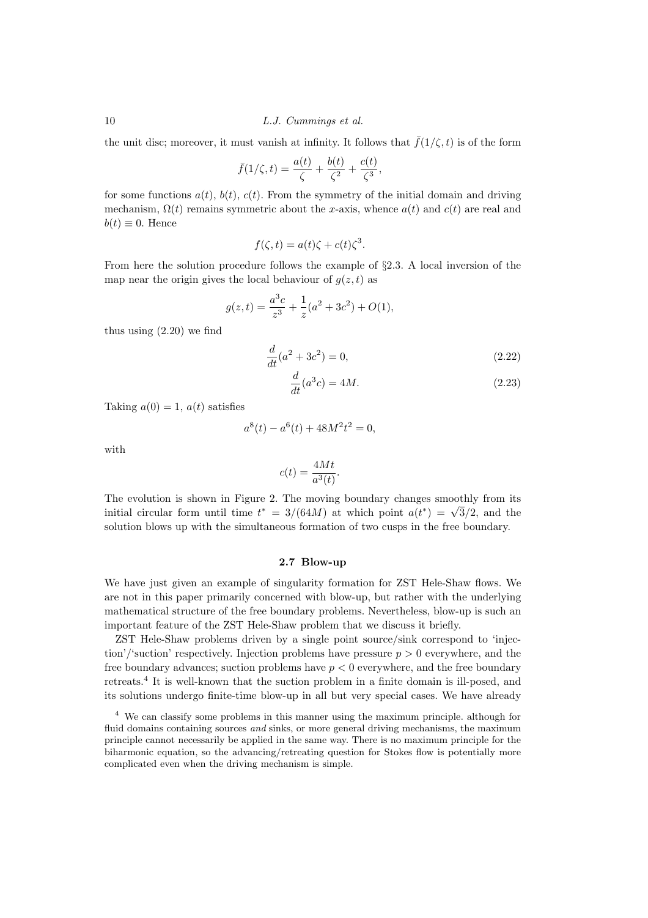the unit disc; moreover, it must vanish at infinity. It follows that  $\bar{f}(1/\zeta, t)$  is of the form

$$
\bar{f}(1/\zeta, t) = \frac{a(t)}{\zeta} + \frac{b(t)}{\zeta^2} + \frac{c(t)}{\zeta^3},
$$

for some functions  $a(t)$ ,  $b(t)$ ,  $c(t)$ . From the symmetry of the initial domain and driving mechanism,  $\Omega(t)$  remains symmetric about the x-axis, whence  $a(t)$  and  $c(t)$  are real and  $b(t) \equiv 0$ . Hence

$$
f(\zeta, t) = a(t)\zeta + c(t)\zeta^3.
$$

From here the solution procedure follows the example of §2.3. A local inversion of the map near the origin gives the local behaviour of  $g(z, t)$  as

$$
g(z,t) = \frac{a^3c}{z^3} + \frac{1}{z}(a^2 + 3c^2) + O(1),
$$

thus using (2.20) we find

$$
\frac{d}{dt}(a^2 + 3c^2) = 0,\t(2.22)
$$

$$
\frac{d}{dt}(a^3c) = 4M.\t(2.23)
$$

Taking  $a(0) = 1$ ,  $a(t)$  satisfies

$$
a^8(t) - a^6(t) + 48M^2t^2 = 0,
$$

with

$$
c(t) = \frac{4Mt}{a^3(t)}.
$$

The evolution is shown in Figure 2. The moving boundary changes smoothly from its initial circular form until time  $t^* = 3/(64M)$  at which point  $a(t^*) = \sqrt{3}/2$ , and the solution blows up with the simultaneous formation of two cusps in the free boundary.

#### 2.7 Blow-up

We have just given an example of singularity formation for ZST Hele-Shaw flows. We are not in this paper primarily concerned with blow-up, but rather with the underlying mathematical structure of the free boundary problems. Nevertheless, blow-up is such an important feature of the ZST Hele-Shaw problem that we discuss it briefly.

ZST Hele-Shaw problems driven by a single point source/sink correspond to 'injection'/'suction' respectively. Injection problems have pressure  $p > 0$  everywhere, and the free boundary advances; suction problems have  $p < 0$  everywhere, and the free boundary retreats.<sup>4</sup> It is well-known that the suction problem in a finite domain is ill-posed, and its solutions undergo finite-time blow-up in all but very special cases. We have already

<sup>4</sup> We can classify some problems in this manner using the maximum principle. although for fluid domains containing sources and sinks, or more general driving mechanisms, the maximum principle cannot necessarily be applied in the same way. There is no maximum principle for the biharmonic equation, so the advancing/retreating question for Stokes flow is potentially more complicated even when the driving mechanism is simple.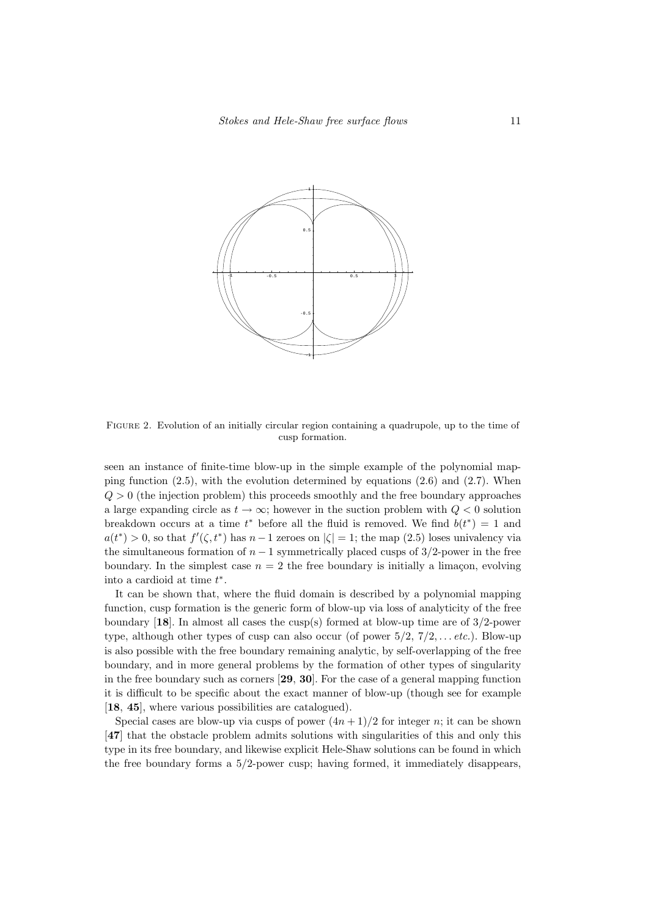

Figure 2. Evolution of an initially circular region containing a quadrupole, up to the time of cusp formation.

seen an instance of finite-time blow-up in the simple example of the polynomial mapping function  $(2.5)$ , with the evolution determined by equations  $(2.6)$  and  $(2.7)$ . When  $Q > 0$  (the injection problem) this proceeds smoothly and the free boundary approaches a large expanding circle as  $t \to \infty$ ; however in the suction problem with  $Q < 0$  solution breakdown occurs at a time  $t^*$  before all the fluid is removed. We find  $b(t^*) = 1$  and  $a(t^*) > 0$ , so that  $f'(\zeta, t^*)$  has  $n-1$  zeroes on  $|\zeta| = 1$ ; the map (2.5) loses univalency via the simultaneous formation of  $n - 1$  symmetrically placed cusps of  $3/2$ -power in the free boundary. In the simplest case  $n = 2$  the free boundary is initially a limaçon, evolving into a cardioid at time  $t^*$ .

It can be shown that, where the fluid domain is described by a polynomial mapping function, cusp formation is the generic form of blow-up via loss of analyticity of the free boundary  $[18]$ . In almost all cases the cusp(s) formed at blow-up time are of  $3/2$ -power type, although other types of cusp can also occur (of power  $5/2$ ,  $7/2$ ,... *etc.*). Blow-up is also possible with the free boundary remaining analytic, by self-overlapping of the free boundary, and in more general problems by the formation of other types of singularity in the free boundary such as corners [29, 30]. For the case of a general mapping function it is difficult to be specific about the exact manner of blow-up (though see for example [18, 45], where various possibilities are catalogued).

Special cases are blow-up via cusps of power  $(4n+1)/2$  for integer n; it can be shown [47] that the obstacle problem admits solutions with singularities of this and only this type in its free boundary, and likewise explicit Hele-Shaw solutions can be found in which the free boundary forms a 5/2-power cusp; having formed, it immediately disappears,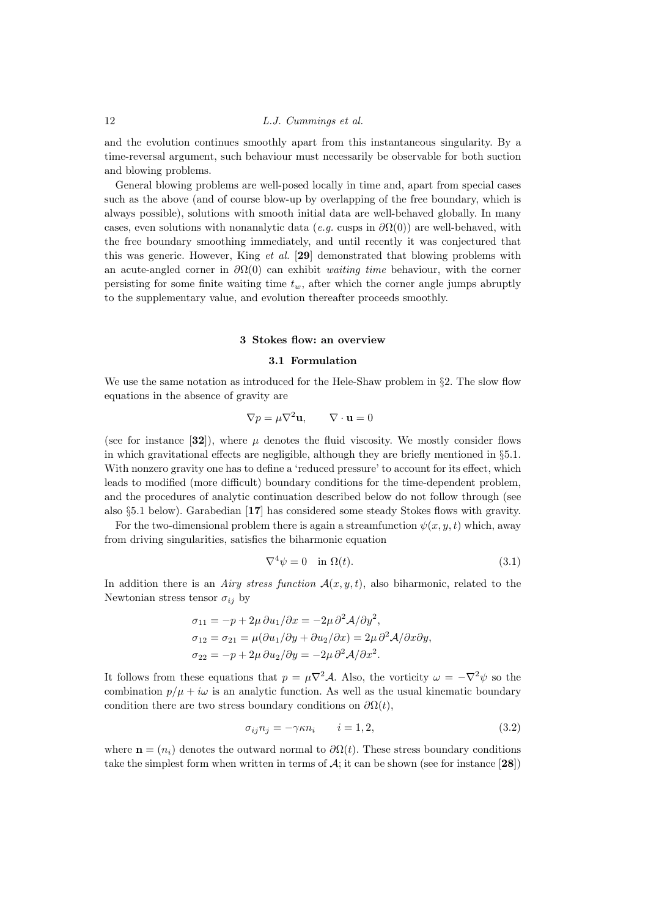and the evolution continues smoothly apart from this instantaneous singularity. By a time-reversal argument, such behaviour must necessarily be observable for both suction and blowing problems.

General blowing problems are well-posed locally in time and, apart from special cases such as the above (and of course blow-up by overlapping of the free boundary, which is always possible), solutions with smooth initial data are well-behaved globally. In many cases, even solutions with nonanalytic data (e.g. cusps in  $\partial\Omega(0)$ ) are well-behaved, with the free boundary smoothing immediately, and until recently it was conjectured that this was generic. However, King et al. [29] demonstrated that blowing problems with an acute-angled corner in  $\partial \Omega(0)$  can exhibit *waiting time* behaviour, with the corner persisting for some finite waiting time  $t_w$ , after which the corner angle jumps abruptly to the supplementary value, and evolution thereafter proceeds smoothly.

# 3 Stokes flow: an overview

# 3.1 Formulation

We use the same notation as introduced for the Hele-Shaw problem in  $\S2$ . The slow flow equations in the absence of gravity are

$$
\nabla p = \mu \nabla^2 \mathbf{u}, \qquad \nabla \cdot \mathbf{u} = 0
$$

(see for instance  $[32]$ ), where  $\mu$  denotes the fluid viscosity. We mostly consider flows in which gravitational effects are negligible, although they are briefly mentioned in §5.1. With nonzero gravity one has to define a 'reduced pressure' to account for its effect, which leads to modified (more difficult) boundary conditions for the time-dependent problem, and the procedures of analytic continuation described below do not follow through (see also §5.1 below). Garabedian [17] has considered some steady Stokes flows with gravity.

For the two-dimensional problem there is again a streamfunction  $\psi(x, y, t)$  which, away from driving singularities, satisfies the biharmonic equation

$$
\nabla^4 \psi = 0 \quad \text{in } \Omega(t). \tag{3.1}
$$

In addition there is an *Airy stress function*  $\mathcal{A}(x, y, t)$ , also biharmonic, related to the Newtonian stress tensor  $\sigma_{ij}$  by

$$
\sigma_{11} = -p + 2\mu \partial u_1/\partial x = -2\mu \partial^2 \mathcal{A}/\partial y^2,
$$
  
\n
$$
\sigma_{12} = \sigma_{21} = \mu(\partial u_1/\partial y + \partial u_2/\partial x) = 2\mu \partial^2 \mathcal{A}/\partial x \partial y,
$$
  
\n
$$
\sigma_{22} = -p + 2\mu \partial u_2/\partial y = -2\mu \partial^2 \mathcal{A}/\partial x^2.
$$

It follows from these equations that  $p = \mu \nabla^2 A$ . Also, the vorticity  $\omega = -\nabla^2 \psi$  so the combination  $p/\mu + i\omega$  is an analytic function. As well as the usual kinematic boundary condition there are two stress boundary conditions on  $\partial \Omega(t)$ ,

$$
\sigma_{ij} n_j = -\gamma \kappa n_i \qquad i = 1, 2, \tag{3.2}
$$

where  $\mathbf{n} = (n_i)$  denotes the outward normal to  $\partial \Omega(t)$ . These stress boundary conditions take the simplest form when written in terms of  $\mathcal{A}$ ; it can be shown (see for instance [28])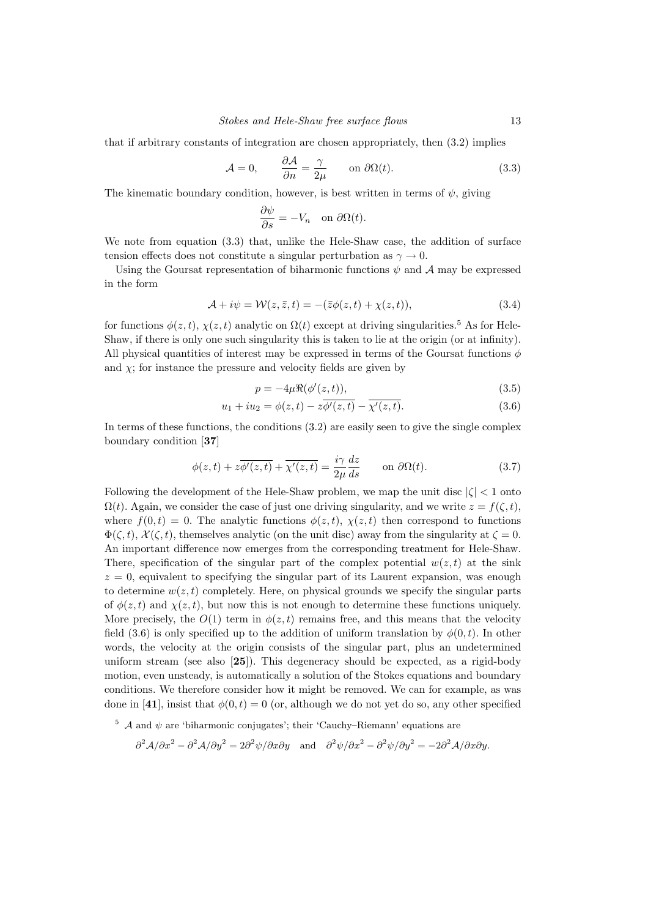that if arbitrary constants of integration are chosen appropriately, then (3.2) implies

$$
\mathcal{A} = 0, \qquad \frac{\partial \mathcal{A}}{\partial n} = \frac{\gamma}{2\mu} \qquad \text{on } \partial \Omega(t). \tag{3.3}
$$

The kinematic boundary condition, however, is best written in terms of  $\psi$ , giving

$$
\frac{\partial \psi}{\partial s} = -V_n \quad \text{on } \partial \Omega(t).
$$

We note from equation (3.3) that, unlike the Hele-Shaw case, the addition of surface tension effects does not constitute a singular perturbation as  $\gamma \to 0$ .

Using the Goursat representation of biharmonic functions  $\psi$  and A may be expressed in the form

$$
\mathcal{A} + i\psi = \mathcal{W}(z, \bar{z}, t) = -(\bar{z}\phi(z, t) + \chi(z, t)),\tag{3.4}
$$

for functions  $\phi(z, t)$ ,  $\chi(z, t)$  analytic on  $\Omega(t)$  except at driving singularities.<sup>5</sup> As for Hele-Shaw, if there is only one such singularity this is taken to lie at the origin (or at infinity). All physical quantities of interest may be expressed in terms of the Goursat functions  $\phi$ and  $\chi$ ; for instance the pressure and velocity fields are given by

$$
p = -4\mu \Re(\phi'(z, t)),\tag{3.5}
$$

$$
u_1 + i u_2 = \phi(z, t) - z \phi'(z, t) - \chi'(z, t).
$$
\n(3.6)

In terms of these functions, the conditions (3.2) are easily seen to give the single complex boundary condition [37]

$$
\phi(z,t) + z\overline{\phi'(z,t)} + \overline{\chi'(z,t)} = \frac{i\gamma}{2\mu} \frac{dz}{ds} \quad \text{on } \partial\Omega(t). \tag{3.7}
$$

Following the development of the Hele-Shaw problem, we map the unit disc  $|\zeta|$  < 1 onto  $\Omega(t)$ . Again, we consider the case of just one driving singularity, and we write  $z = f(\zeta, t)$ , where  $f(0, t) = 0$ . The analytic functions  $\phi(z, t)$ ,  $\chi(z, t)$  then correspond to functions  $\Phi(\zeta, t), \mathcal{X}(\zeta, t)$ , themselves analytic (on the unit disc) away from the singularity at  $\zeta = 0$ . An important difference now emerges from the corresponding treatment for Hele-Shaw. There, specification of the singular part of the complex potential  $w(z, t)$  at the sink  $z = 0$ , equivalent to specifying the singular part of its Laurent expansion, was enough to determine  $w(z, t)$  completely. Here, on physical grounds we specify the singular parts of  $\phi(z, t)$  and  $\chi(z, t)$ , but now this is not enough to determine these functions uniquely. More precisely, the  $O(1)$  term in  $\phi(z,t)$  remains free, and this means that the velocity field (3.6) is only specified up to the addition of uniform translation by  $\phi(0, t)$ . In other words, the velocity at the origin consists of the singular part, plus an undetermined uniform stream (see also [25]). This degeneracy should be expected, as a rigid-body motion, even unsteady, is automatically a solution of the Stokes equations and boundary conditions. We therefore consider how it might be removed. We can for example, as was done in [41], insist that  $\phi(0, t) = 0$  (or, although we do not yet do so, any other specified

<sup>5</sup> A and  $\psi$  are 'biharmonic conjugates'; their 'Cauchy–Riemann' equations are

$$
\partial^2 \mathcal{A}/\partial x^2 - \partial^2 \mathcal{A}/\partial y^2 = 2\partial^2 \psi / \partial x \partial y \quad \text{and} \quad \partial^2 \psi / \partial x^2 - \partial^2 \psi / \partial y^2 = -2\partial^2 \mathcal{A}/\partial x \partial y.
$$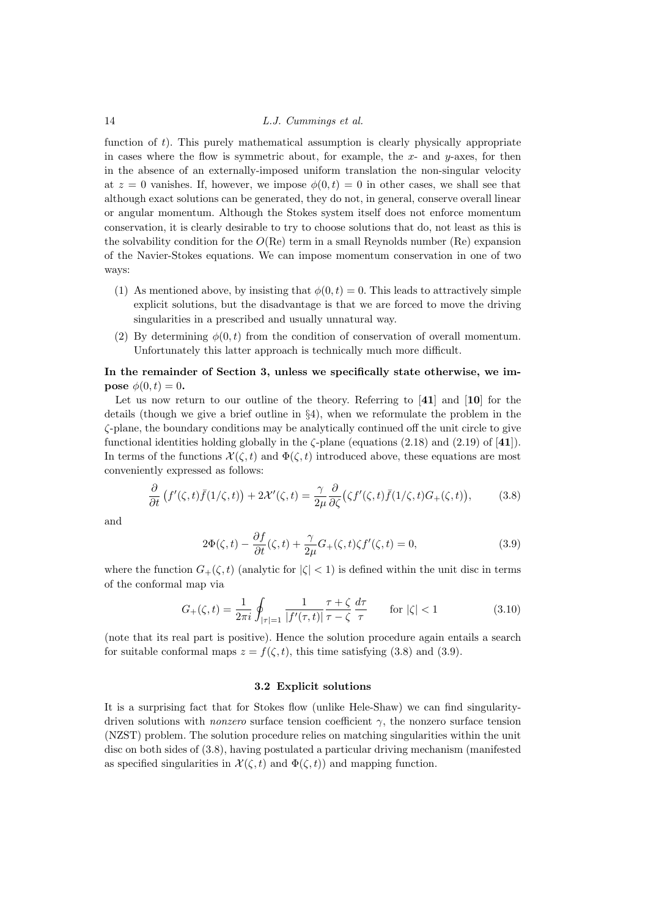function of t). This purely mathematical assumption is clearly physically appropriate in cases where the flow is symmetric about, for example, the  $x$ - and  $y$ -axes, for then in the absence of an externally-imposed uniform translation the non-singular velocity at  $z = 0$  vanishes. If, however, we impose  $\phi(0, t) = 0$  in other cases, we shall see that although exact solutions can be generated, they do not, in general, conserve overall linear or angular momentum. Although the Stokes system itself does not enforce momentum conservation, it is clearly desirable to try to choose solutions that do, not least as this is the solvability condition for the  $O(Re)$  term in a small Reynolds number  $(Re)$  expansion of the Navier-Stokes equations. We can impose momentum conservation in one of two ways:

- (1) As mentioned above, by insisting that  $\phi(0, t) = 0$ . This leads to attractively simple explicit solutions, but the disadvantage is that we are forced to move the driving singularities in a prescribed and usually unnatural way.
- (2) By determining  $\phi(0, t)$  from the condition of conservation of overall momentum. Unfortunately this latter approach is technically much more difficult.

# In the remainder of Section 3, unless we specifically state otherwise, we impose  $\phi(0, t) = 0$ .

Let us now return to our outline of the theory. Referring to  $[41]$  and  $[10]$  for the details (though we give a brief outline in §4), when we reformulate the problem in the ζ-plane, the boundary conditions may be analytically continued off the unit circle to give functional identities holding globally in the  $\zeta$ -plane (equations (2.18) and (2.19) of [41]). In terms of the functions  $\mathcal{X}(\zeta,t)$  and  $\Phi(\zeta,t)$  introduced above, these equations are most conveniently expressed as follows:

$$
\frac{\partial}{\partial t}\left(f'(\zeta,t)\bar{f}(1/\zeta,t)\right) + 2\mathcal{X}'(\zeta,t) = \frac{\gamma}{2\mu}\frac{\partial}{\partial \zeta}\left(\zeta f'(\zeta,t)\bar{f}(1/\zeta,t)G_+(\zeta,t)\right),\tag{3.8}
$$

and

$$
2\Phi(\zeta,t) - \frac{\partial f}{\partial t}(\zeta,t) + \frac{\gamma}{2\mu}G_+(\zeta,t)\zeta f'(\zeta,t) = 0,
$$
\n(3.9)

where the function  $G_{+}(\zeta, t)$  (analytic for  $|\zeta| < 1$ ) is defined within the unit disc in terms of the conformal map via

$$
G_{+}(\zeta, t) = \frac{1}{2\pi i} \oint_{|\tau|=1} \frac{1}{|f'(\tau, t)|} \frac{\tau + \zeta}{\tau - \zeta} \frac{d\tau}{\tau} \qquad \text{for } |\zeta| < 1
$$
 (3.10)

(note that its real part is positive). Hence the solution procedure again entails a search for suitable conformal maps  $z = f(\zeta, t)$ , this time satisfying (3.8) and (3.9).

# 3.2 Explicit solutions

It is a surprising fact that for Stokes flow (unlike Hele-Shaw) we can find singularitydriven solutions with *nonzero* surface tension coefficient  $\gamma$ , the nonzero surface tension (NZST) problem. The solution procedure relies on matching singularities within the unit disc on both sides of (3.8), having postulated a particular driving mechanism (manifested as specified singularities in  $\mathcal{X}(\zeta, t)$  and  $\Phi(\zeta, t)$  and mapping function.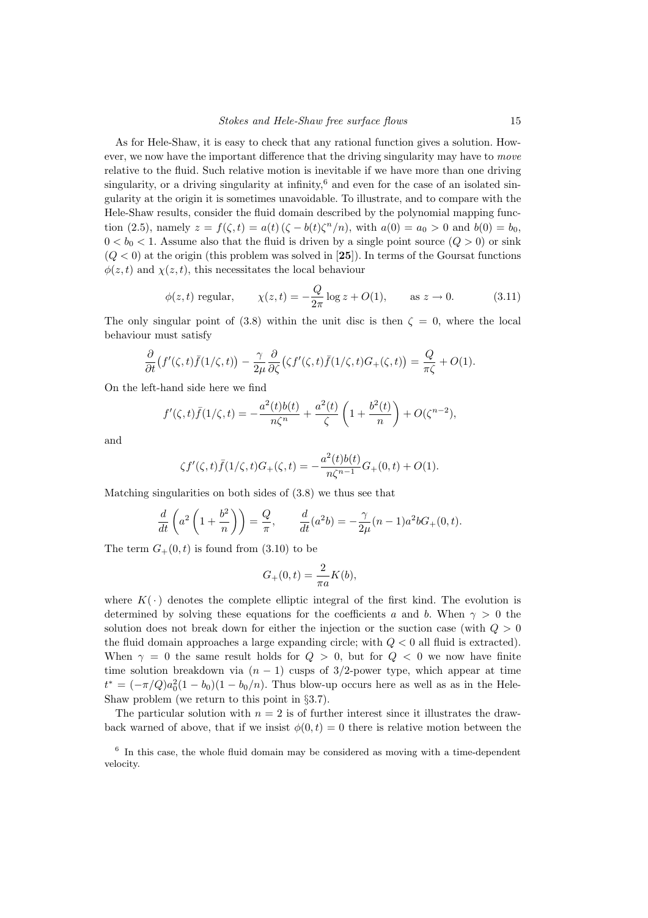As for Hele-Shaw, it is easy to check that any rational function gives a solution. However, we now have the important difference that the driving singularity may have to move relative to the fluid. Such relative motion is inevitable if we have more than one driving singularity, or a driving singularity at infinity,<sup>6</sup> and even for the case of an isolated singularity at the origin it is sometimes unavoidable. To illustrate, and to compare with the Hele-Shaw results, consider the fluid domain described by the polynomial mapping function (2.5), namely  $z = f(\zeta, t) = a(t) (\zeta - b(t)\zeta^n/n)$ , with  $a(0) = a_0 > 0$  and  $b(0) = b_0$ ,  $0 < b_0 < 1$ . Assume also that the fluid is driven by a single point source  $(Q > 0)$  or sink  $(Q < 0)$  at the origin (this problem was solved in [25]). In terms of the Goursat functions  $\phi(z, t)$  and  $\chi(z, t)$ , this necessitates the local behaviour

$$
\phi(z,t) \text{ regular}, \qquad \chi(z,t) = -\frac{Q}{2\pi} \log z + O(1), \qquad \text{as } z \to 0. \tag{3.11}
$$

The only singular point of (3.8) within the unit disc is then  $\zeta = 0$ , where the local behaviour must satisfy

$$
\frac{\partial}{\partial t}\big(f'(\zeta,t)\bar{f}(1/\zeta,t)\big)-\frac{\gamma}{2\mu}\frac{\partial}{\partial \zeta}\big(\zeta f'(\zeta,t)\bar{f}(1/\zeta,t)G_{+}(\zeta,t)\big)=\frac{Q}{\pi\zeta}+O(1).
$$

On the left-hand side here we find

$$
f'(\zeta, t)\bar{f}(1/\zeta, t) = -\frac{a^2(t)b(t)}{n\zeta^n} + \frac{a^2(t)}{\zeta} \left(1 + \frac{b^2(t)}{n}\right) + O(\zeta^{n-2}),
$$

and

$$
\zeta f'(\zeta,t) \bar{f}(1/\zeta,t) G_+(\zeta,t) = -\frac{a^2(t)b(t)}{n\zeta^{n-1}} G_+(0,t) + O(1).
$$

Matching singularities on both sides of (3.8) we thus see that

$$
\frac{d}{dt}\left(a^2\left(1+\frac{b^2}{n}\right)\right) = \frac{Q}{\pi}, \qquad \frac{d}{dt}(a^2b) = -\frac{\gamma}{2\mu}(n-1)a^2bG_+(0,t).
$$

The term  $G_{+}(0, t)$  is found from (3.10) to be

$$
G_+(0,t)=\frac{2}{\pi a}K(b),
$$

where  $K(\cdot)$  denotes the complete elliptic integral of the first kind. The evolution is determined by solving these equations for the coefficients a and b. When  $\gamma > 0$  the solution does not break down for either the injection or the suction case (with  $Q > 0$ the fluid domain approaches a large expanding circle; with  $Q < 0$  all fluid is extracted). When  $\gamma = 0$  the same result holds for  $Q > 0$ , but for  $Q < 0$  we now have finite time solution breakdown via  $(n - 1)$  cusps of 3/2-power type, which appear at time  $t^* = (-\pi/Q)a_0^2(1-b_0)(1-b_0/n)$ . Thus blow-up occurs here as well as as in the Hele-Shaw problem (we return to this point in §3.7).

The particular solution with  $n = 2$  is of further interest since it illustrates the drawback warned of above, that if we insist  $\phi(0, t) = 0$  there is relative motion between the

<sup>&</sup>lt;sup>6</sup> In this case, the whole fluid domain may be considered as moving with a time-dependent velocity.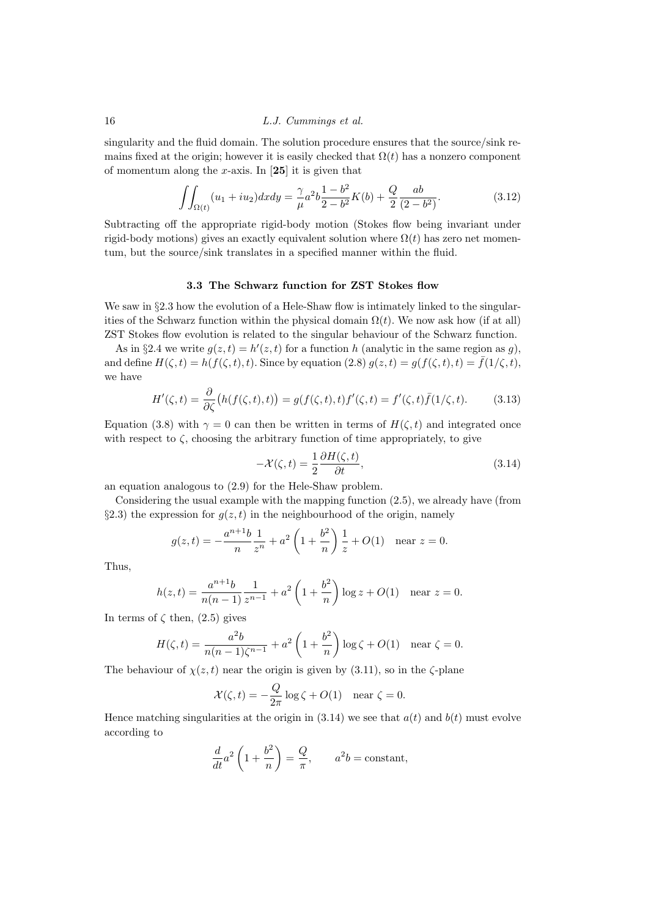singularity and the fluid domain. The solution procedure ensures that the source/sink remains fixed at the origin; however it is easily checked that  $\Omega(t)$  has a nonzero component of momentum along the x-axis. In  $[25]$  it is given that

$$
\int_{\Omega(t)} (u_1 + iu_2) dx dy = \frac{\gamma}{\mu} a^2 b \frac{1 - b^2}{2 - b^2} K(b) + \frac{Q}{2} \frac{ab}{(2 - b^2)}.
$$
 (3.12)

Subtracting off the appropriate rigid-body motion (Stokes flow being invariant under rigid-body motions) gives an exactly equivalent solution where  $\Omega(t)$  has zero net momentum, but the source/sink translates in a specified manner within the fluid.

#### 3.3 The Schwarz function for ZST Stokes flow

We saw in §2.3 how the evolution of a Hele-Shaw flow is intimately linked to the singularities of the Schwarz function within the physical domain  $\Omega(t)$ . We now ask how (if at all) ZST Stokes flow evolution is related to the singular behaviour of the Schwarz function.

As in §2.4 we write  $g(z,t) = h'(z,t)$  for a function h (analytic in the same region as g), and define  $H(\zeta, t) = h(f(\zeta, t), t)$ . Since by equation  $(2.8)$   $g(z, t) = g(f(\zeta, t), t) = \overline{f}(1/\zeta, t)$ , we have

$$
H'(\zeta, t) = \frac{\partial}{\partial \zeta} \big( h(f(\zeta, t), t) \big) = g(f(\zeta, t), t) f'(\zeta, t) = f'(\zeta, t) \bar{f}(1/\zeta, t). \tag{3.13}
$$

Equation (3.8) with  $\gamma = 0$  can then be written in terms of  $H(\zeta, t)$  and integrated once with respect to  $\zeta$ , choosing the arbitrary function of time appropriately, to give

$$
-\mathcal{X}(\zeta, t) = \frac{1}{2} \frac{\partial H(\zeta, t)}{\partial t},\tag{3.14}
$$

an equation analogous to (2.9) for the Hele-Shaw problem.

Considering the usual example with the mapping function (2.5), we already have (from §2.3) the expression for  $g(z, t)$  in the neighbourhood of the origin, namely

$$
g(z,t) = -\frac{a^{n+1}b}{n} \frac{1}{z^n} + a^2 \left(1 + \frac{b^2}{n}\right) \frac{1}{z} + O(1) \quad \text{near } z = 0.
$$

Thus,

$$
h(z,t) = \frac{a^{n+1}b}{n(n-1)} \frac{1}{z^{n-1}} + a^2 \left(1 + \frac{b^2}{n}\right) \log z + O(1) \quad \text{near } z = 0.
$$

In terms of  $\zeta$  then, (2.5) gives

$$
H(\zeta, t) = \frac{a^2 b}{n(n-1)\zeta^{n-1}} + a^2 \left(1 + \frac{b^2}{n}\right) \log \zeta + O(1) \quad \text{near } \zeta = 0.
$$

The behaviour of  $\chi(z, t)$  near the origin is given by (3.11), so in the  $\zeta$ -plane

$$
\mathcal{X}(\zeta, t) = -\frac{Q}{2\pi} \log \zeta + O(1) \quad \text{near } \zeta = 0.
$$

Hence matching singularities at the origin in  $(3.14)$  we see that  $a(t)$  and  $b(t)$  must evolve according to

$$
\frac{d}{dt}a^2\left(1+\frac{b^2}{n}\right) = \frac{Q}{\pi}, \qquad a^2b = \text{constant},
$$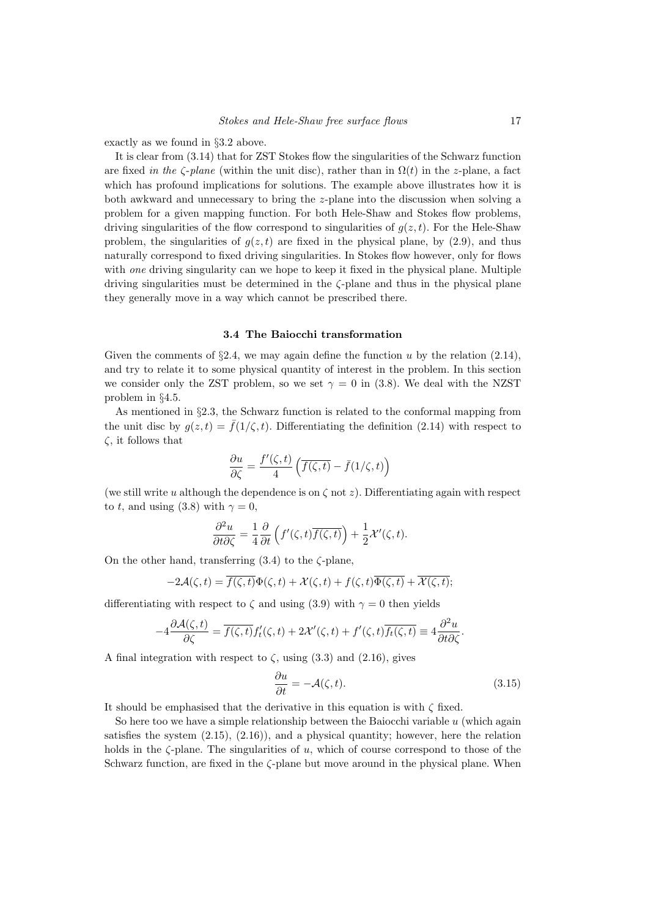exactly as we found in §3.2 above.

It is clear from (3.14) that for ZST Stokes flow the singularities of the Schwarz function are fixed in the  $\zeta$ -plane (within the unit disc), rather than in  $\Omega(t)$  in the z-plane, a fact which has profound implications for solutions. The example above illustrates how it is both awkward and unnecessary to bring the z-plane into the discussion when solving a problem for a given mapping function. For both Hele-Shaw and Stokes flow problems, driving singularities of the flow correspond to singularities of  $q(z, t)$ . For the Hele-Shaw problem, the singularities of  $q(z, t)$  are fixed in the physical plane, by (2.9), and thus naturally correspond to fixed driving singularities. In Stokes flow however, only for flows with *one* driving singularity can we hope to keep it fixed in the physical plane. Multiple driving singularities must be determined in the  $\zeta$ -plane and thus in the physical plane they generally move in a way which cannot be prescribed there.

#### 3.4 The Baiocchi transformation

Given the comments of  $\S 2.4$ , we may again define the function u by the relation  $(2.14)$ , and try to relate it to some physical quantity of interest in the problem. In this section we consider only the ZST problem, so we set  $\gamma = 0$  in (3.8). We deal with the NZST problem in §4.5.

As mentioned in §2.3, the Schwarz function is related to the conformal mapping from the unit disc by  $g(z,t) = \bar{f}(1/\zeta,t)$ . Differentiating the definition (2.14) with respect to ζ, it follows that

$$
\frac{\partial u}{\partial \zeta} = \frac{f'(\zeta, t)}{4} \left( \overline{f(\zeta, t)} - \overline{f}(1/\zeta, t) \right)
$$

(we still write u although the dependence is on  $\zeta$  not z). Differentiating again with respect to t, and using (3.8) with  $\gamma = 0$ ,

$$
\frac{\partial^2 u}{\partial t \partial \zeta} = \frac{1}{4} \frac{\partial}{\partial t} \left( f'(\zeta, t) \overline{f(\zeta, t)} \right) + \frac{1}{2} \mathcal{X}'(\zeta, t).
$$

On the other hand, transferring  $(3.4)$  to the  $\zeta$ -plane,

$$
-2\mathcal{A}(\zeta,t) = \overline{f(\zeta,t)}\Phi(\zeta,t) + \mathcal{X}(\zeta,t) + f(\zeta,t)\overline{\Phi(\zeta,t)} + \overline{\mathcal{X}(\zeta,t)};
$$

differentiating with respect to  $\zeta$  and using (3.9) with  $\gamma = 0$  then yields

$$
-4\frac{\partial \mathcal{A}(\zeta,t)}{\partial \zeta} = \overline{f(\zeta,t)}f'_t(\zeta,t) + 2\mathcal{X}'(\zeta,t) + f'(\zeta,t)\overline{f_t(\zeta,t)} \equiv 4\frac{\partial^2 u}{\partial t \partial \zeta}.
$$

A final integration with respect to  $\zeta$ , using (3.3) and (2.16), gives

$$
\frac{\partial u}{\partial t} = -\mathcal{A}(\zeta, t). \tag{3.15}
$$

It should be emphasised that the derivative in this equation is with  $\zeta$  fixed.

So here too we have a simple relationship between the Baiocchi variable u (which again satisfies the system  $(2.15)$ ,  $(2.16)$ ), and a physical quantity; however, here the relation holds in the  $\zeta$ -plane. The singularities of u, which of course correspond to those of the Schwarz function, are fixed in the ζ-plane but move around in the physical plane. When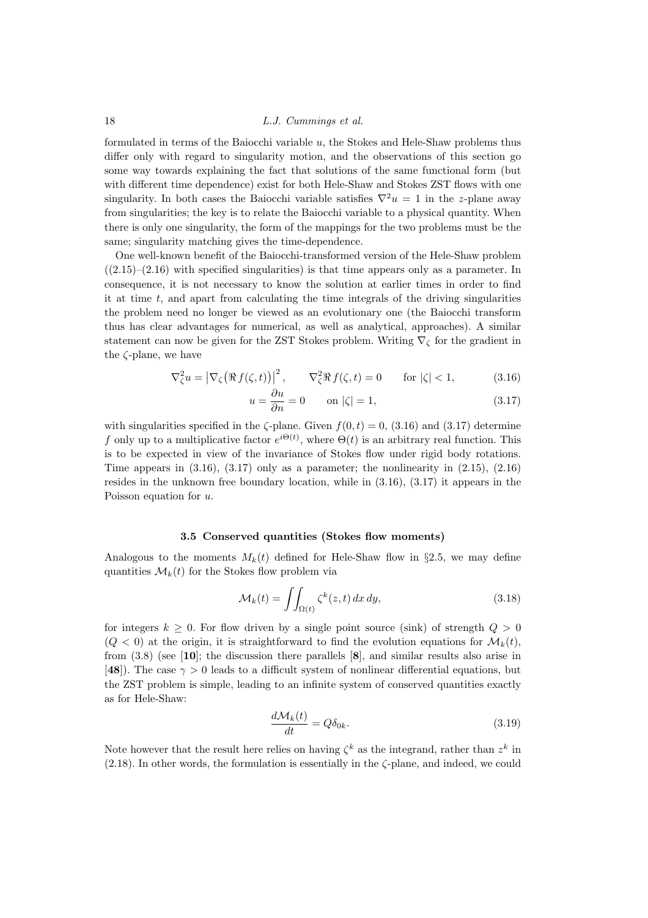formulated in terms of the Baiocchi variable  $u$ , the Stokes and Hele-Shaw problems thus differ only with regard to singularity motion, and the observations of this section go some way towards explaining the fact that solutions of the same functional form (but with different time dependence) exist for both Hele-Shaw and Stokes ZST flows with one singularity. In both cases the Baiocchi variable satisfies  $\nabla^2 u = 1$  in the z-plane away from singularities; the key is to relate the Baiocchi variable to a physical quantity. When there is only one singularity, the form of the mappings for the two problems must be the same; singularity matching gives the time-dependence.

One well-known benefit of the Baiocchi-transformed version of the Hele-Shaw problem  $((2.15)-(2.16)$  with specified singularities) is that time appears only as a parameter. In consequence, it is not necessary to know the solution at earlier times in order to find it at time  $t$ , and apart from calculating the time integrals of the driving singularities the problem need no longer be viewed as an evolutionary one (the Baiocchi transform thus has clear advantages for numerical, as well as analytical, approaches). A similar statement can now be given for the ZST Stokes problem. Writing  $\nabla_{\zeta}$  for the gradient in the ζ-plane, we have

$$
\nabla_{\zeta}^{2} u = \left| \nabla_{\zeta} \left( \Re f(\zeta, t) \right) \right|^{2}, \qquad \nabla_{\zeta}^{2} \Re f(\zeta, t) = 0 \qquad \text{for } |\zeta| < 1,
$$
\n(3.16)

$$
u = \frac{\partial u}{\partial n} = 0 \qquad \text{on } |\zeta| = 1,\tag{3.17}
$$

with singularities specified in the  $\zeta$ -plane. Given  $f(0, t) = 0$ , (3.16) and (3.17) determine f only up to a multiplicative factor  $e^{i\Theta(t)}$ , where  $\Theta(t)$  is an arbitrary real function. This is to be expected in view of the invariance of Stokes flow under rigid body rotations. Time appears in  $(3.16)$ ,  $(3.17)$  only as a parameter; the nonlinearity in  $(2.15)$ ,  $(2.16)$ resides in the unknown free boundary location, while in (3.16), (3.17) it appears in the Poisson equation for u.

## 3.5 Conserved quantities (Stokes flow moments)

Analogous to the moments  $M_k(t)$  defined for Hele-Shaw flow in §2.5, we may define quantities  $\mathcal{M}_k(t)$  for the Stokes flow problem via

$$
\mathcal{M}_k(t) = \iint_{\Omega(t)} \zeta^k(z, t) \, dx \, dy,\tag{3.18}
$$

for integers  $k > 0$ . For flow driven by a single point source (sink) of strength  $Q > 0$  $(Q < 0)$  at the origin, it is straightforward to find the evolution equations for  $\mathcal{M}_k(t)$ , from  $(3.8)$  (see [10]; the discussion there parallels [8], and similar results also arise in [48]). The case  $\gamma > 0$  leads to a difficult system of nonlinear differential equations, but the ZST problem is simple, leading to an infinite system of conserved quantities exactly as for Hele-Shaw:

$$
\frac{d\mathcal{M}_k(t)}{dt} = Q\delta_{0k}.\tag{3.19}
$$

Note however that the result here relies on having  $\zeta^k$  as the integrand, rather than  $z^k$  in  $(2.18)$ . In other words, the formulation is essentially in the  $\zeta$ -plane, and indeed, we could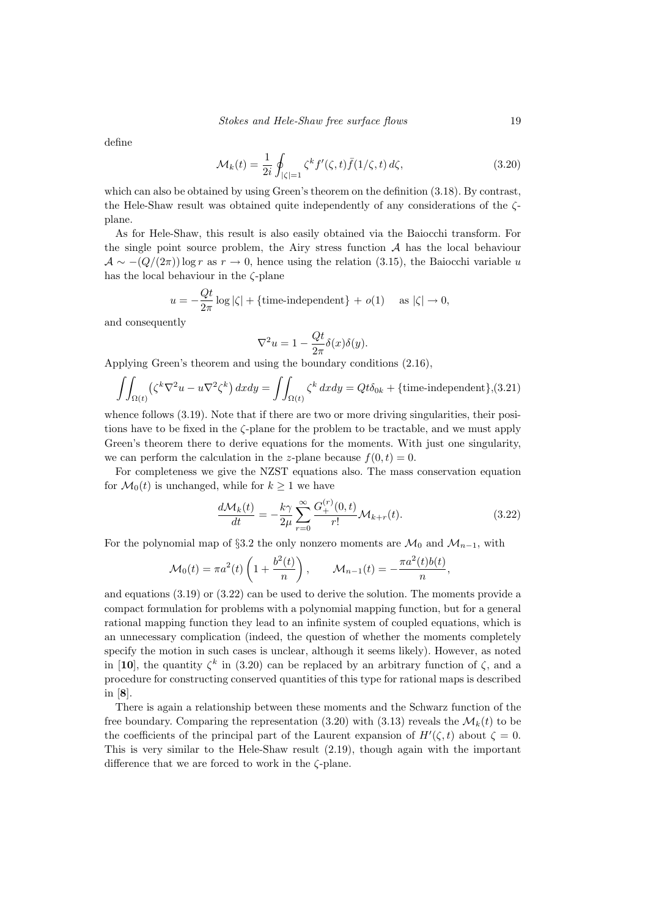define

$$
\mathcal{M}_k(t) = \frac{1}{2i} \oint_{|\zeta|=1} \zeta^k f'(\zeta, t) \bar{f}(1/\zeta, t) d\zeta,
$$
\n(3.20)

which can also be obtained by using Green's theorem on the definition (3.18). By contrast, the Hele-Shaw result was obtained quite independently of any considerations of the ζplane.

As for Hele-Shaw, this result is also easily obtained via the Baiocchi transform. For the single point source problem, the Airy stress function  $A$  has the local behaviour  $\mathcal{A} \sim -(Q/(2\pi)) \log r$  as  $r \to 0$ , hence using the relation (3.15), the Baiocchi variable u has the local behaviour in the ζ-plane

$$
u = -\frac{Qt}{2\pi} \log |\zeta| + {\text{time-independent}} + o(1) \quad \text{as } |\zeta| \to 0,
$$

and consequently

$$
\nabla^2 u = 1 - \frac{Qt}{2\pi} \delta(x)\delta(y).
$$

Applying Green's theorem and using the boundary conditions (2.16),

$$
\iint_{\Omega(t)} (\zeta^k \nabla^2 u - u \nabla^2 \zeta^k) dx dy = \iint_{\Omega(t)} \zeta^k dx dy = Qt \delta_{0k} + \{\text{time-independent}\}, (3.21)
$$

whence follows  $(3.19)$ . Note that if there are two or more driving singularities, their positions have to be fixed in the ζ-plane for the problem to be tractable, and we must apply Green's theorem there to derive equations for the moments. With just one singularity, we can perform the calculation in the z-plane because  $f(0, t) = 0$ .

For completeness we give the NZST equations also. The mass conservation equation for  $\mathcal{M}_0(t)$  is unchanged, while for  $k \geq 1$  we have

$$
\frac{d\mathcal{M}_k(t)}{dt} = -\frac{k\gamma}{2\mu} \sum_{r=0}^{\infty} \frac{G_+^{(r)}(0,t)}{r!} \mathcal{M}_{k+r}(t).
$$
\n(3.22)

For the polynomial map of §3.2 the only nonzero moments are  $\mathcal{M}_0$  and  $\mathcal{M}_{n-1}$ , with

$$
\mathcal{M}_0(t) = \pi a^2(t) \left( 1 + \frac{b^2(t)}{n} \right), \qquad \mathcal{M}_{n-1}(t) = -\frac{\pi a^2(t)b(t)}{n},
$$

and equations (3.19) or (3.22) can be used to derive the solution. The moments provide a compact formulation for problems with a polynomial mapping function, but for a general rational mapping function they lead to an infinite system of coupled equations, which is an unnecessary complication (indeed, the question of whether the moments completely specify the motion in such cases is unclear, although it seems likely). However, as noted in [10], the quantity  $\zeta^k$  in (3.20) can be replaced by an arbitrary function of  $\zeta$ , and a procedure for constructing conserved quantities of this type for rational maps is described in [8].

There is again a relationship between these moments and the Schwarz function of the free boundary. Comparing the representation (3.20) with (3.13) reveals the  $\mathcal{M}_k(t)$  to be the coefficients of the principal part of the Laurent expansion of  $H'(\zeta, t)$  about  $\zeta = 0$ . This is very similar to the Hele-Shaw result (2.19), though again with the important difference that we are forced to work in the  $\zeta$ -plane.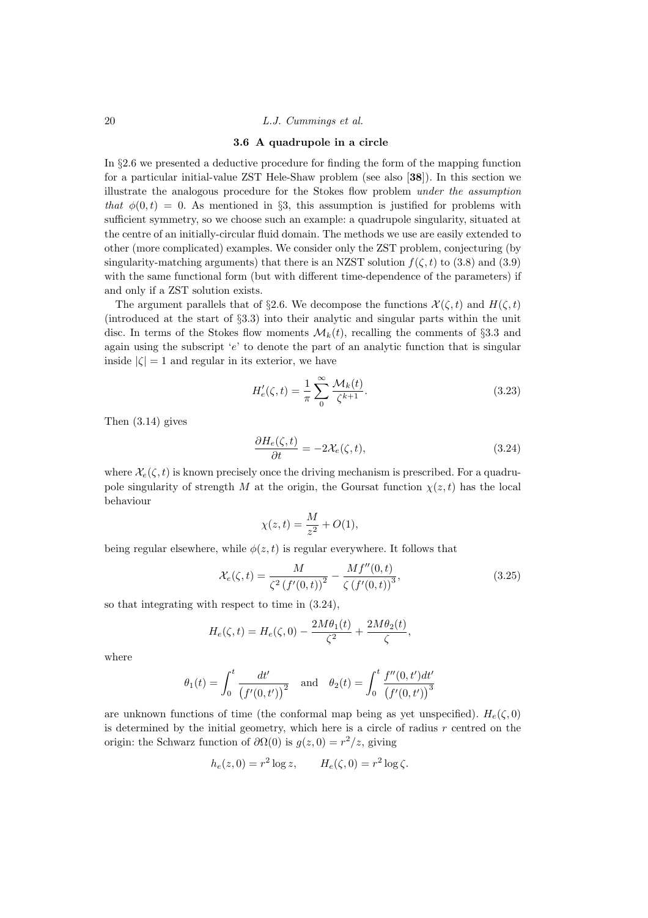## 3.6 A quadrupole in a circle

In §2.6 we presented a deductive procedure for finding the form of the mapping function for a particular initial-value ZST Hele-Shaw problem (see also [38]). In this section we illustrate the analogous procedure for the Stokes flow problem under the assumption that  $\phi(0, t) = 0$ . As mentioned in §3, this assumption is justified for problems with sufficient symmetry, so we choose such an example: a quadrupole singularity, situated at the centre of an initially-circular fluid domain. The methods we use are easily extended to other (more complicated) examples. We consider only the ZST problem, conjecturing (by singularity-matching arguments) that there is an NZST solution  $f(\zeta, t)$  to (3.8) and (3.9) with the same functional form (but with different time-dependence of the parameters) if and only if a ZST solution exists.

The argument parallels that of §2.6. We decompose the functions  $\mathcal{X}(\zeta, t)$  and  $H(\zeta, t)$ (introduced at the start of §3.3) into their analytic and singular parts within the unit disc. In terms of the Stokes flow moments  $\mathcal{M}_k(t)$ , recalling the comments of §3.3 and again using the subscript 'e' to denote the part of an analytic function that is singular inside  $|\zeta| = 1$  and regular in its exterior, we have

$$
H'_{e}(\zeta, t) = \frac{1}{\pi} \sum_{0}^{\infty} \frac{\mathcal{M}_{k}(t)}{\zeta^{k+1}}.
$$
 (3.23)

Then (3.14) gives

$$
\frac{\partial H_e(\zeta, t)}{\partial t} = -2\mathcal{X}_e(\zeta, t),\tag{3.24}
$$

where  $\mathcal{X}_{e}(\zeta, t)$  is known precisely once the driving mechanism is prescribed. For a quadrupole singularity of strength M at the origin, the Goursat function  $\chi(z, t)$  has the local behaviour

$$
\chi(z,t) = \frac{M}{z^2} + O(1),
$$

being regular elsewhere, while  $\phi(z, t)$  is regular everywhere. It follows that

$$
\mathcal{X}_{e}(\zeta,t) = \frac{M}{\zeta^{2} (f'(0,t))^{2}} - \frac{Mf''(0,t)}{\zeta (f'(0,t))^{3}},
$$
\n(3.25)

so that integrating with respect to time in (3.24),

$$
H_e(\zeta, t) = H_e(\zeta, 0) - \frac{2M\theta_1(t)}{\zeta^2} + \frac{2M\theta_2(t)}{\zeta},
$$

where

$$
\theta_1(t) = \int_0^t \frac{dt'}{(f'(0, t'))^2}
$$
 and  $\theta_2(t) = \int_0^t \frac{f''(0, t')dt'}{(f'(0, t'))^3}$ 

are unknown functions of time (the conformal map being as yet unspecified).  $H_e(\zeta, 0)$ is determined by the initial geometry, which here is a circle of radius  $r$  centred on the origin: the Schwarz function of  $\partial\Omega(0)$  is  $g(z, 0) = r^2/z$ , giving

$$
h_e(z, 0) = r^2 \log z,
$$
  $H_e(\zeta, 0) = r^2 \log \zeta.$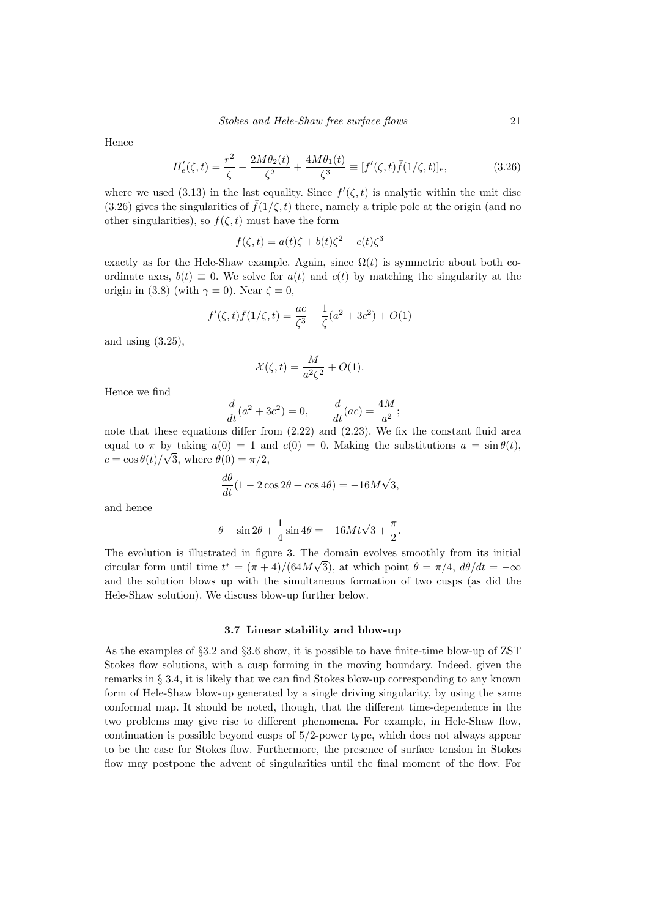Hence

$$
H'_{e}(\zeta, t) = \frac{r^2}{\zeta} - \frac{2M\theta_2(t)}{\zeta^2} + \frac{4M\theta_1(t)}{\zeta^3} \equiv [f'(\zeta, t)\bar{f}(1/\zeta, t)]_e,
$$
\n(3.26)

where we used (3.13) in the last equality. Since  $f'(\zeta, t)$  is analytic within the unit disc (3.26) gives the singularities of  $\bar{f}(1/\zeta, t)$  there, namely a triple pole at the origin (and no other singularities), so  $f(\zeta, t)$  must have the form

 $f(\zeta, t) = a(t)\zeta + b(t)\zeta^2 + c(t)\zeta^3$ 

exactly as for the Hele-Shaw example. Again, since  $\Omega(t)$  is symmetric about both coordinate axes,  $b(t) \equiv 0$ . We solve for  $a(t)$  and  $c(t)$  by matching the singularity at the origin in (3.8) (with  $\gamma = 0$ ). Near  $\zeta = 0$ ,

$$
f'(\zeta, t)\bar{f}(1/\zeta, t) = \frac{ac}{\zeta^3} + \frac{1}{\zeta}(a^2 + 3c^2) + O(1)
$$

and using  $(3.25)$ ,

$$
\mathcal{X}(\zeta, t) = \frac{M}{a^2 \zeta^2} + O(1).
$$

Hence we find

$$
\frac{d}{dt}(a^2 + 3c^2) = 0, \qquad \frac{d}{dt}(ac) = \frac{4M}{a^2};
$$

note that these equations differ from (2.22) and (2.23). We fix the constant fluid area equal to  $\pi$  by taking  $a(0) = 1$  and  $c(0) = 0$ . Making the substitutions  $a = \sin \theta(t)$ ,  $c = \cos \theta(t)/\sqrt{3}$ , where  $\theta(0) = \pi/2$ ,

$$
\frac{d\theta}{dt}(1 - 2\cos 2\theta + \cos 4\theta) = -16M\sqrt{3},
$$

and hence

$$
\theta - \sin 2\theta + \frac{1}{4}\sin 4\theta = -16Mt\sqrt{3} + \frac{\pi}{2}.
$$

The evolution is illustrated in figure 3. The domain evolves smoothly from its initial circular form until time  $t^* = (\pi + 4)/(64M\sqrt{3})$ , at which point  $\theta = \pi/4$ ,  $d\theta/dt = -\infty$ and the solution blows up with the simultaneous formation of two cusps (as did the Hele-Shaw solution). We discuss blow-up further below.

# 3.7 Linear stability and blow-up

As the examples of §3.2 and §3.6 show, it is possible to have finite-time blow-up of ZST Stokes flow solutions, with a cusp forming in the moving boundary. Indeed, given the remarks in § 3.4, it is likely that we can find Stokes blow-up corresponding to any known form of Hele-Shaw blow-up generated by a single driving singularity, by using the same conformal map. It should be noted, though, that the different time-dependence in the two problems may give rise to different phenomena. For example, in Hele-Shaw flow, continuation is possible beyond cusps of 5/2-power type, which does not always appear to be the case for Stokes flow. Furthermore, the presence of surface tension in Stokes flow may postpone the advent of singularities until the final moment of the flow. For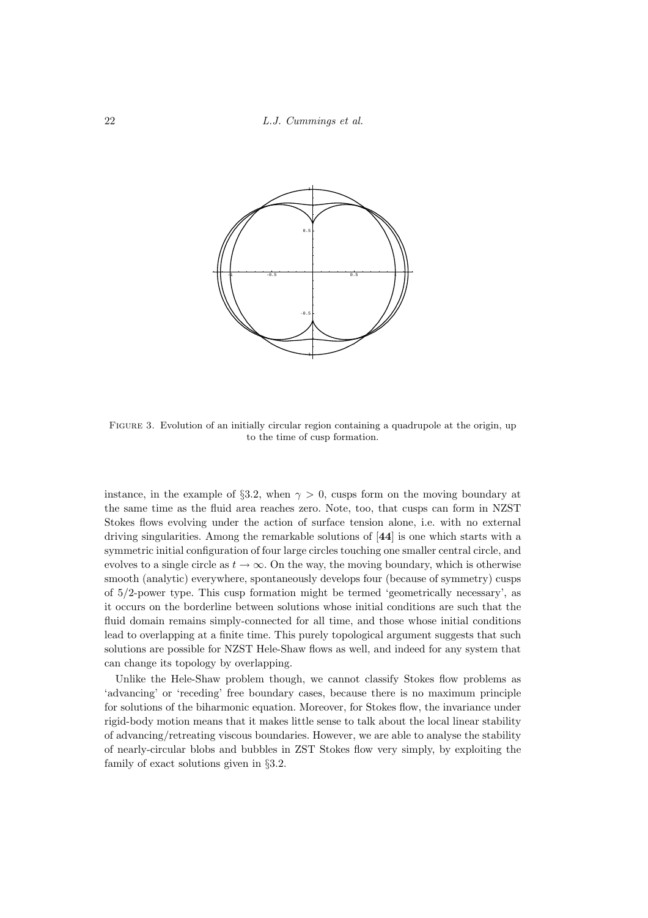

FIGURE 3. Evolution of an initially circular region containing a quadrupole at the origin, up to the time of cusp formation.

instance, in the example of §3.2, when  $\gamma > 0$ , cusps form on the moving boundary at the same time as the fluid area reaches zero. Note, too, that cusps can form in NZST Stokes flows evolving under the action of surface tension alone, i.e. with no external driving singularities. Among the remarkable solutions of [44] is one which starts with a symmetric initial configuration of four large circles touching one smaller central circle, and evolves to a single circle as  $t \to \infty$ . On the way, the moving boundary, which is otherwise smooth (analytic) everywhere, spontaneously develops four (because of symmetry) cusps of 5/2-power type. This cusp formation might be termed 'geometrically necessary', as it occurs on the borderline between solutions whose initial conditions are such that the fluid domain remains simply-connected for all time, and those whose initial conditions lead to overlapping at a finite time. This purely topological argument suggests that such solutions are possible for NZST Hele-Shaw flows as well, and indeed for any system that can change its topology by overlapping.

Unlike the Hele-Shaw problem though, we cannot classify Stokes flow problems as 'advancing' or 'receding' free boundary cases, because there is no maximum principle for solutions of the biharmonic equation. Moreover, for Stokes flow, the invariance under rigid-body motion means that it makes little sense to talk about the local linear stability of advancing/retreating viscous boundaries. However, we are able to analyse the stability of nearly-circular blobs and bubbles in ZST Stokes flow very simply, by exploiting the family of exact solutions given in §3.2.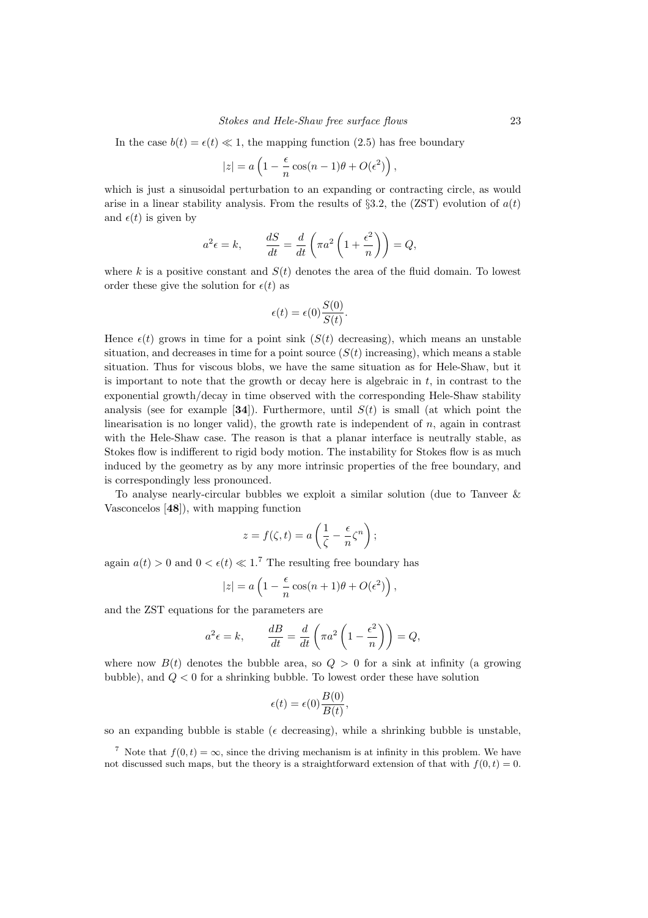In the case  $b(t) = \epsilon(t) \ll 1$ , the mapping function (2.5) has free boundary

$$
|z| = a \left( 1 - \frac{\epsilon}{n} \cos(n-1)\theta + O(\epsilon^2) \right),\,
$$

which is just a sinusoidal perturbation to an expanding or contracting circle, as would arise in a linear stability analysis. From the results of  $\S3.2$ , the (ZST) evolution of  $a(t)$ and  $\epsilon(t)$  is given by

$$
a^2 \epsilon = k,
$$
 
$$
\frac{dS}{dt} = \frac{d}{dt} \left( \pi a^2 \left( 1 + \frac{\epsilon^2}{n} \right) \right) = Q,
$$

where k is a positive constant and  $S(t)$  denotes the area of the fluid domain. To lowest order these give the solution for  $\epsilon(t)$  as

$$
\epsilon(t) = \epsilon(0) \frac{S(0)}{S(t)}.
$$

Hence  $\epsilon(t)$  grows in time for a point sink  $(S(t)$  decreasing), which means an unstable situation, and decreases in time for a point source  $(S(t))$  increasing), which means a stable situation. Thus for viscous blobs, we have the same situation as for Hele-Shaw, but it is important to note that the growth or decay here is algebraic in  $t$ , in contrast to the exponential growth/decay in time observed with the corresponding Hele-Shaw stability analysis (see for example [34]). Furthermore, until  $S(t)$  is small (at which point the linearisation is no longer valid), the growth rate is independent of  $n$ , again in contrast with the Hele-Shaw case. The reason is that a planar interface is neutrally stable, as Stokes flow is indifferent to rigid body motion. The instability for Stokes flow is as much induced by the geometry as by any more intrinsic properties of the free boundary, and is correspondingly less pronounced.

To analyse nearly-circular bubbles we exploit a similar solution (due to Tanveer & Vasconcelos [48]), with mapping function

$$
z = f(\zeta, t) = a\left(\frac{1}{\zeta} - \frac{\epsilon}{n}\zeta^n\right);
$$

again  $a(t) > 0$  and  $0 < \epsilon(t) \ll 1$ .<sup>7</sup> The resulting free boundary has

$$
|z| = a \left( 1 - \frac{\epsilon}{n} \cos(n+1)\theta + O(\epsilon^2) \right),\,
$$

and the ZST equations for the parameters are

$$
a^2 \epsilon = k,
$$
 
$$
\frac{dB}{dt} = \frac{d}{dt} \left( \pi a^2 \left( 1 - \frac{\epsilon^2}{n} \right) \right) = Q,
$$

where now  $B(t)$  denotes the bubble area, so  $Q > 0$  for a sink at infinity (a growing bubble), and  $Q < 0$  for a shrinking bubble. To lowest order these have solution

$$
\epsilon(t) = \epsilon(0) \frac{B(0)}{B(t)},
$$

so an expanding bubble is stable ( $\epsilon$  decreasing), while a shrinking bubble is unstable,

<sup>7</sup> Note that  $f(0, t) = \infty$ , since the driving mechanism is at infinity in this problem. We have not discussed such maps, but the theory is a straightforward extension of that with  $f(0, t) = 0$ .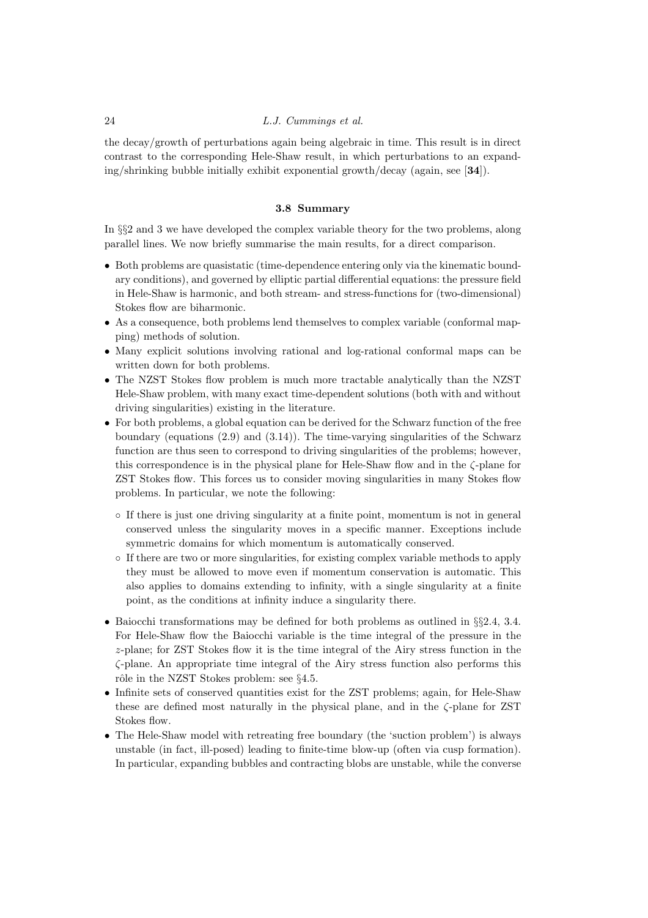the decay/growth of perturbations again being algebraic in time. This result is in direct contrast to the corresponding Hele-Shaw result, in which perturbations to an expanding/shrinking bubble initially exhibit exponential growth/decay (again, see [34]).

# 3.8 Summary

In §§2 and 3 we have developed the complex variable theory for the two problems, along parallel lines. We now briefly summarise the main results, for a direct comparison.

- Both problems are quasistatic (time-dependence entering only via the kinematic boundary conditions), and governed by elliptic partial differential equations: the pressure field in Hele-Shaw is harmonic, and both stream- and stress-functions for (two-dimensional) Stokes flow are biharmonic.
- As a consequence, both problems lend themselves to complex variable (conformal mapping) methods of solution.
- Many explicit solutions involving rational and log-rational conformal maps can be written down for both problems.
- The NZST Stokes flow problem is much more tractable analytically than the NZST Hele-Shaw problem, with many exact time-dependent solutions (both with and without driving singularities) existing in the literature.
- For both problems, a global equation can be derived for the Schwarz function of the free boundary (equations  $(2.9)$  and  $(3.14)$ ). The time-varying singularities of the Schwarz function are thus seen to correspond to driving singularities of the problems; however, this correspondence is in the physical plane for Hele-Shaw flow and in the  $\zeta$ -plane for ZST Stokes flow. This forces us to consider moving singularities in many Stokes flow problems. In particular, we note the following:
	- If there is just one driving singularity at a finite point, momentum is not in general conserved unless the singularity moves in a specific manner. Exceptions include symmetric domains for which momentum is automatically conserved.
	- If there are two or more singularities, for existing complex variable methods to apply they must be allowed to move even if momentum conservation is automatic. This also applies to domains extending to infinity, with a single singularity at a finite point, as the conditions at infinity induce a singularity there.
- Baiocchi transformations may be defined for both problems as outlined in §§2.4, 3.4. For Hele-Shaw flow the Baiocchi variable is the time integral of the pressure in the z-plane; for ZST Stokes flow it is the time integral of the Airy stress function in the ζ-plane. An appropriate time integral of the Airy stress function also performs this rôle in the NZST Stokes problem: see  $\S 4.5$ .
- Infinite sets of conserved quantities exist for the ZST problems; again, for Hele-Shaw these are defined most naturally in the physical plane, and in the ζ-plane for ZST Stokes flow.
- The Hele-Shaw model with retreating free boundary (the 'suction problem') is always unstable (in fact, ill-posed) leading to finite-time blow-up (often via cusp formation). In particular, expanding bubbles and contracting blobs are unstable, while the converse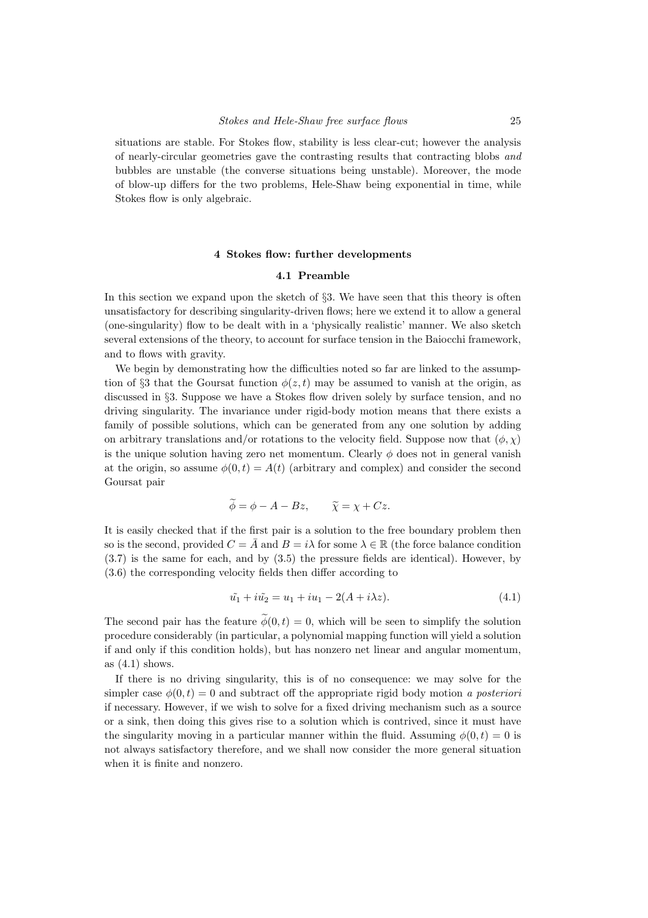situations are stable. For Stokes flow, stability is less clear-cut; however the analysis of nearly-circular geometries gave the contrasting results that contracting blobs and bubbles are unstable (the converse situations being unstable). Moreover, the mode of blow-up differs for the two problems, Hele-Shaw being exponential in time, while Stokes flow is only algebraic.

## 4 Stokes flow: further developments

# 4.1 Preamble

In this section we expand upon the sketch of  $\S$ 3. We have seen that this theory is often unsatisfactory for describing singularity-driven flows; here we extend it to allow a general (one-singularity) flow to be dealt with in a 'physically realistic' manner. We also sketch several extensions of the theory, to account for surface tension in the Baiocchi framework, and to flows with gravity.

We begin by demonstrating how the difficulties noted so far are linked to the assumption of §3 that the Goursat function  $\phi(z, t)$  may be assumed to vanish at the origin, as discussed in §3. Suppose we have a Stokes flow driven solely by surface tension, and no driving singularity. The invariance under rigid-body motion means that there exists a family of possible solutions, which can be generated from any one solution by adding on arbitrary translations and/or rotations to the velocity field. Suppose now that  $(\phi, \chi)$ is the unique solution having zero net momentum. Clearly  $\phi$  does not in general vanish at the origin, so assume  $\phi(0, t) = A(t)$  (arbitrary and complex) and consider the second Goursat pair

$$
\widetilde{\phi} = \phi - A - Bz, \qquad \widetilde{\chi} = \chi + Cz.
$$

It is easily checked that if the first pair is a solution to the free boundary problem then so is the second, provided  $C = \overline{A}$  and  $B = i\lambda$  for some  $\lambda \in \mathbb{R}$  (the force balance condition (3.7) is the same for each, and by (3.5) the pressure fields are identical). However, by (3.6) the corresponding velocity fields then differ according to

$$
\tilde{u_1} + i\tilde{u_2} = u_1 + iu_1 - 2(A + i\lambda z). \tag{4.1}
$$

The second pair has the feature  $\widetilde{\phi}(0,t) = 0$ , which will be seen to simplify the solution procedure considerably (in particular, a polynomial mapping function will yield a solution if and only if this condition holds), but has nonzero net linear and angular momentum, as  $(4.1)$  shows.

If there is no driving singularity, this is of no consequence: we may solve for the simpler case  $\phi(0, t) = 0$  and subtract off the appropriate rigid body motion a posteriori if necessary. However, if we wish to solve for a fixed driving mechanism such as a source or a sink, then doing this gives rise to a solution which is contrived, since it must have the singularity moving in a particular manner within the fluid. Assuming  $\phi(0, t) = 0$  is not always satisfactory therefore, and we shall now consider the more general situation when it is finite and nonzero.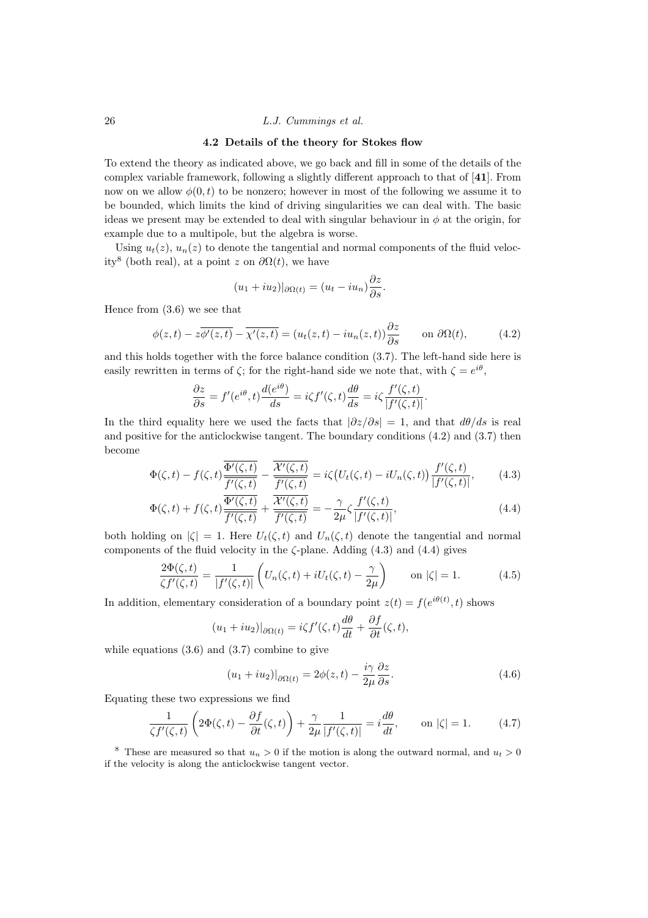## 4.2 Details of the theory for Stokes flow

To extend the theory as indicated above, we go back and fill in some of the details of the complex variable framework, following a slightly different approach to that of [41]. From now on we allow  $\phi(0, t)$  to be nonzero; however in most of the following we assume it to be bounded, which limits the kind of driving singularities we can deal with. The basic ideas we present may be extended to deal with singular behaviour in  $\phi$  at the origin, for example due to a multipole, but the algebra is worse.

Using  $u_t(z)$ ,  $u_n(z)$  to denote the tangential and normal components of the fluid velocity<sup>8</sup> (both real), at a point z on  $\partial \Omega(t)$ , we have

$$
(u_1 + iu_2)|_{\partial\Omega(t)} = (u_t - iu_n)\frac{\partial z}{\partial s}.
$$

Hence from (3.6) we see that

$$
\phi(z,t) - z\overline{\phi'(z,t)} - \overline{\chi'(z,t)} = (u_t(z,t) - iu_n(z,t))\frac{\partial z}{\partial s} \quad \text{on } \partial\Omega(t),\tag{4.2}
$$

and this holds together with the force balance condition (3.7). The left-hand side here is easily rewritten in terms of  $\zeta$ ; for the right-hand side we note that, with  $\zeta = e^{i\theta}$ ,

$$
\frac{\partial z}{\partial s} = f'(e^{i\theta}, t) \frac{d(e^{i\theta})}{ds} = i\zeta f'(\zeta, t) \frac{d\theta}{ds} = i\zeta \frac{f'(\zeta, t)}{|f'(\zeta, t)|}.
$$

In the third equality here we used the facts that  $|\partial z/\partial s| = 1$ , and that  $d\theta/ds$  is real and positive for the anticlockwise tangent. The boundary conditions (4.2) and (3.7) then become

$$
\Phi(\zeta, t) - f(\zeta, t) \frac{\overline{\Phi'(\zeta, t)}}{f'(\zeta, t)} - \frac{\overline{\mathcal{X}'(\zeta, t)}}{f'(\zeta, t)} = i\zeta \big(U_t(\zeta, t) - iU_n(\zeta, t)\big) \frac{f'(\zeta, t)}{|f'(\zeta, t)|},\tag{4.3}
$$

$$
\Phi(\zeta, t) + f(\zeta, t) \frac{\overline{\Phi'(\zeta, t)}}{f'(\zeta, t)} + \frac{\overline{\mathcal{X}'(\zeta, t)}}{f'(\zeta, t)} = -\frac{\gamma}{2\mu} \zeta \frac{f'(\zeta, t)}{|f'(\zeta, t)|},\tag{4.4}
$$

both holding on  $|\zeta| = 1$ . Here  $U_t(\zeta, t)$  and  $U_n(\zeta, t)$  denote the tangential and normal components of the fluid velocity in the  $\zeta$ -plane. Adding (4.3) and (4.4) gives

$$
\frac{2\Phi(\zeta,t)}{\zeta f'(\zeta,t)} = \frac{1}{|f'(\zeta,t)|} \left( U_n(\zeta,t) + iU_t(\zeta,t) - \frac{\gamma}{2\mu} \right) \qquad \text{on } |\zeta| = 1. \tag{4.5}
$$

In addition, elementary consideration of a boundary point  $z(t) = f(e^{i\theta(t)}, t)$  shows

$$
(u_1 + iu_2)|_{\partial \Omega(t)} = i\zeta f'(\zeta, t)\frac{d\theta}{dt} + \frac{\partial f}{\partial t}(\zeta, t),
$$

while equations (3.6) and (3.7) combine to give

$$
(u_1 + iu_2)|_{\partial\Omega(t)} = 2\phi(z, t) - \frac{i\gamma}{2\mu} \frac{\partial z}{\partial s}.
$$
\n(4.6)

Equating these two expressions we find

$$
\frac{1}{\zeta f'(\zeta, t)} \left( 2\Phi(\zeta, t) - \frac{\partial f}{\partial t}(\zeta, t) \right) + \frac{\gamma}{2\mu} \frac{1}{|f'(\zeta, t)|} = i\frac{d\theta}{dt}, \qquad \text{on } |\zeta| = 1. \tag{4.7}
$$

<sup>8</sup> These are measured so that  $u_n > 0$  if the motion is along the outward normal, and  $u_t > 0$ if the velocity is along the anticlockwise tangent vector.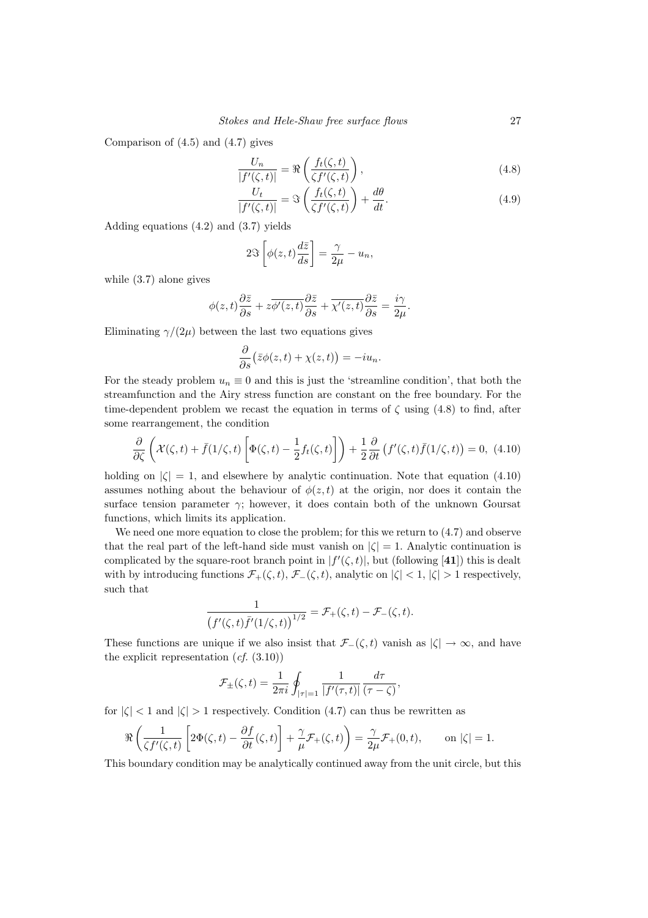Comparison of  $(4.5)$  and  $(4.7)$  gives

$$
\frac{U_n}{|f'(\zeta, t)|} = \Re\left(\frac{f_t(\zeta, t)}{\zeta f'(\zeta, t)}\right),\tag{4.8}
$$

$$
\frac{U_t}{|f'(\zeta, t)|} = \Im\left(\frac{f_t(\zeta, t)}{\zeta f'(\zeta, t)}\right) + \frac{d\theta}{dt}.\tag{4.9}
$$

Adding equations (4.2) and (3.7) yields

$$
2\Im\left[\phi(z,t)\frac{d\bar{z}}{ds}\right] = \frac{\gamma}{2\mu} - u_n,
$$

while (3.7) alone gives

$$
\phi(z,t)\frac{\partial\bar z}{\partial s}+z\overline{\phi'(z,t)}\frac{\partial\bar z}{\partial s}+\overline{\chi'(z,t)}\frac{\partial\bar z}{\partial s}=\frac{i\gamma}{2\mu}.
$$

Eliminating  $\gamma/(2\mu)$  between the last two equations gives

$$
\frac{\partial}{\partial s}(\bar{z}\phi(z,t)+\chi(z,t))=-iu_n.
$$

For the steady problem  $u_n \equiv 0$  and this is just the 'streamline condition', that both the streamfunction and the Airy stress function are constant on the free boundary. For the time-dependent problem we recast the equation in terms of  $\zeta$  using (4.8) to find, after some rearrangement, the condition

$$
\frac{\partial}{\partial \zeta} \left( \mathcal{X}(\zeta, t) + \bar{f}(1/\zeta, t) \left[ \Phi(\zeta, t) - \frac{1}{2} f_t(\zeta, t) \right] \right) + \frac{1}{2} \frac{\partial}{\partial t} \left( f'(\zeta, t) \bar{f}(1/\zeta, t) \right) = 0, \tag{4.10}
$$

holding on  $|\zeta| = 1$ , and elsewhere by analytic continuation. Note that equation (4.10) assumes nothing about the behaviour of  $\phi(z,t)$  at the origin, nor does it contain the surface tension parameter  $\gamma$ ; however, it does contain both of the unknown Goursat functions, which limits its application.

We need one more equation to close the problem; for this we return to  $(4.7)$  and observe that the real part of the left-hand side must vanish on  $|\zeta|=1$ . Analytic continuation is complicated by the square-root branch point in  $|f'(\zeta, t)|$ , but (following [41]) this is dealt with by introducing functions  $\mathcal{F}_+(\zeta, t)$ ,  $\mathcal{F}_-(\zeta, t)$ , analytic on  $|\zeta| < 1$ ,  $|\zeta| > 1$  respectively, such that

$$
\frac{1}{\big(f'(\zeta,t)\overline{f'}(1/\zeta,t)\big)^{1/2}} = \mathcal{F}_+(\zeta,t) - \mathcal{F}_-(\zeta,t).
$$

These functions are unique if we also insist that  $\mathcal{F}_-(\zeta, t)$  vanish as  $|\zeta| \to \infty$ , and have the explicit representation  $(cf. (3.10))$ 

$$
\mathcal{F}_{\pm}(\zeta,t) = \frac{1}{2\pi i} \oint_{|\tau|=1} \frac{1}{|f'(\tau,t)|} \frac{d\tau}{(\tau-\zeta)},
$$

for  $|\zeta|$  < 1 and  $|\zeta|$  > 1 respectively. Condition (4.7) can thus be rewritten as

$$
\Re\left(\frac{1}{\zeta f'(\zeta,t)}\left[2\Phi(\zeta,t)-\frac{\partial f}{\partial t}(\zeta,t)\right]+\frac{\gamma}{\mu}\mathcal{F}_+(\zeta,t)\right)=\frac{\gamma}{2\mu}\mathcal{F}_+(0,t),\qquad\text{on }\left|\zeta\right|=1.
$$

This boundary condition may be analytically continued away from the unit circle, but this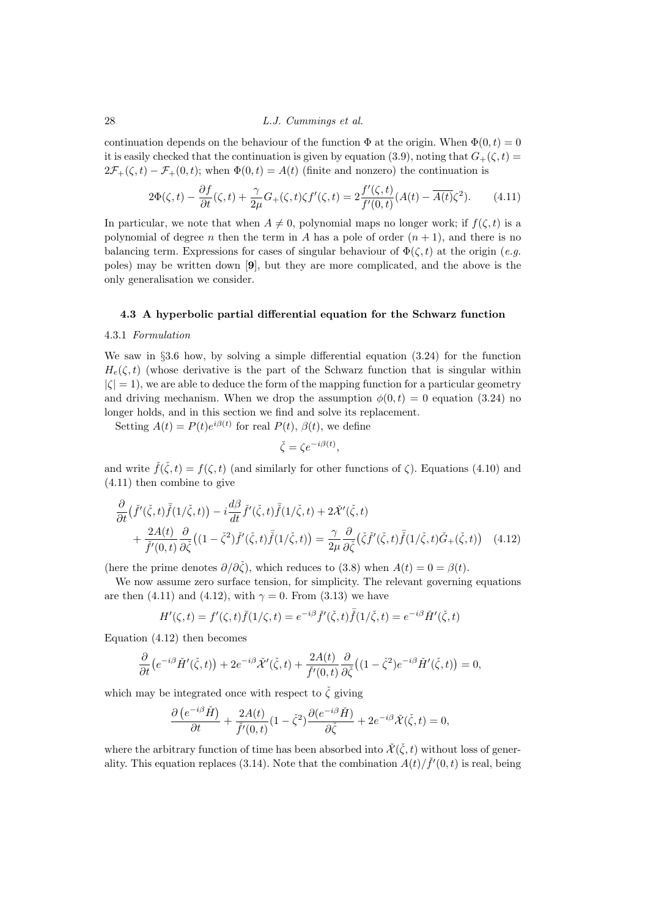continuation depends on the behaviour of the function  $\Phi$  at the origin. When  $\Phi(0, t) = 0$ it is easily checked that the continuation is given by equation (3.9), noting that  $G_{+}(\zeta, t)$  =  $2\mathcal{F}_+(\zeta,t) - \mathcal{F}_+(0,t)$ ; when  $\Phi(0,t) = A(t)$  (finite and nonzero) the continuation is

$$
2\Phi(\zeta,t) - \frac{\partial f}{\partial t}(\zeta,t) + \frac{\gamma}{2\mu}G_+(\zeta,t)\zeta f'(\zeta,t) = 2\frac{f'(\zeta,t)}{f'(0,t)}(A(t) - \overline{A(t)}\zeta^2). \tag{4.11}
$$

In particular, we note that when  $A \neq 0$ , polynomial maps no longer work; if  $f(\zeta, t)$  is a polynomial of degree *n* then the term in A has a pole of order  $(n + 1)$ , and there is no balancing term. Expressions for cases of singular behaviour of  $\Phi(\zeta, t)$  at the origin (e.g. poles) may be written down [9], but they are more complicated, and the above is the only generalisation we consider.

## 4.3 A hyperbolic partial differential equation for the Schwarz function

#### 4.3.1 Formulation

We saw in §3.6 how, by solving a simple differential equation (3.24) for the function  $H_e(\zeta, t)$  (whose derivative is the part of the Schwarz function that is singular within  $|\zeta| = 1$ , we are able to deduce the form of the mapping function for a particular geometry and driving mechanism. When we drop the assumption  $\phi(0, t) = 0$  equation (3.24) no longer holds, and in this section we find and solve its replacement.

Setting  $A(t) = P(t)e^{i\beta(t)}$  for real  $P(t)$ ,  $\beta(t)$ , we define

$$
\check{\zeta} = \zeta e^{-i\beta(t)},
$$

and write  $\check{f}(\check{\zeta},t) = f(\zeta,t)$  (and similarly for other functions of  $\zeta$ ). Equations (4.10) and (4.11) then combine to give

$$
\frac{\partial}{\partial t} \left( \check{f}'(\check{\zeta},t) \check{\bar{f}}(1/\check{\zeta},t) \right) - i \frac{d\beta}{dt} \check{f}'(\check{\zeta},t) \check{\bar{f}}(1/\check{\zeta},t) + 2 \check{\mathcal{X}}'(\check{\zeta},t) \n+ \frac{2A(t)}{\check{f}'(0,t)} \frac{\partial}{\partial \check{\zeta}} \left( (1 - \check{\zeta}^2) \check{f}'(\check{\zeta},t) \check{\bar{f}}(1/\check{\zeta},t) \right) = \frac{\gamma}{2\mu} \frac{\partial}{\partial \check{\zeta}} \left( \check{\zeta} \check{f}'(\check{\zeta},t) \check{\bar{f}}(1/\check{\zeta},t) \check{\alpha}_{+}(\check{\zeta},t) \right) \tag{4.12}
$$

(here the prime denotes  $\partial/\partial \check{C}$ ), which reduces to (3.8) when  $A(t) = 0 = \beta(t)$ .

We now assume zero surface tension, for simplicity. The relevant governing equations are then (4.11) and (4.12), with  $\gamma = 0$ . From (3.13) we have

$$
H'(\zeta, t) = f'(\zeta, t)\bar{f}(1/\zeta, t) = e^{-i\beta} \check{f}'(\check{\zeta}, t)\bar{\check{f}}(1/\check{\zeta}, t) = e^{-i\beta} \check{H}'(\check{\zeta}, t)
$$

Equation (4.12) then becomes

$$
\frac{\partial}{\partial t}\left(e^{-i\beta}\check{H}'(\check{\zeta},t)\right) + 2e^{-i\beta}\check{\mathcal{X}}'(\check{\zeta},t) + \frac{2A(t)}{\check{f}'(0,t)}\frac{\partial}{\partial \check{\zeta}}\left((1-\check{\zeta}^2)e^{-i\beta}\check{H}'(\check{\zeta},t)\right) = 0,
$$

which may be integrated once with respect to  $\check{\zeta}$  giving

$$
\frac{\partial (e^{-i\beta} \check{H})}{\partial t} + \frac{2A(t)}{\check{f}'(0,t)}(1-\check{\zeta}^2)\frac{\partial (e^{-i\beta} \check{H})}{\partial \check{\zeta}} + 2e^{-i\beta} \check{\mathcal{X}}(\check{\zeta},t) = 0,
$$

where the arbitrary function of time has been absorbed into  $\check{\mathcal{X}}(\check{\zeta},t)$  without loss of generality. This equation replaces (3.14). Note that the combination  $A(t)/\check{f}'(0,t)$  is real, being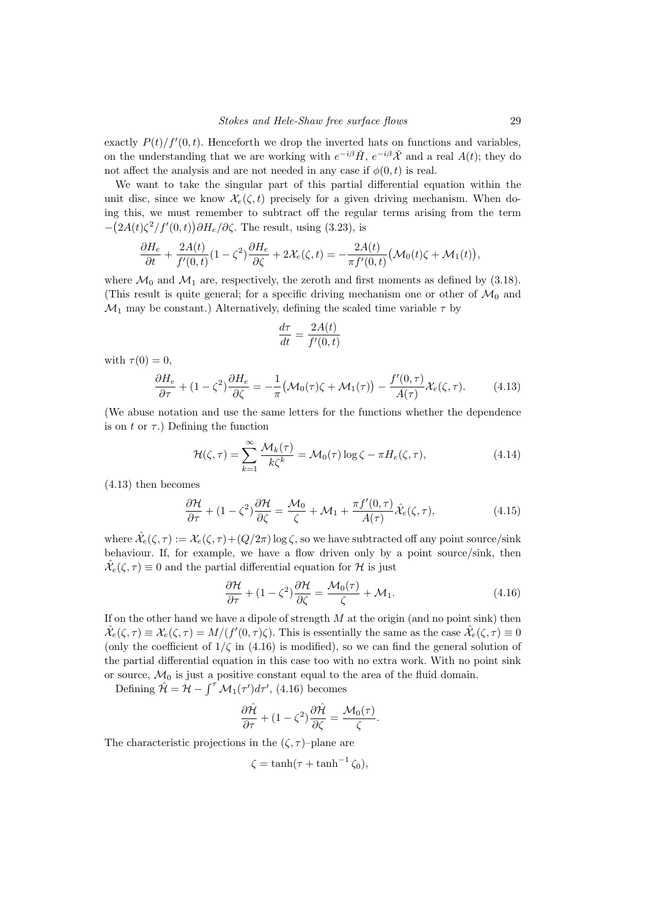exactly  $P(t)/f'(0, t)$ . Henceforth we drop the inverted hats on functions and variables, on the understanding that we are working with  $e^{-i\beta}H$ ,  $e^{-i\beta}\tilde{X}$  and a real  $A(t)$ ; they do not affect the analysis and are not needed in any case if  $\phi(0, t)$  is real.

We want to take the singular part of this partial differential equation within the unit disc, since we know  $\mathcal{X}_{e}(\zeta,t)$  precisely for a given driving mechanism. When doing this, we must remember to subtract off the regular terms arising from the term  $-(2A(t)\zeta^2/f'(0,t))\partial H_e/\partial \zeta$ . The result, using (3.23), is

$$
\frac{\partial H_e}{\partial t} + \frac{2A(t)}{f'(0,t)}(1-\zeta^2)\frac{\partial H_e}{\partial \zeta} + 2\mathcal{X}_e(\zeta,t) = -\frac{2A(t)}{\pi f'(0,t)}\big(\mathcal{M}_0(t)\zeta + \mathcal{M}_1(t)\big),
$$

where  $\mathcal{M}_0$  and  $\mathcal{M}_1$  are, respectively, the zeroth and first moments as defined by (3.18). (This result is quite general; for a specific driving mechanism one or other of  $\mathcal{M}_0$  and  $\mathcal{M}_1$  may be constant.) Alternatively, defining the scaled time variable  $\tau$  by

$$
\frac{d\tau}{dt} = \frac{2A(t)}{f'(0,t)}
$$

with  $\tau(0) = 0$ ,

$$
\frac{\partial H_e}{\partial \tau} + (1 - \zeta^2) \frac{\partial H_e}{\partial \zeta} = -\frac{1}{\pi} \left( \mathcal{M}_0(\tau) \zeta + \mathcal{M}_1(\tau) \right) - \frac{f'(0, \tau)}{A(\tau)} \mathcal{X}_e(\zeta, \tau). \tag{4.13}
$$

(We abuse notation and use the same letters for the functions whether the dependence is on t or  $\tau$ .) Defining the function

$$
\mathcal{H}(\zeta,\tau) = \sum_{k=1}^{\infty} \frac{\mathcal{M}_k(\tau)}{k\zeta^k} = \mathcal{M}_0(\tau) \log \zeta - \pi H_e(\zeta,\tau),\tag{4.14}
$$

(4.13) then becomes

$$
\frac{\partial \mathcal{H}}{\partial \tau} + (1 - \zeta^2) \frac{\partial \mathcal{H}}{\partial \zeta} = \frac{\mathcal{M}_0}{\zeta} + \mathcal{M}_1 + \frac{\pi f'(0, \tau)}{A(\tau)} \hat{\mathcal{X}}_e(\zeta, \tau), \tag{4.15}
$$

where  $\hat{\mathcal{X}}_e(\zeta,\tau) := \mathcal{X}_e(\zeta,\tau) + (Q/2\pi) \log \zeta$ , so we have subtracted off any point source/sink behaviour. If, for example, we have a flow driven only by a point source/sink, then  $\hat{\mathcal{X}}_e(\zeta,\tau) \equiv 0$  and the partial differential equation for  $\mathcal H$  is just

$$
\frac{\partial \mathcal{H}}{\partial \tau} + (1 - \zeta^2) \frac{\partial \mathcal{H}}{\partial \zeta} = \frac{\mathcal{M}_0(\tau)}{\zeta} + \mathcal{M}_1.
$$
 (4.16)

If on the other hand we have a dipole of strength  $M$  at the origin (and no point sink) then  $\hat{\mathcal{X}}_e(\zeta,\tau) \equiv \mathcal{X}_e(\zeta,\tau) = M/(f'(0,\tau)\zeta)$ . This is essentially the same as the case  $\hat{\mathcal{X}}_e(\zeta,\tau) \equiv 0$ (only the coefficient of  $1/\zeta$  in (4.16) is modified), so we can find the general solution of the partial differential equation in this case too with no extra work. With no point sink or source,  $\mathcal{M}_0$  is just a positive constant equal to the area of the fluid domain.

befining  $\hat{\mathcal{H}} = \mathcal{H} - \int^{\tau} M_1(\tau') d\tau'$ , (4.16) becomes

$$
\frac{\partial \hat{\mathcal{H}}}{\partial \tau} + (1 - \zeta^2) \frac{\partial \hat{\mathcal{H}}}{\partial \zeta} = \frac{\mathcal{M}_0(\tau)}{\zeta}.
$$

The characteristic projections in the  $(\zeta, \tau)$ –plane are

$$
\zeta = \tanh(\tau + \tanh^{-1}\zeta_0),
$$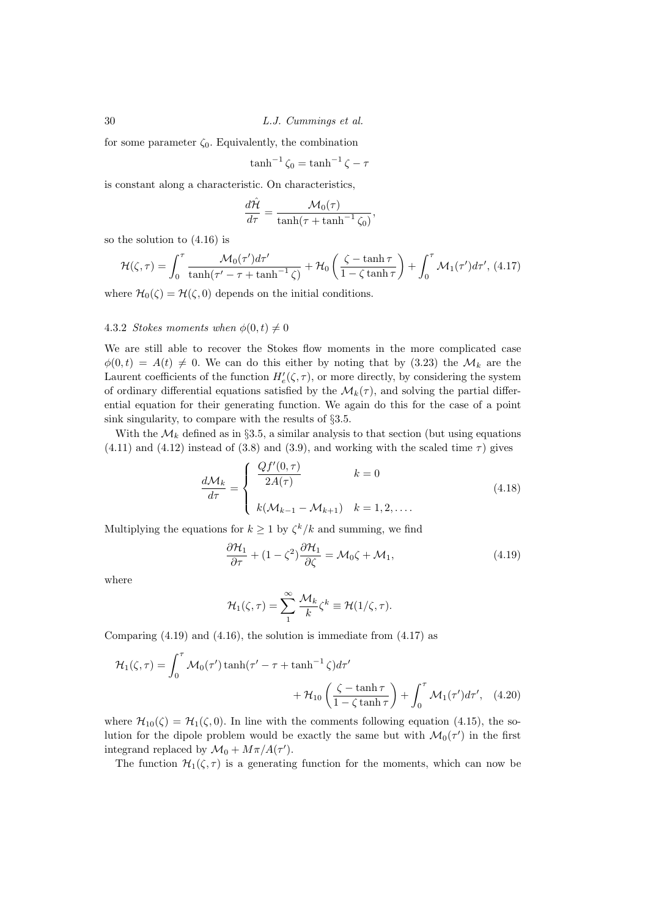for some parameter  $\zeta_0$ . Equivalently, the combination

$$
\tanh^{-1}\zeta_0 = \tanh^{-1}\zeta - \tau
$$

is constant along a characteristic. On characteristics,

$$
\frac{d\hat{\mathcal{H}}}{d\tau} = \frac{\mathcal{M}_0(\tau)}{\tanh(\tau + \tanh^{-1}\zeta_0)},
$$

so the solution to (4.16) is

$$
\mathcal{H}(\zeta,\tau) = \int_0^{\tau} \frac{\mathcal{M}_0(\tau')d\tau'}{\tanh(\tau'-\tau+\tanh^{-1}\zeta)} + \mathcal{H}_0\left(\frac{\zeta-\tanh\tau}{1-\zeta\tanh\tau}\right) + \int_0^{\tau} \mathcal{M}_1(\tau')d\tau', \tag{4.17}
$$

where  $\mathcal{H}_0(\zeta) = \mathcal{H}(\zeta, 0)$  depends on the initial conditions.

# 4.3.2 Stokes moments when  $\phi(0, t) \neq 0$

We are still able to recover the Stokes flow moments in the more complicated case  $\phi(0,t) = A(t) \neq 0$ . We can do this either by noting that by (3.23) the  $\mathcal{M}_k$  are the Laurent coefficients of the function  $H'_{e}(\zeta, \tau)$ , or more directly, by considering the system of ordinary differential equations satisfied by the  $\mathcal{M}_k(\tau)$ , and solving the partial differential equation for their generating function. We again do this for the case of a point sink singularity, to compare with the results of §3.5.

With the  $\mathcal{M}_k$  defined as in §3.5, a similar analysis to that section (but using equations (4.11) and (4.12) instead of (3.8) and (3.9), and working with the scaled time  $\tau$ ) gives

$$
\frac{d\mathcal{M}_k}{d\tau} = \begin{cases}\n\frac{Qf'(0,\tau)}{2A(\tau)} & k = 0 \\
k(\mathcal{M}_{k-1} - \mathcal{M}_{k+1}) & k = 1, 2, ....\n\end{cases}
$$
\n(4.18)

Multiplying the equations for  $k \geq 1$  by  $\zeta^k/k$  and summing, we find

$$
\frac{\partial \mathcal{H}_1}{\partial \tau} + (1 - \zeta^2) \frac{\partial \mathcal{H}_1}{\partial \zeta} = \mathcal{M}_0 \zeta + \mathcal{M}_1,\tag{4.19}
$$

where

$$
\mathcal{H}_1(\zeta,\tau)=\sum_1^{\infty}\frac{\mathcal{M}_k}{k}\zeta^k\equiv \mathcal{H}(1/\zeta,\tau).
$$

Comparing  $(4.19)$  and  $(4.16)$ , the solution is immediate from  $(4.17)$  as

$$
\mathcal{H}_1(\zeta,\tau) = \int_0^{\tau} \mathcal{M}_0(\tau') \tanh(\tau' - \tau + \tanh^{-1} \zeta) d\tau' \n+ \mathcal{H}_{10} \left( \frac{\zeta - \tanh \tau}{1 - \zeta \tanh \tau} \right) + \int_0^{\tau} \mathcal{M}_1(\tau') d\tau', \quad (4.20)
$$

where  $\mathcal{H}_{10}(\zeta) = \mathcal{H}_1(\zeta, 0)$ . In line with the comments following equation (4.15), the solution for the dipole problem would be exactly the same but with  $\mathcal{M}_0(\tau')$  in the first integrand replaced by  $\mathcal{M}_0 + M\pi/A(\tau').$ 

The function  $\mathcal{H}_1(\zeta,\tau)$  is a generating function for the moments, which can now be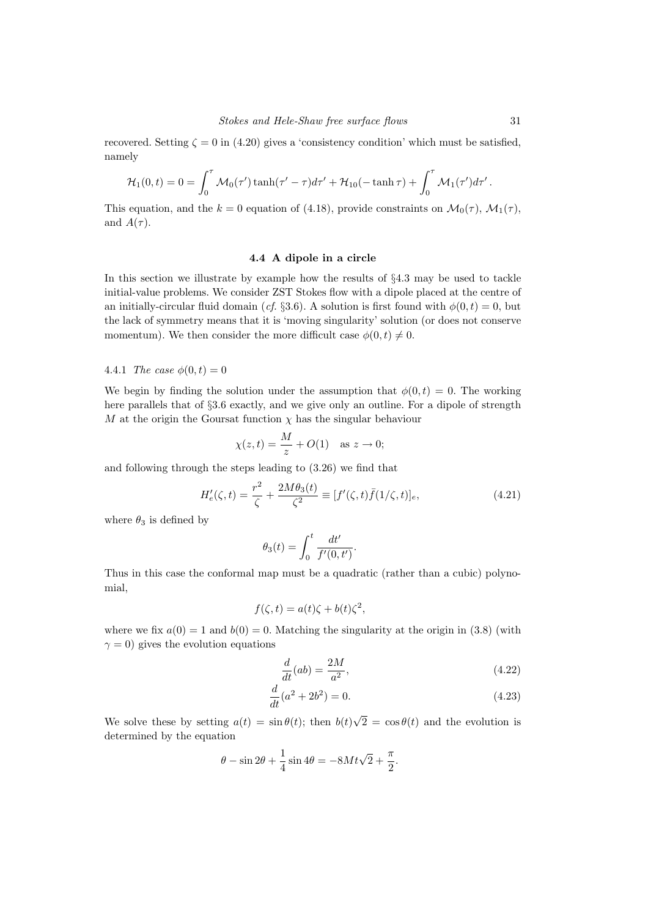recovered. Setting  $\zeta = 0$  in (4.20) gives a 'consistency condition' which must be satisfied, namely

$$
\mathcal{H}_1(0,t) = 0 = \int_0^{\tau} \mathcal{M}_0(\tau') \tanh(\tau' - \tau) d\tau' + \mathcal{H}_{10}(-\tanh \tau) + \int_0^{\tau} \mathcal{M}_1(\tau') d\tau'.
$$

This equation, and the  $k = 0$  equation of (4.18), provide constraints on  $\mathcal{M}_0(\tau)$ ,  $\mathcal{M}_1(\tau)$ , and  $A(\tau)$ .

# 4.4 A dipole in a circle

In this section we illustrate by example how the results of §4.3 may be used to tackle initial-value problems. We consider ZST Stokes flow with a dipole placed at the centre of an initially-circular fluid domain (cf. §3.6). A solution is first found with  $\phi(0, t) = 0$ , but the lack of symmetry means that it is 'moving singularity' solution (or does not conserve momentum). We then consider the more difficult case  $\phi(0, t) \neq 0$ .

# 4.4.1 The case  $\phi(0, t) = 0$

We begin by finding the solution under the assumption that  $\phi(0, t) = 0$ . The working here parallels that of §3.6 exactly, and we give only an outline. For a dipole of strength M at the origin the Goursat function  $\chi$  has the singular behaviour

$$
\chi(z,t) = \frac{M}{z} + O(1) \quad \text{as } z \to 0;
$$

and following through the steps leading to (3.26) we find that

$$
H'_{e}(\zeta, t) = \frac{r^2}{\zeta} + \frac{2M\theta_3(t)}{\zeta^2} \equiv [f'(\zeta, t)\bar{f}(1/\zeta, t)]_e,
$$
\n(4.21)

where  $\theta_3$  is defined by

$$
\theta_3(t) = \int_0^t \frac{dt'}{f'(0, t')}.
$$

Thus in this case the conformal map must be a quadratic (rather than a cubic) polynomial,

$$
f(\zeta, t) = a(t)\zeta + b(t)\zeta^2,
$$

where we fix  $a(0) = 1$  and  $b(0) = 0$ . Matching the singularity at the origin in (3.8) (with  $\gamma = 0$ ) gives the evolution equations

$$
\frac{d}{dt}(ab) = \frac{2M}{a^2},\tag{4.22}
$$

$$
\frac{d}{dt}(a^2 + 2b^2) = 0.\t\t(4.23)
$$

We solve these by setting  $a(t) = \sin \theta(t)$ ; then  $b(t)$ √  $\overline{2} = \cos \theta(t)$  and the evolution is determined by the equation

$$
\theta - \sin 2\theta + \frac{1}{4}\sin 4\theta = -8Mt\sqrt{2} + \frac{\pi}{2}.
$$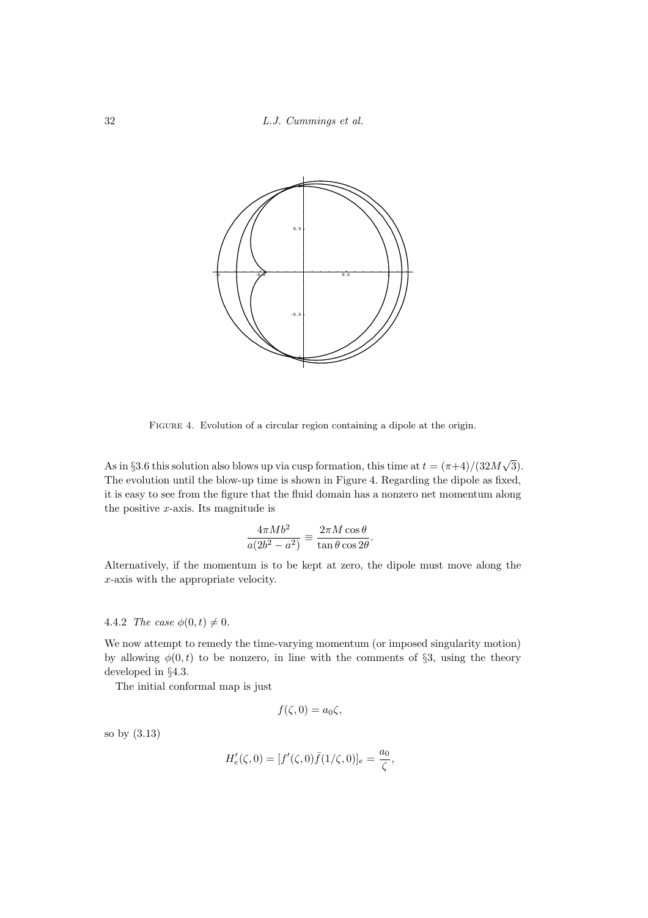

Figure 4. Evolution of a circular region containing a dipole at the origin.

As in §3.6 this solution also blows up via cusp formation, this time at  $t = (\pi+4)/(32M)$ √ 3). The evolution until the blow-up time is shown in Figure 4. Regarding the dipole as fixed, it is easy to see from the figure that the fluid domain has a nonzero net momentum along the positive  $x$ -axis. Its magnitude is

$$
\frac{4\pi Mb^2}{a(2b^2 - a^2)} \equiv \frac{2\pi M \cos \theta}{\tan \theta \cos 2\theta}.
$$

Alternatively, if the momentum is to be kept at zero, the dipole must move along the x-axis with the appropriate velocity.

# 4.4.2 The case  $\phi(0, t) \neq 0$ .

We now attempt to remedy the time-varying momentum (or imposed singularity motion) by allowing  $\phi(0, t)$  to be nonzero, in line with the comments of §3, using the theory developed in §4.3.

The initial conformal map is just

$$
f(\zeta,0) = a_0 \zeta,
$$

so by (3.13)

$$
H'_{e}(\zeta,0) = [f'(\zeta,0)\bar{f}(1/\zeta,0)]_{e} = \frac{a_0}{\zeta},
$$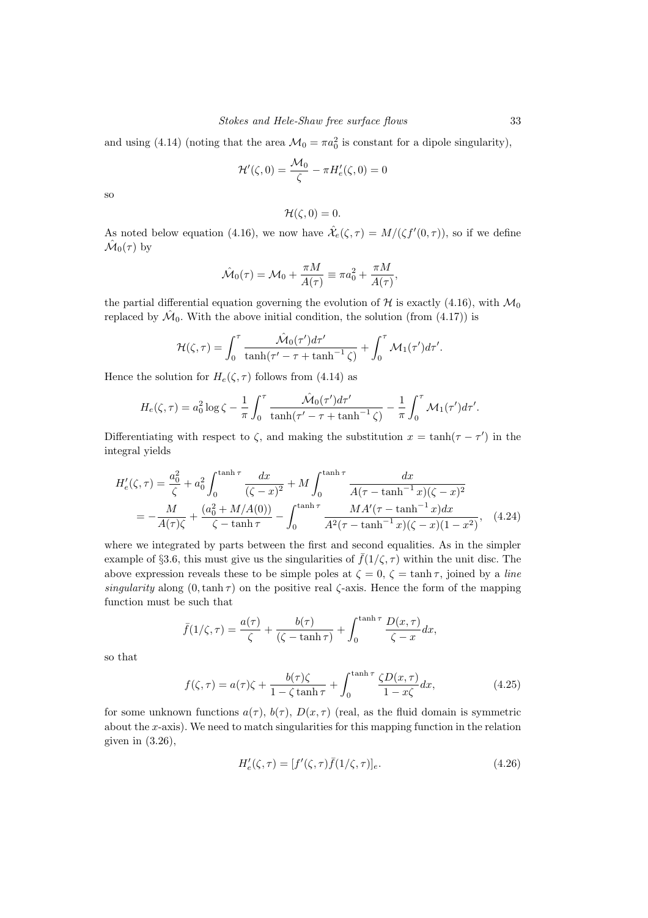and using (4.14) (noting that the area  $\mathcal{M}_0 = \pi a_0^2$  is constant for a dipole singularity),

$$
\mathcal{H}'(\zeta,0) = \frac{\mathcal{M}_0}{\zeta} - \pi H'_e(\zeta,0) = 0
$$

so

$$
\mathcal{H}(\zeta,0)=0.
$$

As noted below equation (4.16), we now have  $\hat{\mathcal{X}}_e(\zeta,\tau) = M/(\zeta f'(0,\tau))$ , so if we define  $\hat{\mathcal{M}}_0(\tau)$  by

$$
\hat{\mathcal{M}}_0(\tau) = \mathcal{M}_0 + \frac{\pi M}{A(\tau)} \equiv \pi a_0^2 + \frac{\pi M}{A(\tau)},
$$

the partial differential equation governing the evolution of  $H$  is exactly (4.16), with  $\mathcal{M}_0$ replaced by  $\hat{\mathcal{M}}_0$ . With the above initial condition, the solution (from (4.17)) is

$$
\mathcal{H}(\zeta,\tau) = \int_0^{\tau} \frac{\hat{\mathcal{M}}_0(\tau')d\tau'}{\tanh(\tau'-\tau+\tanh^{-1}\zeta)} + \int_0^{\tau} \mathcal{M}_1(\tau')d\tau'.
$$

Hence the solution for  $H_e(\zeta, \tau)$  follows from (4.14) as

$$
H_e(\zeta,\tau) = a_0^2 \log \zeta - \frac{1}{\pi} \int_0^{\tau} \frac{\hat{\mathcal{M}}_0(\tau') d\tau'}{\tanh(\tau'-\tau+\tanh^{-1}\zeta)} - \frac{1}{\pi} \int_0^{\tau} \mathcal{M}_1(\tau') d\tau'.
$$

Differentiating with respect to  $\zeta$ , and making the substitution  $x = \tanh(\tau - \tau')$  in the integral yields

$$
H'_{e}(\zeta,\tau) = \frac{a_0^2}{\zeta} + a_0^2 \int_0^{\tanh \tau} \frac{dx}{(\zeta - x)^2} + M \int_0^{\tanh \tau} \frac{dx}{A(\tau - \tanh^{-1} x)(\zeta - x)^2}
$$
  
= 
$$
-\frac{M}{A(\tau)\zeta} + \frac{(a_0^2 + M/A(0))}{\zeta - \tanh \tau} - \int_0^{\tanh \tau} \frac{M A'(\tau - \tanh^{-1} x) dx}{A^2(\tau - \tanh^{-1} x)(\zeta - x)(1 - x^2)}, \quad (4.24)
$$

where we integrated by parts between the first and second equalities. As in the simpler example of §3.6, this must give us the singularities of  $\bar{f}(1/\zeta, \tau)$  within the unit disc. The above expression reveals these to be simple poles at  $\zeta = 0$ ,  $\zeta = \tanh \tau$ , joined by a *line* singularity along  $(0, \tanh \tau)$  on the positive real  $\zeta$ -axis. Hence the form of the mapping function must be such that

$$
\bar{f}(1/\zeta,\tau) = \frac{a(\tau)}{\zeta} + \frac{b(\tau)}{(\zeta - \tanh \tau)} + \int_0^{\tanh \tau} \frac{D(x,\tau)}{\zeta - x} dx,
$$

so that

$$
f(\zeta,\tau) = a(\tau)\zeta + \frac{b(\tau)\zeta}{1 - \zeta\tanh\tau} + \int_0^{\tanh\tau} \frac{\zeta D(x,\tau)}{1 - x\zeta} dx,\tag{4.25}
$$

for some unknown functions  $a(\tau)$ ,  $b(\tau)$ ,  $D(x, \tau)$  (real, as the fluid domain is symmetric about the  $x$ -axis). We need to match singularities for this mapping function in the relation given in (3.26),

$$
H'_{e}(\zeta, \tau) = [f'(\zeta, \tau)\bar{f}(1/\zeta, \tau)]_{e}.
$$
\n(4.26)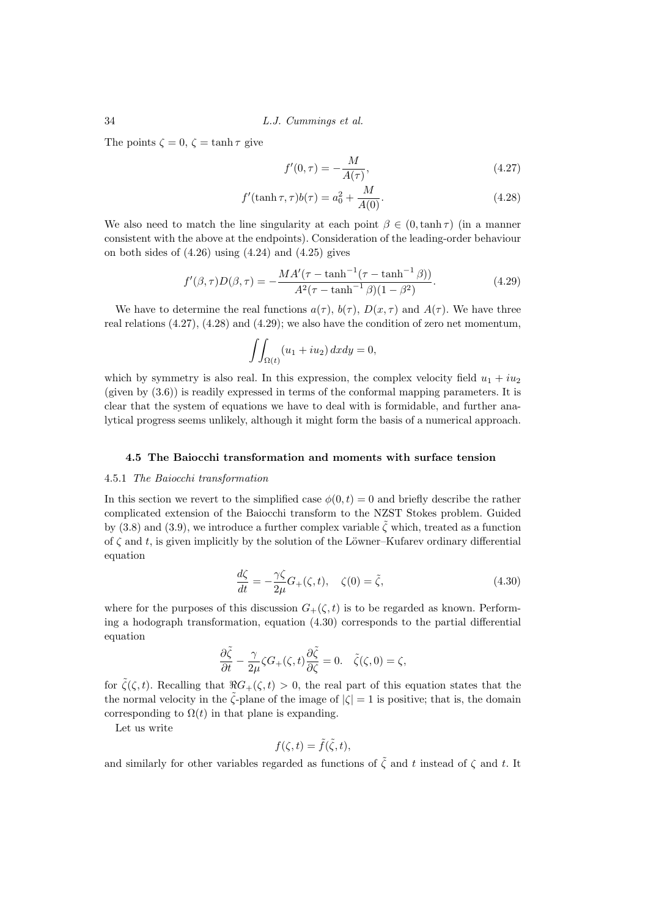The points  $\zeta = 0$ ,  $\zeta = \tanh \tau$  give

$$
f'(0, \tau) = -\frac{M}{A(\tau)},
$$
\n(4.27)

$$
f'(\tanh \tau, \tau)b(\tau) = a_0^2 + \frac{M}{A(0)}.
$$
\n(4.28)

We also need to match the line singularity at each point  $\beta \in (0, \tanh \tau)$  (in a manner consistent with the above at the endpoints). Consideration of the leading-order behaviour on both sides of  $(4.26)$  using  $(4.24)$  and  $(4.25)$  gives

$$
f'(\beta, \tau)D(\beta, \tau) = -\frac{MA'(\tau - \tanh^{-1}(\tau - \tanh^{-1}\beta))}{A^2(\tau - \tanh^{-1}\beta)(1 - \beta^2)}.
$$
 (4.29)

We have to determine the real functions  $a(\tau)$ ,  $b(\tau)$ ,  $D(x, \tau)$  and  $A(\tau)$ . We have three real relations (4.27), (4.28) and (4.29); we also have the condition of zero net momentum,

$$
\iint_{\Omega(t)} (u_1 + iu_2) \, dx dy = 0,
$$

which by symmetry is also real. In this expression, the complex velocity field  $u_1 + iu_2$ (given by (3.6)) is readily expressed in terms of the conformal mapping parameters. It is clear that the system of equations we have to deal with is formidable, and further analytical progress seems unlikely, although it might form the basis of a numerical approach.

# 4.5 The Baiocchi transformation and moments with surface tension

#### 4.5.1 The Baiocchi transformation

In this section we revert to the simplified case  $\phi(0, t) = 0$  and briefly describe the rather complicated extension of the Baiocchi transform to the NZST Stokes problem. Guided by (3.8) and (3.9), we introduce a further complex variable  $\zeta$  which, treated as a function of  $\zeta$  and t, is given implicitly by the solution of the Löwner–Kufarev ordinary differential equation

$$
\frac{d\zeta}{dt} = -\frac{\gamma\zeta}{2\mu}G_{+}(\zeta, t), \quad \zeta(0) = \tilde{\zeta},\tag{4.30}
$$

where for the purposes of this discussion  $G_{+}(\zeta, t)$  is to be regarded as known. Performing a hodograph transformation, equation (4.30) corresponds to the partial differential equation

$$
\frac{\partial \tilde{\zeta}}{\partial t} - \frac{\gamma}{2\mu} \zeta G_{+}(\zeta, t) \frac{\partial \tilde{\zeta}}{\partial \zeta} = 0. \quad \tilde{\zeta}(\zeta, 0) = \zeta,
$$

for  $\tilde{\zeta}(\zeta, t)$ . Recalling that  $\Re G_+(\zeta, t) > 0$ , the real part of this equation states that the the normal velocity in the  $\tilde{\zeta}$ -plane of the image of  $|\zeta|=1$  is positive; that is, the domain corresponding to  $\Omega(t)$  in that plane is expanding.

Let us write

$$
f(\zeta, t) = \tilde{f}(\tilde{\zeta}, t),
$$

and similarly for other variables regarded as functions of  $\tilde{\zeta}$  and t instead of  $\zeta$  and t. It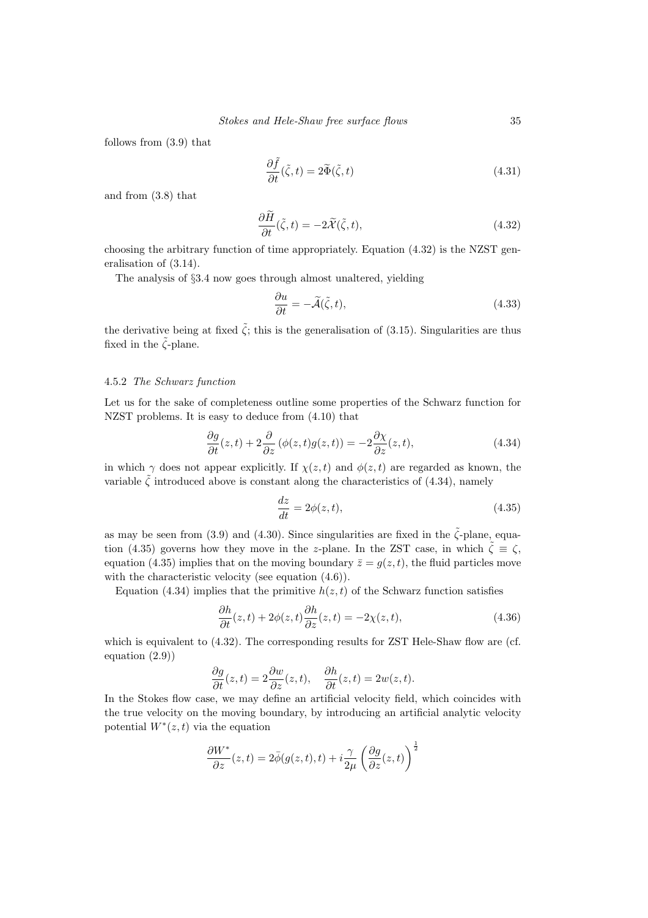follows from (3.9) that

$$
\frac{\partial \tilde{f}}{\partial t}(\tilde{\zeta},t) = 2\tilde{\Phi}(\tilde{\zeta},t)
$$
\n(4.31)

and from (3.8) that

$$
\frac{\partial \widetilde{H}}{\partial t}(\widetilde{\zeta},t) = -2\widetilde{\mathcal{X}}(\widetilde{\zeta},t),\tag{4.32}
$$

choosing the arbitrary function of time appropriately. Equation (4.32) is the NZST generalisation of (3.14).

The analysis of §3.4 now goes through almost unaltered, yielding

$$
\frac{\partial u}{\partial t} = -\tilde{\mathcal{A}}(\tilde{\zeta}, t),\tag{4.33}
$$

the derivative being at fixed  $\tilde{\zeta}$ ; this is the generalisation of (3.15). Singularities are thus fixed in the  $\tilde{\zeta}$ -plane.

## 4.5.2 The Schwarz function

Let us for the sake of completeness outline some properties of the Schwarz function for NZST problems. It is easy to deduce from  $(4.10)$  that

$$
\frac{\partial g}{\partial t}(z,t) + 2\frac{\partial}{\partial z}(\phi(z,t)g(z,t)) = -2\frac{\partial \chi}{\partial z}(z,t),\tag{4.34}
$$

in which  $\gamma$  does not appear explicitly. If  $\chi(z, t)$  and  $\phi(z, t)$  are regarded as known, the variable  $\tilde{\zeta}$  introduced above is constant along the characteristics of (4.34), namely

$$
\frac{dz}{dt} = 2\phi(z, t),\tag{4.35}
$$

as may be seen from (3.9) and (4.30). Since singularities are fixed in the  $\tilde{\zeta}$ -plane, equation (4.35) governs how they move in the z-plane. In the ZST case, in which  $\tilde{\zeta} \equiv \zeta$ , equation (4.35) implies that on the moving boundary  $\bar{z} = g(z, t)$ , the fluid particles move with the characteristic velocity (see equation  $(4.6)$ ).

Equation (4.34) implies that the primitive  $h(z, t)$  of the Schwarz function satisfies

$$
\frac{\partial h}{\partial t}(z,t) + 2\phi(z,t)\frac{\partial h}{\partial z}(z,t) = -2\chi(z,t),\tag{4.36}
$$

which is equivalent to  $(4.32)$ . The corresponding results for ZST Hele-Shaw flow are (cf. equation (2.9))

$$
\frac{\partial g}{\partial t}(z,t) = 2\frac{\partial w}{\partial z}(z,t), \quad \frac{\partial h}{\partial t}(z,t) = 2w(z,t).
$$

In the Stokes flow case, we may define an artificial velocity field, which coincides with the true velocity on the moving boundary, by introducing an artificial analytic velocity potential  $W^*(z,t)$  via the equation

$$
\frac{\partial W^*}{\partial z}(z,t)=2\bar{\phi}(g(z,t),t)+i\frac{\gamma}{2\mu}\left(\frac{\partial g}{\partial z}(z,t)\right)^{\frac{1}{2}}
$$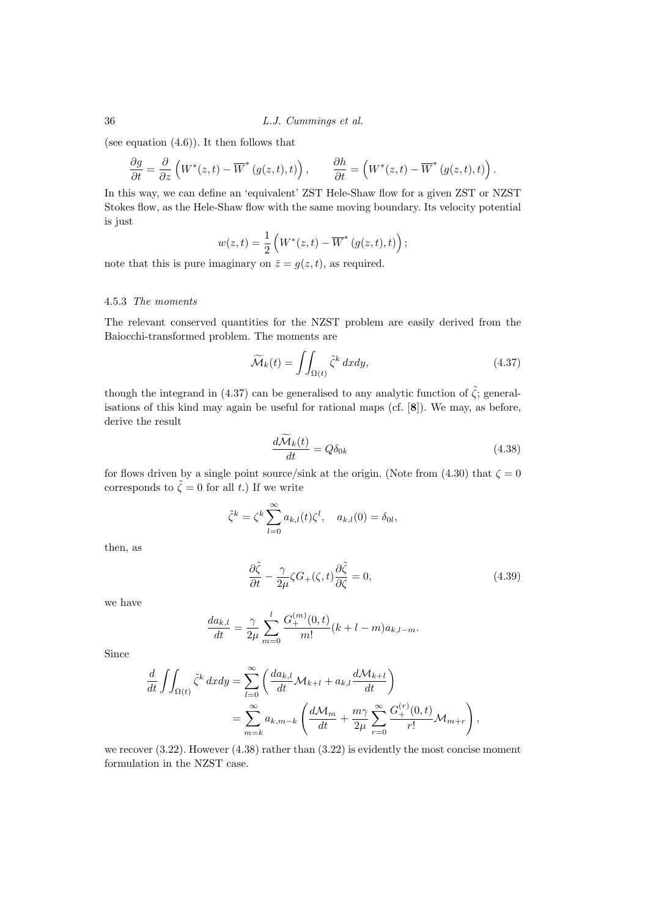(see equation  $(4.6)$ ). It then follows that

$$
\frac{\partial g}{\partial t} = \frac{\partial}{\partial z} \left( W^*(z, t) - \overline{W}^* \left( g(z, t), t \right) \right), \qquad \frac{\partial h}{\partial t} = \left( W^*(z, t) - \overline{W}^* \left( g(z, t), t \right) \right).
$$

In this way, we can define an 'equivalent' ZST Hele-Shaw flow for a given ZST or NZST Stokes flow, as the Hele-Shaw flow with the same moving boundary. Its velocity potential is just

$$
w(z,t) = \frac{1}{2} \left( W^*(z,t) - \overline{W}^* \left( g(z,t),t \right) \right);
$$

note that this is pure imaginary on  $\bar{z} = g(z, t)$ , as required.

#### 4.5.3 The moments

The relevant conserved quantities for the NZST problem are easily derived from the Baiocchi-transformed problem. The moments are

$$
\widetilde{\mathcal{M}}_k(t) = \iint_{\Omega(t)} \widetilde{\zeta}^k dx dy,
$$
\n(4.37)

though the integrand in (4.37) can be generalised to any analytic function of  $\tilde{\zeta}$ ; generalisations of this kind may again be useful for rational maps (cf. [8]). We may, as before, derive the result

$$
\frac{d\widetilde{\mathcal{M}}_k(t)}{dt} = Q\delta_{0k} \tag{4.38}
$$

for flows driven by a single point source/sink at the origin. (Note from (4.30) that  $\zeta = 0$ corresponds to  $\tilde{\zeta} = 0$  for all t.) If we write

$$
\tilde{\zeta}^k = \zeta^k \sum_{l=0}^{\infty} a_{k,l}(t) \zeta^l, \quad a_{k,l}(0) = \delta_{0l},
$$

then, as

$$
\frac{\partial \tilde{\zeta}}{\partial t} - \frac{\gamma}{2\mu} \zeta G_{+}(\zeta, t) \frac{\partial \tilde{\zeta}}{\partial \zeta} = 0, \qquad (4.39)
$$

we have

$$
\frac{da_{k,l}}{dt} = \frac{\gamma}{2\mu} \sum_{m=0}^{l} \frac{G_+^{(m)}(0,t)}{m!} (k+l-m) a_{k,l-m}.
$$

Since

$$
\frac{d}{dt} \iint_{\Omega(t)} \tilde{\zeta}^k dx dy = \sum_{l=0}^{\infty} \left( \frac{da_{k,l}}{dt} \mathcal{M}_{k+l} + a_{k,l} \frac{d \mathcal{M}_{k+l}}{dt} \right)
$$

$$
= \sum_{m=k}^{\infty} a_{k,m-k} \left( \frac{d \mathcal{M}_m}{dt} + \frac{m\gamma}{2\mu} \sum_{r=0}^{\infty} \frac{G_+^{(r)}(0,t)}{r!} \mathcal{M}_{m+r} \right),
$$

we recover  $(3.22)$ . However  $(4.38)$  rather than  $(3.22)$  is evidently the most concise moment formulation in the NZST case.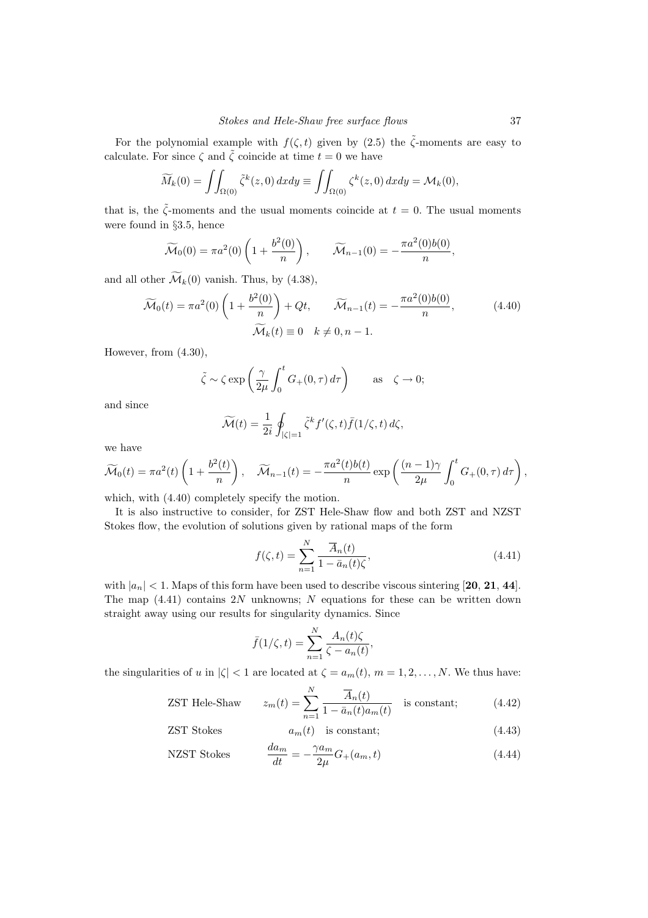For the polynomial example with  $f(\zeta, t)$  given by (2.5) the  $\tilde{\zeta}$ -moments are easy to calculate. For since  $\zeta$  and  $\tilde{\zeta}$  coincide at time  $t = 0$  we have

$$
\widetilde{M}_k(0) = \iint_{\Omega(0)} \widetilde{\zeta}^k(z,0) \, dx dy \equiv \iint_{\Omega(0)} \zeta^k(z,0) \, dx dy = \mathcal{M}_k(0),
$$

that is, the  $\tilde{\zeta}$ -moments and the usual moments coincide at  $t = 0$ . The usual moments were found in §3.5, hence

$$
\widetilde{\mathcal{M}}_0(0) = \pi a^2(0) \left( 1 + \frac{b^2(0)}{n} \right), \qquad \widetilde{\mathcal{M}}_{n-1}(0) = -\frac{\pi a^2(0)b(0)}{n},
$$

and all other  $\widetilde{\mathcal{M}}_k(0)$  vanish. Thus, by (4.38),

$$
\widetilde{\mathcal{M}}_0(t) = \pi a^2(0) \left( 1 + \frac{b^2(0)}{n} \right) + Qt, \qquad \widetilde{\mathcal{M}}_{n-1}(t) = -\frac{\pi a^2(0)b(0)}{n}, \qquad (4.40)
$$

$$
\widetilde{\mathcal{M}}_k(t) \equiv 0 \quad k \neq 0, n-1.
$$

However, from (4.30),

$$
\tilde{\zeta} \sim \zeta \exp\left(\frac{\gamma}{2\mu} \int_0^t G_+(0,\tau) d\tau\right)
$$
 as  $\zeta \to 0;$ 

and since

$$
\widetilde{\mathcal{M}}(t) = \frac{1}{2i} \oint_{|\zeta|=1} \widetilde{\zeta}^k f'(\zeta, t) \overline{f}(1/\zeta, t) d\zeta,
$$

we have

$$
\widetilde{\mathcal{M}}_0(t) = \pi a^2(t) \left( 1 + \frac{b^2(t)}{n} \right), \quad \widetilde{\mathcal{M}}_{n-1}(t) = -\frac{\pi a^2(t)b(t)}{n} \exp\left( \frac{(n-1)\gamma}{2\mu} \int_0^t G_+(0,\tau) d\tau \right),
$$

which, with (4.40) completely specify the motion.

It is also instructive to consider, for ZST Hele-Shaw flow and both ZST and NZST Stokes flow, the evolution of solutions given by rational maps of the form

$$
f(\zeta, t) = \sum_{n=1}^{N} \frac{\overline{A}_n(t)}{1 - \overline{a}_n(t)\zeta},
$$
\n(4.41)

with  $|a_n| < 1$ . Maps of this form have been used to describe viscous sintering [20, 21, 44]. The map  $(4.41)$  contains 2N unknowns; N equations for these can be written down straight away using our results for singularity dynamics. Since

$$
\bar{f}(1/\zeta,t) = \sum_{n=1}^{N} \frac{A_n(t)\zeta}{\zeta - a_n(t)},
$$

the singularities of u in  $|\zeta|$  < 1 are located at  $\zeta = a_m(t)$ ,  $m = 1, 2, ..., N$ . We thus have:

ZST Hele-Shaw 
$$
z_m(t) = \sum_{n=1}^{N} \frac{\overline{A}_n(t)}{1 - \overline{a}_n(t)a_m(t)}
$$
 is constant; (4.42)

ZST Stokes 
$$
a_m(t)
$$
 is constant; (4.43)

$$
\text{NZST Stokes} \qquad \frac{da_m}{dt} = -\frac{\gamma a_m}{2\mu} G_+(a_m, t) \tag{4.44}
$$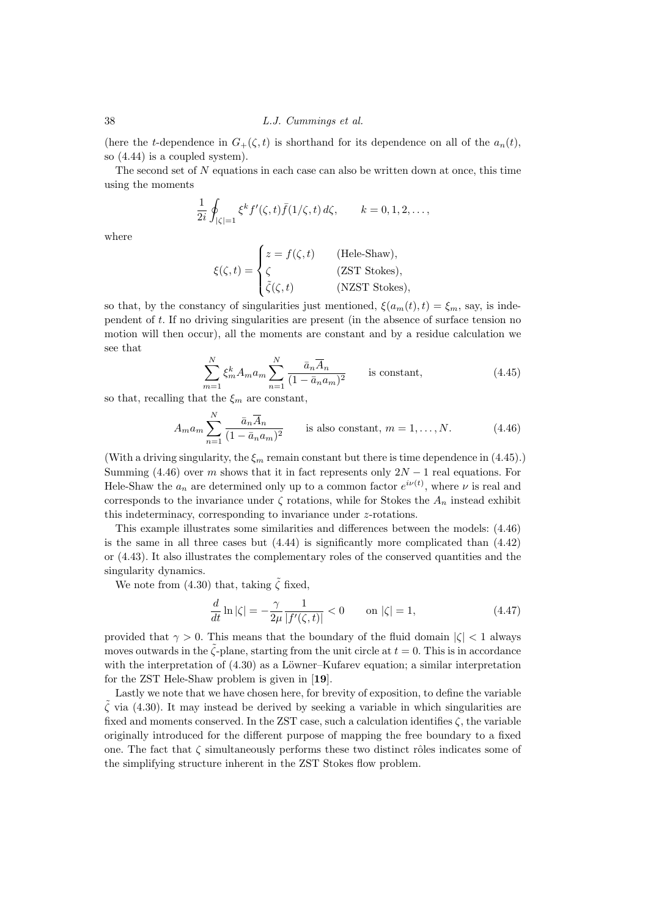(here the t-dependence in  $G_+(\zeta,t)$  is shorthand for its dependence on all of the  $a_n(t)$ , so (4.44) is a coupled system).

The second set of N equations in each case can also be written down at once, this time using the moments

$$
\frac{1}{2i} \oint_{|\zeta|=1} \xi^k f'(\zeta, t) \bar{f}(1/\zeta, t) \, d\zeta, \qquad k = 0, 1, 2, \dots,
$$

where

$$
\xi(\zeta, t) = \begin{cases}\nz = f(\zeta, t) & \text{(Hele-Shaw)}, \\
\zeta & \text{(ZST Stokes)}, \\
\tilde{\zeta}(\zeta, t) & \text{(NZST Stokes)},\n\end{cases}
$$

so that, by the constancy of singularities just mentioned,  $\xi(a_m(t), t) = \xi_m$ , say, is independent of t. If no driving singularities are present (in the absence of surface tension no motion will then occur), all the moments are constant and by a residue calculation we see that

$$
\sum_{m=1}^{N} \xi_m^k A_m a_m \sum_{n=1}^{N} \frac{\bar{a}_n \overline{A}_n}{(1 - \bar{a}_n a_m)^2} \qquad \text{is constant},
$$
\n(4.45)

so that, recalling that the  $\xi_m$  are constant,

$$
A_m a_m \sum_{n=1}^N \frac{\bar{a}_n \overline{A}_n}{(1 - \bar{a}_n a_m)^2}
$$
 is also constant,  $m = 1, ..., N$ . (4.46)

(With a driving singularity, the  $\xi_m$  remain constant but there is time dependence in (4.45).) Summing (4.46) over m shows that it in fact represents only  $2N - 1$  real equations. For Hele-Shaw the  $a_n$  are determined only up to a common factor  $e^{i\nu(t)}$ , where  $\nu$  is real and corresponds to the invariance under  $\zeta$  rotations, while for Stokes the  $A_n$  instead exhibit this indeterminacy, corresponding to invariance under z-rotations.

This example illustrates some similarities and differences between the models: (4.46) is the same in all three cases but (4.44) is significantly more complicated than (4.42) or (4.43). It also illustrates the complementary roles of the conserved quantities and the singularity dynamics.

We note from (4.30) that, taking  $\tilde{\zeta}$  fixed,

$$
\frac{d}{dt}\ln|\zeta| = -\frac{\gamma}{2\mu} \frac{1}{|f'(\zeta, t)|} < 0 \qquad \text{on } |\zeta| = 1,\tag{4.47}
$$

provided that  $\gamma > 0$ . This means that the boundary of the fluid domain  $|\zeta| < 1$  always moves outwards in the  $\zeta$ -plane, starting from the unit circle at  $t = 0$ . This is in accordance with the interpretation of  $(4.30)$  as a Löwner–Kufarev equation; a similar interpretation for the ZST Hele-Shaw problem is given in [19].

Lastly we note that we have chosen here, for brevity of exposition, to define the variable  $\zeta$  via (4.30). It may instead be derived by seeking a variable in which singularities are fixed and moments conserved. In the ZST case, such a calculation identifies  $\zeta$ , the variable originally introduced for the different purpose of mapping the free boundary to a fixed one. The fact that  $\zeta$  simultaneously performs these two distinct rôles indicates some of the simplifying structure inherent in the ZST Stokes flow problem.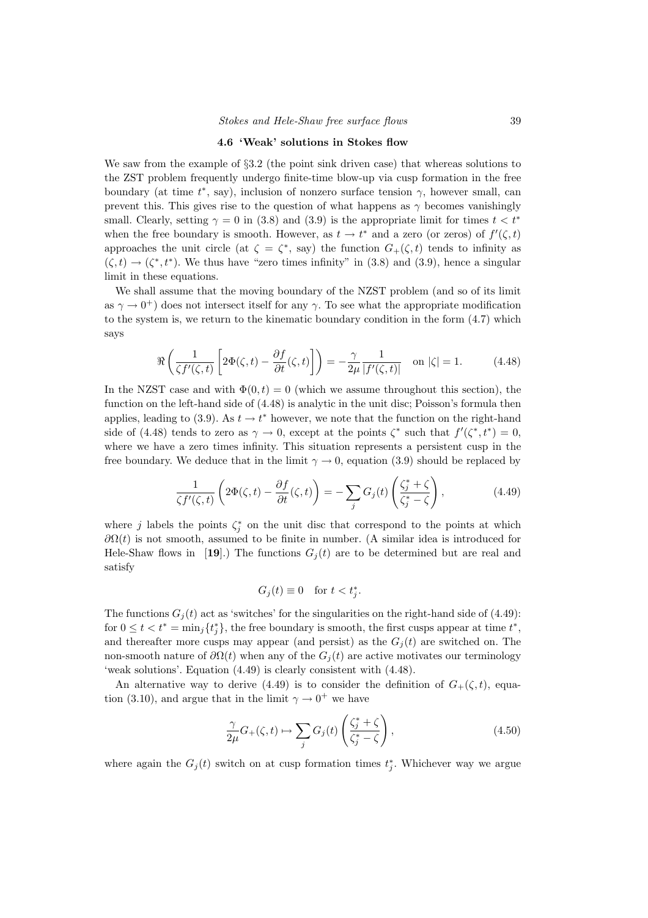## 4.6 'Weak' solutions in Stokes flow

We saw from the example of §3.2 (the point sink driven case) that whereas solutions to the ZST problem frequently undergo finite-time blow-up via cusp formation in the free boundary (at time  $t^*$ , say), inclusion of nonzero surface tension  $\gamma$ , however small, can prevent this. This gives rise to the question of what happens as  $\gamma$  becomes vanishingly small. Clearly, setting  $\gamma = 0$  in (3.8) and (3.9) is the appropriate limit for times  $t < t^*$ when the free boundary is smooth. However, as  $t \to t^*$  and a zero (or zeros) of  $f'(\zeta, t)$ approaches the unit circle (at  $\zeta = \zeta^*$ , say) the function  $G_+(\zeta, t)$  tends to infinity as  $(\zeta, t) \to (\zeta^*, t^*)$ . We thus have "zero times infinity" in (3.8) and (3.9), hence a singular limit in these equations.

We shall assume that the moving boundary of the NZST problem (and so of its limit as  $\gamma \to 0^+$ ) does not intersect itself for any  $\gamma$ . To see what the appropriate modification to the system is, we return to the kinematic boundary condition in the form (4.7) which says

$$
\Re\left(\frac{1}{\zeta f'(\zeta,t)}\left[2\Phi(\zeta,t)-\frac{\partial f}{\partial t}(\zeta,t)\right]\right)=-\frac{\gamma}{2\mu}\frac{1}{|f'(\zeta,t)|}\quad\text{on }|\zeta|=1.\tag{4.48}
$$

In the NZST case and with  $\Phi(0, t) = 0$  (which we assume throughout this section), the function on the left-hand side of (4.48) is analytic in the unit disc; Poisson's formula then applies, leading to (3.9). As  $t \to t^*$  however, we note that the function on the right-hand side of (4.48) tends to zero as  $\gamma \to 0$ , except at the points  $\zeta^*$  such that  $f'(\zeta^*, t^*) = 0$ , where we have a zero times infinity. This situation represents a persistent cusp in the free boundary. We deduce that in the limit  $\gamma \to 0$ , equation (3.9) should be replaced by

$$
\frac{1}{\zeta f'(\zeta, t)} \left( 2\Phi(\zeta, t) - \frac{\partial f}{\partial t}(\zeta, t) \right) = -\sum_{j} G_j(t) \left( \frac{\zeta_j^* + \zeta}{\zeta_j^* - \zeta} \right),\tag{4.49}
$$

where j labels the points  $\zeta_j^*$  on the unit disc that correspond to the points at which  $\partial\Omega(t)$  is not smooth, assumed to be finite in number. (A similar idea is introduced for Hele-Shaw flows in [19].) The functions  $G_j(t)$  are to be determined but are real and satisfy

$$
G_j(t) \equiv 0 \quad \text{for } t < t_j^*.
$$

The functions  $G_i(t)$  act as 'switches' for the singularities on the right-hand side of (4.49): for  $0 \le t < t^* = \min_j \{t_j^*\}\$ , the free boundary is smooth, the first cusps appear at time  $t^*$ , and thereafter more cusps may appear (and persist) as the  $G_i(t)$  are switched on. The non-smooth nature of  $\partial \Omega(t)$  when any of the  $G_i(t)$  are active motivates our terminology 'weak solutions'. Equation (4.49) is clearly consistent with (4.48).

An alternative way to derive (4.49) is to consider the definition of  $G_{+}(\zeta, t)$ , equation (3.10), and argue that in the limit  $\gamma \to 0^+$  we have

$$
\frac{\gamma}{2\mu}G_{+}(\zeta,t)\mapsto\sum_{j}G_{j}(t)\left(\frac{\zeta_{j}^{*}+\zeta}{\zeta_{j}^{*}-\zeta}\right),\qquad(4.50)
$$

where again the  $G_j(t)$  switch on at cusp formation times  $t_j^*$ . Whichever way we argue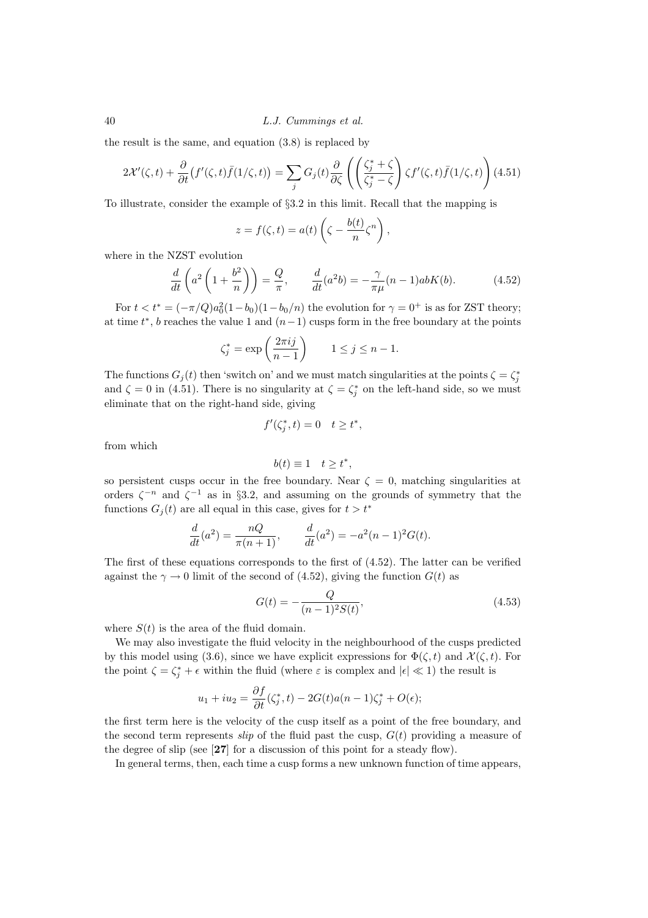the result is the same, and equation (3.8) is replaced by

$$
2\mathcal{X}'(\zeta,t) + \frac{\partial}{\partial t} \left( f'(\zeta,t) \bar{f}(1/\zeta,t) \right) = \sum_j G_j(t) \frac{\partial}{\partial \zeta} \left( \left( \frac{\zeta_j^* + \zeta}{\zeta_j^* - \zeta} \right) \zeta f'(\zeta,t) \bar{f}(1/\zeta,t) \right) (4.51)
$$

To illustrate, consider the example of §3.2 in this limit. Recall that the mapping is

$$
z = f(\zeta, t) = a(t) \left( \zeta - \frac{b(t)}{n} \zeta^n \right),
$$

where in the NZST evolution

$$
\frac{d}{dt}\left(a^2\left(1+\frac{b^2}{n}\right)\right) = \frac{Q}{\pi}, \qquad \frac{d}{dt}(a^2b) = -\frac{\gamma}{\pi\mu}(n-1)abK(b). \tag{4.52}
$$

For  $t < t^* = (-\pi/Q)a_0^2(1-b_0)(1-b_0/n)$  the evolution for  $\gamma = 0^+$  is as for ZST theory; at time  $t^*$ , b reaches the value 1 and  $(n-1)$  cusps form in the free boundary at the points

$$
\zeta_j^* = \exp\left(\frac{2\pi ij}{n-1}\right) \qquad 1 \le j \le n-1.
$$

The functions  $G_j(t)$  then 'switch on' and we must match singularities at the points  $\zeta = \zeta_j^*$ and  $\zeta = 0$  in (4.51). There is no singularity at  $\zeta = \zeta_i^*$  on the left-hand side, so we must eliminate that on the right-hand side, giving

$$
f'(\zeta_j^*, t) = 0 \quad t \ge t^*,
$$

from which

$$
b(t) \equiv 1 \quad t \ge t^*,
$$

so persistent cusps occur in the free boundary. Near  $\zeta = 0$ , matching singularities at orders  $\zeta^{-n}$  and  $\zeta^{-1}$  as in §3.2, and assuming on the grounds of symmetry that the functions  $G_i(t)$  are all equal in this case, gives for  $t > t^*$ 

$$
\frac{d}{dt}(a^2) = \frac{nQ}{\pi(n+1)}, \qquad \frac{d}{dt}(a^2) = -a^2(n-1)^2 G(t).
$$

The first of these equations corresponds to the first of (4.52). The latter can be verified against the  $\gamma \to 0$  limit of the second of (4.52), giving the function  $G(t)$  as

$$
G(t) = -\frac{Q}{(n-1)^2 S(t)},
$$
\n(4.53)

where  $S(t)$  is the area of the fluid domain.

We may also investigate the fluid velocity in the neighbourhood of the cusps predicted by this model using (3.6), since we have explicit expressions for  $\Phi(\zeta, t)$  and  $\mathcal{X}(\zeta, t)$ . For the point  $\zeta = \zeta_j^* + \epsilon$  within the fluid (where  $\varepsilon$  is complex and  $|\epsilon| \ll 1$ ) the result is

$$
u_1 + iu_2 = \frac{\partial f}{\partial t}(\zeta_j^*, t) - 2G(t)a(n-1)\zeta_j^* + O(\epsilon);
$$

the first term here is the velocity of the cusp itself as a point of the free boundary, and the second term represents *slip* of the fluid past the cusp,  $G(t)$  providing a measure of the degree of slip (see [27] for a discussion of this point for a steady flow).

In general terms, then, each time a cusp forms a new unknown function of time appears,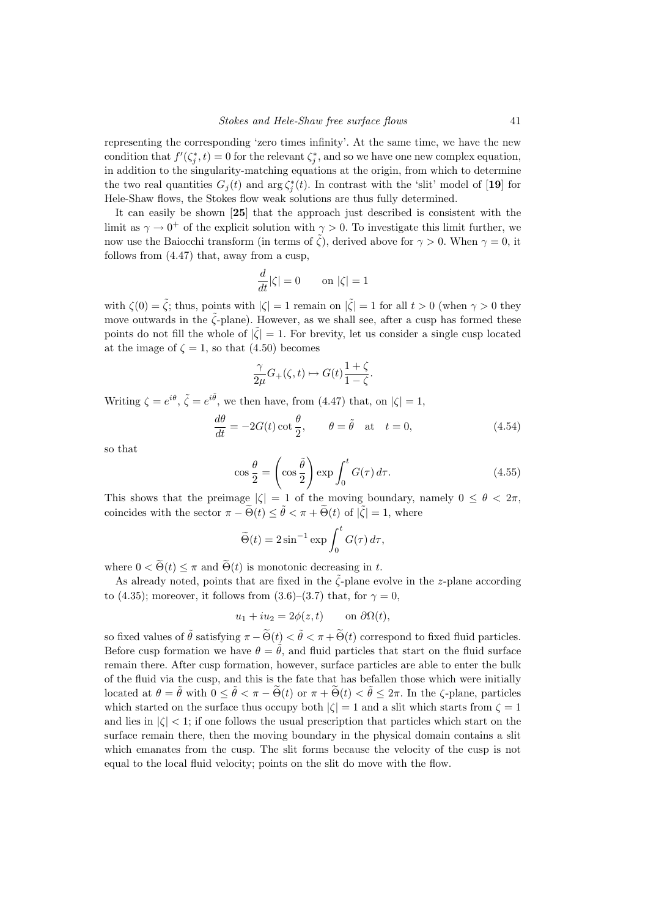representing the corresponding 'zero times infinity'. At the same time, we have the new condition that  $f'(\zeta_j^*, t) = 0$  for the relevant  $\zeta_j^*$ , and so we have one new complex equation, in addition to the singularity-matching equations at the origin, from which to determine the two real quantities  $G_j(t)$  and  $\arg \zeta^*_j(t)$ . In contrast with the 'slit' model of [19] for Hele-Shaw flows, the Stokes flow weak solutions are thus fully determined.

It can easily be shown [25] that the approach just described is consistent with the limit as  $\gamma \to 0^+$  of the explicit solution with  $\gamma > 0$ . To investigate this limit further, we now use the Baiocchi transform (in terms of  $\zeta$ ), derived above for  $\gamma > 0$ . When  $\gamma = 0$ , it follows from (4.47) that, away from a cusp,

$$
\frac{d}{dt}|\zeta| = 0 \qquad \text{on } |\zeta| = 1
$$

with  $\zeta(0) = \tilde{\zeta}$ ; thus, points with  $|\zeta| = 1$  remain on  $|\tilde{\zeta}| = 1$  for all  $t > 0$  (when  $\gamma > 0$  they move outwards in the  $\tilde{\zeta}$ -plane). However, as we shall see, after a cusp has formed these points do not fill the whole of  $|\tilde{\zeta}| = 1$ . For brevity, let us consider a single cusp located at the image of  $\zeta = 1$ , so that (4.50) becomes

$$
\frac{\gamma}{2\mu}G_{+}(\zeta,t)\mapsto G(t)\frac{1+\zeta}{1-\zeta}.
$$

Writing  $\zeta = e^{i\theta}$ ,  $\tilde{\zeta} = e^{i\tilde{\theta}}$ , we then have, from (4.47) that, on  $|\zeta| = 1$ ,

$$
\frac{d\theta}{dt} = -2G(t)\cot\frac{\theta}{2}, \qquad \theta = \tilde{\theta} \quad \text{at} \quad t = 0,
$$
\n(4.54)

so that

$$
\cos\frac{\theta}{2} = \left(\cos\frac{\tilde{\theta}}{2}\right) \exp\int_0^t G(\tau) d\tau.
$$
\n(4.55)

This shows that the preimage  $|\zeta| = 1$  of the moving boundary, namely  $0 \le \theta < 2\pi$ , coincides with the sector  $\pi - \widetilde{\Theta}(t) \leq \widetilde{\theta} < \pi + \widetilde{\Theta}(t)$  of  $|\widetilde{\zeta}| = 1$ , where

$$
\widetilde{\Theta}(t) = 2\sin^{-1}\exp\int_0^t G(\tau)\,d\tau,
$$

where  $0 < \widetilde{\Theta}(t) \leq \pi$  and  $\widetilde{\Theta}(t)$  is monotonic decreasing in t.

As already noted, points that are fixed in the  $\tilde{\zeta}$ -plane evolve in the z-plane according to (4.35); moreover, it follows from (3.6)–(3.7) that, for  $\gamma = 0$ ,

$$
u_1 + iu_2 = 2\phi(z, t) \qquad \text{on } \partial\Omega(t),
$$

so fixed values of  $\tilde{\theta}$  satisfying  $\pi - \tilde{\Theta}(t) < \tilde{\theta} < \pi + \tilde{\Theta}(t)$  correspond to fixed fluid particles. Before cusp formation we have  $\theta = \tilde{\theta}$ , and fluid particles that start on the fluid surface remain there. After cusp formation, however, surface particles are able to enter the bulk of the fluid via the cusp, and this is the fate that has befallen those which were initially located at  $\theta = \tilde{\theta}$  with  $0 \le \tilde{\theta} \le \pi - \tilde{\Theta}(t)$  or  $\pi + \tilde{\Theta}(t) \le \tilde{\theta} \le 2\pi$ . In the  $\zeta$ -plane, particles which started on the surface thus occupy both  $|\zeta| = 1$  and a slit which starts from  $\zeta = 1$ and lies in  $|\zeta| < 1$ ; if one follows the usual prescription that particles which start on the surface remain there, then the moving boundary in the physical domain contains a slit which emanates from the cusp. The slit forms because the velocity of the cusp is not equal to the local fluid velocity; points on the slit do move with the flow.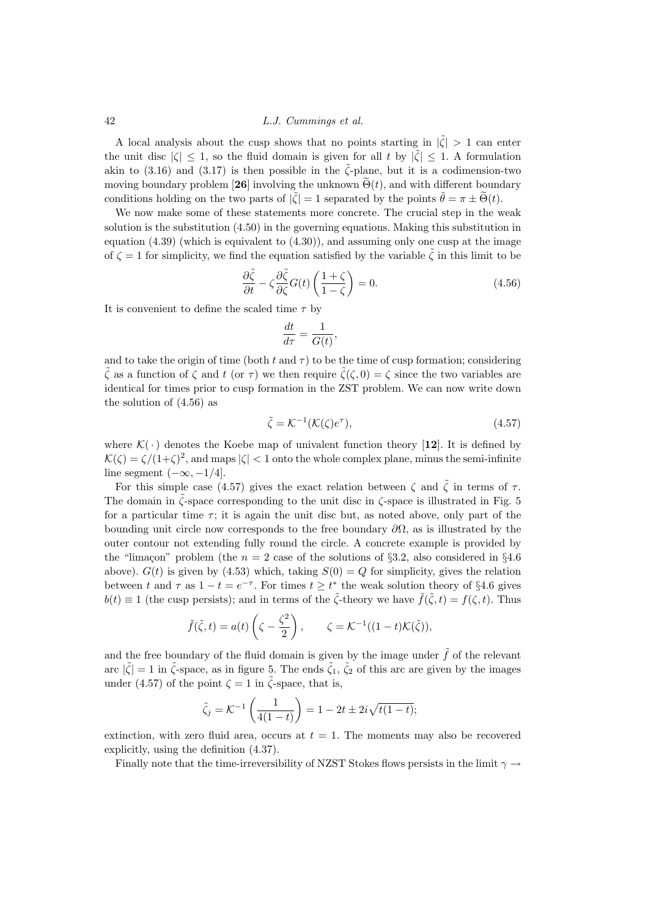A local analysis about the cusp shows that no points starting in  $|\tilde{\zeta}| > 1$  can enter the unit disc  $|\zeta| \leq 1$ , so the fluid domain is given for all t by  $|\tilde{\zeta}| \leq 1$ . A formulation akin to  $(3.16)$  and  $(3.17)$  is then possible in the  $\zeta$ -plane, but it is a codimension-two moving boundary problem [26] involving the unknown  $\tilde{\Theta}(t)$ , and with different boundary conditions holding on the two parts of  $|\tilde{\zeta}| = 1$  separated by the points  $\tilde{\theta} = \pi \pm \tilde{\Theta}(t)$ .

We now make some of these statements more concrete. The crucial step in the weak solution is the substitution (4.50) in the governing equations. Making this substitution in equation  $(4.39)$  (which is equivalent to  $(4.30)$ ), and assuming only one cusp at the image of  $\zeta = 1$  for simplicity, we find the equation satisfied by the variable  $\tilde{\zeta}$  in this limit to be

$$
\frac{\partial \tilde{\zeta}}{\partial t} - \zeta \frac{\partial \tilde{\zeta}}{\partial \zeta} G(t) \left( \frac{1+\zeta}{1-\zeta} \right) = 0.
$$
 (4.56)

It is convenient to define the scaled time  $\tau$  by

$$
\frac{dt}{d\tau} = \frac{1}{G(t)},
$$

and to take the origin of time (both t and  $\tau$ ) to be the time of cusp formation; considering  $\zeta$  as a function of  $\zeta$  and  $t$  (or  $\tau$ ) we then require  $\zeta(\zeta,0) = \zeta$  since the two variables are identical for times prior to cusp formation in the ZST problem. We can now write down the solution of (4.56) as

$$
\tilde{\zeta} = \mathcal{K}^{-1}(\mathcal{K}(\zeta)e^{\tau}),\tag{4.57}
$$

where  $\mathcal{K}(\cdot)$  denotes the Koebe map of univalent function theory [12]. It is defined by  $\mathcal{K}(\zeta) = \zeta/(1+\zeta)^2$ , and maps  $|\zeta| < 1$  onto the whole complex plane, minus the semi-infinite line segment  $(-\infty, -1/4]$ .

For this simple case (4.57) gives the exact relation between  $\zeta$  and  $\tilde{\zeta}$  in terms of  $\tau$ . The domain in  $\zeta$ -space corresponding to the unit disc in  $\zeta$ -space is illustrated in Fig. 5 for a particular time  $\tau$ ; it is again the unit disc but, as noted above, only part of the bounding unit circle now corresponds to the free boundary  $\partial\Omega$ , as is illustrated by the outer contour not extending fully round the circle. A concrete example is provided by the "limaçon" problem (the  $n = 2$  case of the solutions of §3.2, also considered in §4.6 above).  $G(t)$  is given by (4.53) which, taking  $S(0) = Q$  for simplicity, gives the relation between t and  $\tau$  as  $1 - t = e^{-\tau}$ . For times  $t \geq t^*$  the weak solution theory of §4.6 gives  $b(t) \equiv 1$  (the cusp persists); and in terms of the  $\tilde{\zeta}$ -theory we have  $\tilde{f}(\tilde{\zeta}, t) = f(\zeta, t)$ . Thus

$$
\tilde{f}(\tilde{\zeta},t) = a(t) \left( \zeta - \frac{\zeta^2}{2} \right), \qquad \zeta = \mathcal{K}^{-1}((1-t)\mathcal{K}(\tilde{\zeta})),
$$

and the free boundary of the fluid domain is given by the image under  $\tilde{f}$  of the relevant arc  $|\tilde{\zeta}| = 1$  in  $\tilde{\zeta}$ -space, as in figure 5. The ends  $\tilde{\zeta}_1$ ,  $\tilde{\zeta}_2$  of this arc are given by the images under (4.57) of the point  $\zeta = 1$  in  $\zeta$ -space, that is,

$$
\tilde{\zeta}_j = \mathcal{K}^{-1}\left(\frac{1}{4(1-t)}\right) = 1 - 2t \pm 2i\sqrt{t(1-t)};
$$

extinction, with zero fluid area, occurs at  $t = 1$ . The moments may also be recovered explicitly, using the definition (4.37).

Finally note that the time-irreversibility of NZST Stokes flows persists in the limit  $\gamma \rightarrow$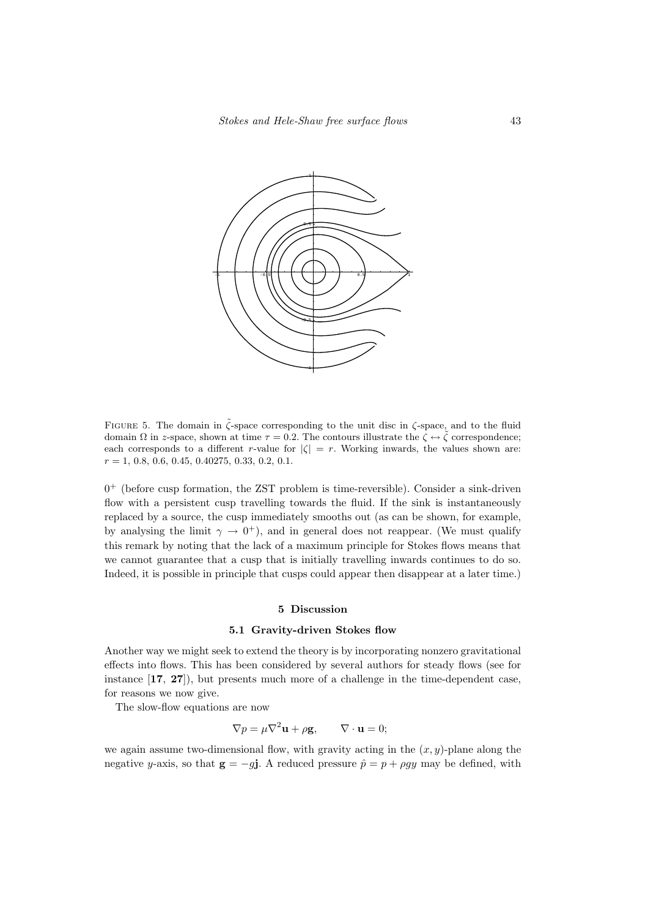

FIGURE 5. The domain in  $\tilde{\zeta}$ -space corresponding to the unit disc in  $\zeta$ -space, and to the fluid domain  $\Omega$  in z-space, shown at time  $\tau = 0.2$ . The contours illustrate the  $\zeta \leftrightarrow \zeta$  correspondence; each corresponds to a different r-value for  $|\zeta| = r$ . Working inwards, the values shown are:  $r = 1, 0.8, 0.6, 0.45, 0.40275, 0.33, 0.2, 0.1.$ 

0 <sup>+</sup> (before cusp formation, the ZST problem is time-reversible). Consider a sink-driven flow with a persistent cusp travelling towards the fluid. If the sink is instantaneously replaced by a source, the cusp immediately smooths out (as can be shown, for example, by analysing the limit  $\gamma \to 0^+$ ), and in general does not reappear. (We must qualify this remark by noting that the lack of a maximum principle for Stokes flows means that we cannot guarantee that a cusp that is initially travelling inwards continues to do so. Indeed, it is possible in principle that cusps could appear then disappear at a later time.)

# 5 Discussion

## 5.1 Gravity-driven Stokes flow

Another way we might seek to extend the theory is by incorporating nonzero gravitational effects into flows. This has been considered by several authors for steady flows (see for instance [17, 27]), but presents much more of a challenge in the time-dependent case, for reasons we now give.

The slow-flow equations are now

$$
\nabla p = \mu \nabla^2 \mathbf{u} + \rho \mathbf{g}, \qquad \nabla \cdot \mathbf{u} = 0;
$$

we again assume two-dimensional flow, with gravity acting in the  $(x, y)$ -plane along the negative y-axis, so that  $\mathbf{g} = -g\mathbf{j}$ . A reduced pressure  $\hat{p} = p + \rho gy$  may be defined, with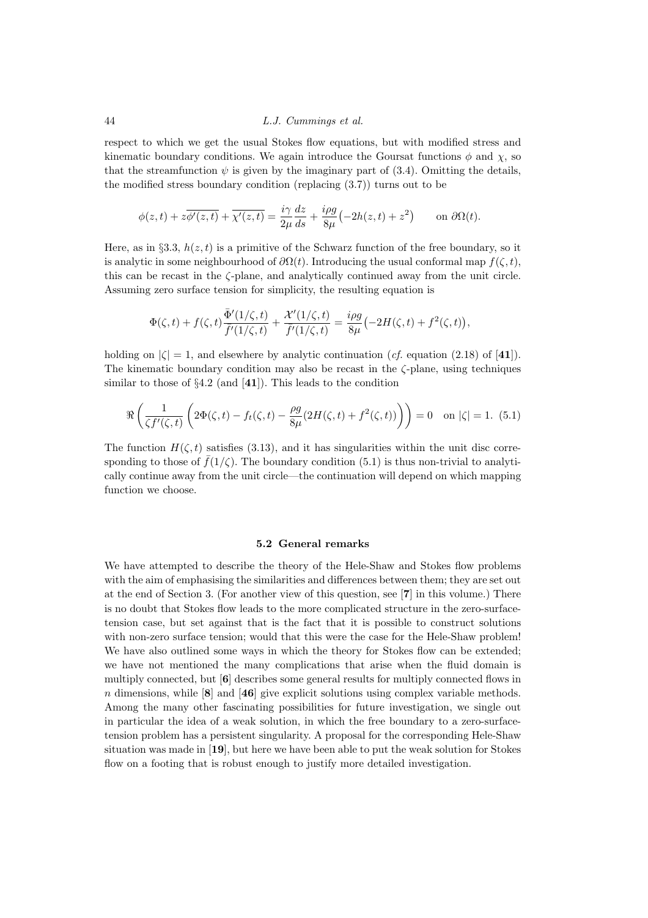respect to which we get the usual Stokes flow equations, but with modified stress and kinematic boundary conditions. We again introduce the Goursat functions  $\phi$  and  $\chi$ , so that the streamfunction  $\psi$  is given by the imaginary part of (3.4). Omitting the details, the modified stress boundary condition (replacing (3.7)) turns out to be

$$
\phi(z,t) + z\overline{\phi'(z,t)} + \overline{\chi'(z,t)} = \frac{i\gamma}{2\mu}\frac{dz}{ds} + \frac{i\rho g}{8\mu}(-2h(z,t) + z^2) \quad \text{on } \partial\Omega(t).
$$

Here, as in §3.3,  $h(z, t)$  is a primitive of the Schwarz function of the free boundary, so it is analytic in some neighbourhood of  $\partial \Omega(t)$ . Introducing the usual conformal map  $f(\zeta, t)$ , this can be recast in the ζ-plane, and analytically continued away from the unit circle. Assuming zero surface tension for simplicity, the resulting equation is

$$
\Phi(\zeta,t)+f(\zeta,t)\frac{\bar{\Phi}'(1/\zeta,t)}{\bar{f}'(1/\zeta,t)}+\frac{\mathcal{X}'(1/\zeta,t)}{\bar{f}'(1/\zeta,t)}=\frac{i\rho g}{8\mu}\bigl(-2H(\zeta,t)+f^2(\zeta,t)\bigr),
$$

holding on  $|\zeta| = 1$ , and elsewhere by analytic continuation (*cf.* equation (2.18) of [41]). The kinematic boundary condition may also be recast in the  $\zeta$ -plane, using techniques similar to those of  $\S4.2$  (and [41]). This leads to the condition

$$
\Re\left(\frac{1}{\zeta f'(\zeta,t)}\left(2\Phi(\zeta,t)-f_t(\zeta,t)-\frac{\rho g}{8\mu}(2H(\zeta,t)+f^2(\zeta,t))\right)\right)=0 \quad \text{on } |\zeta|=1. \tag{5.1}
$$

The function  $H(\zeta, t)$  satisfies (3.13), and it has singularities within the unit disc corresponding to those of  $\bar{f}(1/\zeta)$ . The boundary condition (5.1) is thus non-trivial to analytically continue away from the unit circle—the continuation will depend on which mapping function we choose.

### 5.2 General remarks

We have attempted to describe the theory of the Hele-Shaw and Stokes flow problems with the aim of emphasising the similarities and differences between them; they are set out at the end of Section 3. (For another view of this question, see [7] in this volume.) There is no doubt that Stokes flow leads to the more complicated structure in the zero-surfacetension case, but set against that is the fact that it is possible to construct solutions with non-zero surface tension; would that this were the case for the Hele-Shaw problem! We have also outlined some ways in which the theory for Stokes flow can be extended; we have not mentioned the many complications that arise when the fluid domain is multiply connected, but [6] describes some general results for multiply connected flows in  $n$  dimensions, while  $[8]$  and  $[46]$  give explicit solutions using complex variable methods. Among the many other fascinating possibilities for future investigation, we single out in particular the idea of a weak solution, in which the free boundary to a zero-surfacetension problem has a persistent singularity. A proposal for the corresponding Hele-Shaw situation was made in [19], but here we have been able to put the weak solution for Stokes flow on a footing that is robust enough to justify more detailed investigation.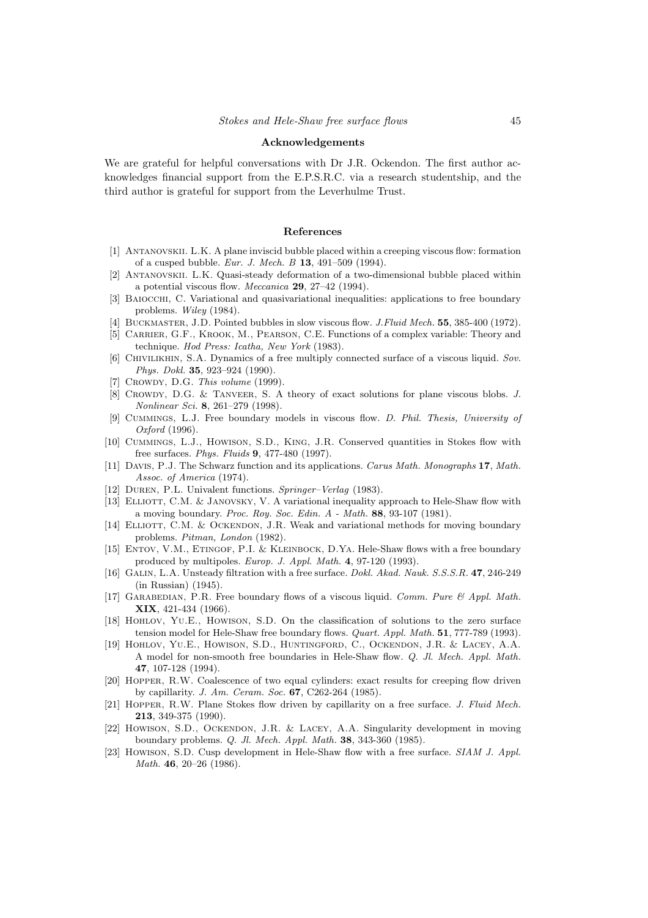#### Acknowledgements

We are grateful for helpful conversations with Dr J.R. Ockendon. The first author acknowledges financial support from the E.P.S.R.C. via a research studentship, and the third author is grateful for support from the Leverhulme Trust.

## References

- [1] Antanovskii. L.K. A plane inviscid bubble placed within a creeping viscous flow: formation of a cusped bubble. Eur. J. Mech. B 13, 491–509 (1994).
- [2] Antanovskii. L.K. Quasi-steady deformation of a two-dimensional bubble placed within a potential viscous flow. Meccanica 29, 27–42 (1994).
- [3] BAIOCCHI, C. Variational and quasivariational inequalities: applications to free boundary problems. Wiley (1984).
- [4] BUCKMASTER, J.D. Pointed bubbles in slow viscous flow. *J.Fluid Mech.* 55, 385-400 (1972).
- [5] Carrier, G.F., Krook, M., Pearson, C.E. Functions of a complex variable: Theory and technique. Hod Press: Icatha, New York (1983).
- [6] CHIVILIKHIN, S.A. Dynamics of a free multiply connected surface of a viscous liquid. Sov. Phys. Dokl. 35, 923–924 (1990).
- [7] CROWDY, D.G. *This volume* (1999).
- [8] Crowdy, D.G. & Tanveer, S. A theory of exact solutions for plane viscous blobs. J. Nonlinear Sci. 8, 261–279 (1998).
- [9] Cummings, L.J. Free boundary models in viscous flow. D. Phil. Thesis, University of Oxford (1996).
- [10] Cummings, L.J., Howison, S.D., King, J.R. Conserved quantities in Stokes flow with free surfaces. Phys. Fluids 9, 477-480 (1997).
- [11] DAVIS, P.J. The Schwarz function and its applications. Carus Math. Monographs 17, Math. Assoc. of America (1974).
- [12] Duren, P.L. Univalent functions. Springer–Verlag (1983).
- [13] ELLIOTT, C.M. & JANOVSKY, V. A variational inequality approach to Hele-Shaw flow with a moving boundary. Proc. Roy. Soc. Edin. A - Math. 88, 93-107 (1981).
- [14] ELLIOTT, C.M. & OCKENDON, J.R. Weak and variational methods for moving boundary problems. Pitman, London (1982).
- [15] ENTOV, V.M., ETINGOF, P.I. & KLEINBOCK, D.YA. Hele-Shaw flows with a free boundary produced by multipoles. Europ. J. Appl. Math. 4, 97-120 (1993).
- [16] Galin, L.A. Unsteady filtration with a free surface. Dokl. Akad. Nauk. S.S.S.R. 47, 246-249 (in Russian) (1945).
- [17] GARABEDIAN, P.R. Free boundary flows of a viscous liquid. Comm. Pure  $\mathcal{B}$  Appl. Math. XIX, 421-434 (1966).
- [18] Hohlov, Yu.E., Howison, S.D. On the classification of solutions to the zero surface tension model for Hele-Shaw free boundary flows. Quart. Appl. Math. 51, 777-789 (1993).
- [19] Hohlov, Yu.E., Howison, S.D., Huntingford, C., Ockendon, J.R. & Lacey, A.A. A model for non-smooth free boundaries in Hele-Shaw flow. Q. Jl. Mech. Appl. Math. 47, 107-128 (1994).
- [20] Hopper, R.W. Coalescence of two equal cylinders: exact results for creeping flow driven by capillarity. J. Am. Ceram. Soc. 67, C262-264 (1985).
- [21] HOPPER, R.W. Plane Stokes flow driven by capillarity on a free surface. J. Fluid Mech. 213, 349-375 (1990).
- [22] Howison, S.D., Ockendon, J.R. & Lacey, A.A. Singularity development in moving boundary problems. Q. Jl. Mech. Appl. Math. 38, 343-360 (1985).
- [23] Howison, S.D. Cusp development in Hele-Shaw flow with a free surface. SIAM J. Appl. Math. 46, 20–26 (1986).